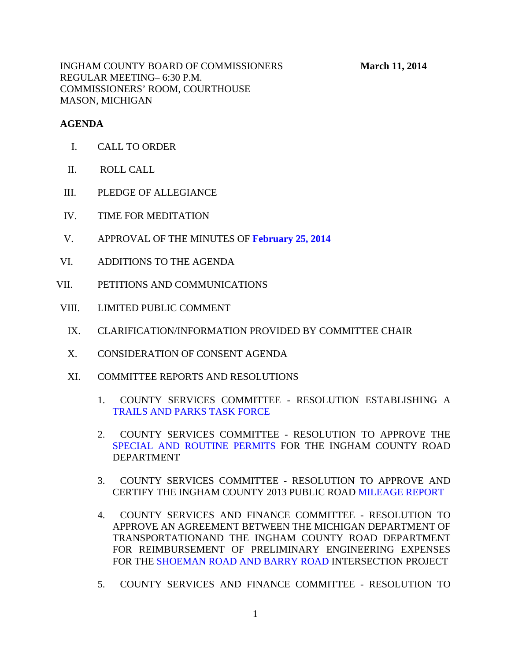INGHAM COUNTY BOARD OF COMMISSIONERS **March 11, 2014** REGULAR MEETING– 6:30 P.M. COMMISSIONERS' ROOM, COURTHOUSE MASON, MICHIGAN

### **AGENDA**

- I. CALL TO ORDER
- II. ROLL CALL
- III. PLEDGE OF ALLEGIANCE
- IV. TIME FOR MEDITATION
- V. APPROVAL OF THE MINUTES OF **[February 25, 2014](#page-3-0)**
- VI. ADDITIONS TO THE AGENDA
- VII. PETITIONS AND COMMUNICATIONS
- VIII. LIMITED PUBLIC COMMENT
	- IX. CLARIFICATION/INFORMATION PROVIDED BY COMMITTEE CHAIR
	- X. CONSIDERATION OF CONSENT AGENDA
	- XI. COMMITTEE REPORTS AND RESOLUTIONS
		- 1. COUNTY SERVICES COMMITTEE RESOLUTION ESTABLISHING A [TRAILS AND PARKS TASK FORCE](#page-75-0)
		- 2. COUNTY SERVICES COMMITTEE RESOLUTION TO APPROVE THE [SPECIAL AND ROUTINE PERMITS FO](#page-76-0)R THE INGHAM COUNTY ROAD DEPARTMENT
		- 3. COUNTY SERVICES COMMITTEE RESOLUTI[ON TO APPROVE AND](#page-78-0)  CERTIFY THE INGHAM COUNTY 2013 PUBLIC ROAD MILEAGE REPORT
		- 4. COUNTY SERVICES AND FINANCE COMMITTEE RESOLUTION TO APPROVE AN AGREEMENT BETWEEN THE MICHIGAN DEPARTMENT OF TRANSPORTATIONAND THE INGHAM COUNTY ROAD DEPARTMENT FOR REIMBURSEMENT OF PRELIMINARY ENGINEERING EXPENSES FOR TH[E SHOEMAN ROAD AND BARRY ROAD INTE](#page-81-0)RSECTION PROJECT
		- 5. COUNTY SERVICES AND FINANCE COMMITTEE RESOLUTION TO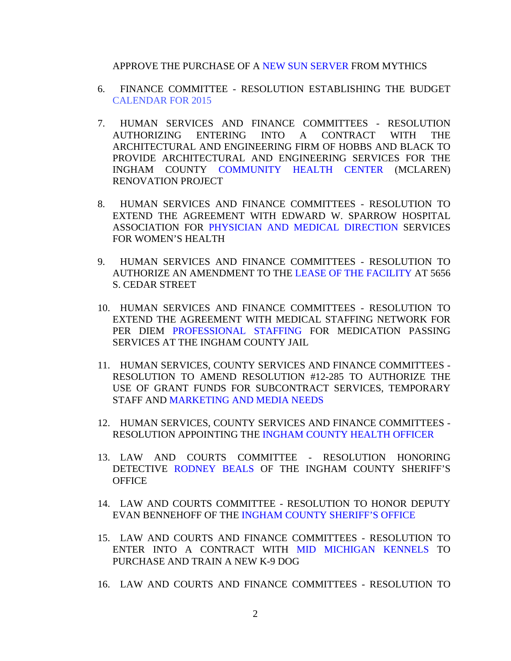#### APPROVE THE PURCHASE OF [A NEW SUN SERVER FROM M](#page-82-0)YTHICS

- 6. FINANCE COMMITTEE RESOLUTION ESTABLISHING THE BUDGET [CALENDAR FOR 2015](#page-83-0)
- 7. HUMAN SERVICES AND FINANCE COMMITTEES RESOLUTION AUTHORIZING ENTERING INTO A CONTRACT WITH THE ARCHITECTURAL AND ENGINEERING FIRM OF HOBBS AND BLACK TO PROVIDE ARCHITECTURAL AND ENGINEERING SERVICES FOR THE INGHAM COUNTY [COMMUNITY HEALTH CENTER \(MCLAR](#page-85-0)EN) RENOVATION PROJECT
- 8. HUMAN SERVICES AND FINANCE COMMITTEES RESOLUTION TO EXTEND THE AG[REEMENT WITH EDWARD W. SPARROW HOSP](#page-86-0)ITAL ASSOCIATION FOR PHYSICIAN AND MEDICAL DIRECTION SERVICES FOR WOMEN'S HEALTH
- 9. HUMAN SERVICES AND FINANCE COMMITTEES RESOLUTION TO AUTHORIZE AN AMENDMENT TO T[HE LEASE OF THE FACILITY AT 5656](#page-87-0) S. CEDAR STREET
- 10. HUMAN SERVICES AND FINANCE COMMITTEES RESOLUTION TO EXTEND T[HE AGREEMENT WITH MEDICAL STA](#page-89-0)FFING NETWORK FOR PER DIEM PROFESSIONAL STAFFING FOR MEDICATION PASSING SERVICES AT THE INGHAM COUNTY JAIL
- 11. HUMAN SERVICES, COUNTY SERVICES AND FINANCE COMMITTEES RESOLUTION TO AMEND RESOLUTION #12-285 TO AUTHORIZE THE USE OF G[RANT FUNDS FOR SUBCONTRACT SERV](#page-90-0)ICES, TEMPORARY STAFF AND MARKETING AND MEDIA NEEDS
- 12. HUMAN SERVICES, COUNTY SERVICES AND FINANCE COMMITTEES RESOLUTION APPOINTING [THE INGHAM COUNTY HEALTH OFFICER](#page-92-0)
- 13. LAW AN[D COURTS COMMITT](#page-93-0)EE RESOLUTION HONORING DETECTIVE RODNEY BEALS OF THE INGHAM COUNTY SHERIFF'S **OFFICE**
- 14. LAW AND COURTS COMMITTEE RESOLUTION TO HONOR DEPUTY EVAN BENNEHOFF OF T[HE INGHAM COUNTY SHERIFF'S OFFICE](#page-95-0)
- 15. LAW AND COURTS AND FINANCE COMMITTEES RESOLUTION TO ENTER INTO A CONTRACT WITH [MID MICHIGAN KENNELS TO](#page-97-0) PURCHASE AND TRAIN A NEW K-9 DOG
- 16. LAW AND COURTS AND FINANCE COMMITTEES RESOLUTION TO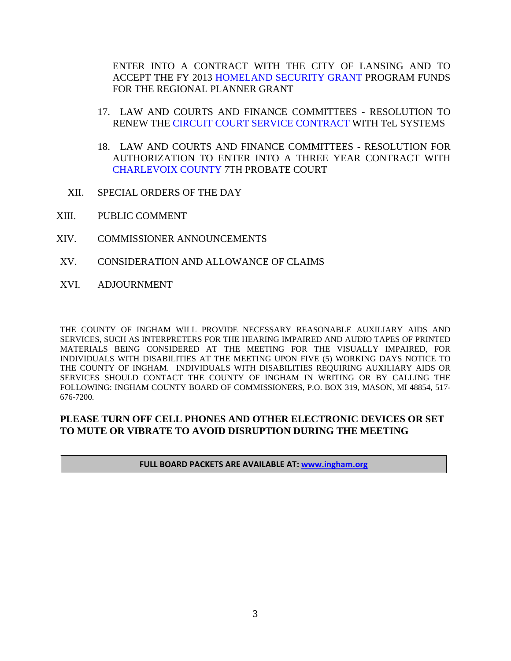ENTER INTO A CO[NTRACT WITH THE CITY OF LANSIN](#page-99-0)G AND TO ACCEPT THE FY 2013 HOMELAND SECURITY GRANT PROGRAM FUNDS FOR THE REGIONAL PLANNER GRANT

- 17. LAW AND COURTS AND FINANCE COMMITTEES RESOLUTION TO RENEW [THE CIRCUIT COURT SERVICE CONTRACT WI](#page-101-0)TH TeL SYSTEMS
- 18. LAW AND COURTS AND FINANCE COMMITTEES RESOLUTION FOR AUTHORIZATION TO ENTER INTO A THREE YEAR CONTRACT WITH [CHARLEVOIX COUNTY 7TH PROBA](#page-102-0)TE COURT
- XII. SPECIAL ORDERS OF THE DAY
- XIII. PUBLIC COMMENT
- XIV. COMMISSIONER ANNOUNCEMENTS
- XV. CONSIDERATION AND ALLOWANCE OF CLAIMS
- XVI. ADJOURNMENT

THE COUNTY OF INGHAM WILL PROVIDE NECESSARY REASONABLE AUXILIARY AIDS AND SERVICES, SUCH AS INTERPRETERS FOR THE HEARING IMPAIRED AND AUDIO TAPES OF PRINTED MATERIALS BEING CONSIDERED AT THE MEETING FOR THE VISUALLY IMPAIRED, FOR INDIVIDUALS WITH DISABILITIES AT THE MEETING UPON FIVE (5) WORKING DAYS NOTICE TO THE COUNTY OF INGHAM. INDIVIDUALS WITH DISABILITIES REQUIRING AUXILIARY AIDS OR SERVICES SHOULD CONTACT THE COUNTY OF INGHAM IN WRITING OR BY CALLING THE FOLLOWING: INGHAM COUNTY BOARD OF COMMISSIONERS, P.O. BOX 319, MASON, MI 48854, 517- 676-7200.

### **PLEASE TURN OFF CELL PHONES AND OTHER ELECTRONIC DEVICES OR SET TO MUTE OR VIBRATE TO AVOID DISRUPTION DURING THE MEETING**

#### **FULL BOARD PACKETS ARE AVAILABLE AT: www.ingham.org**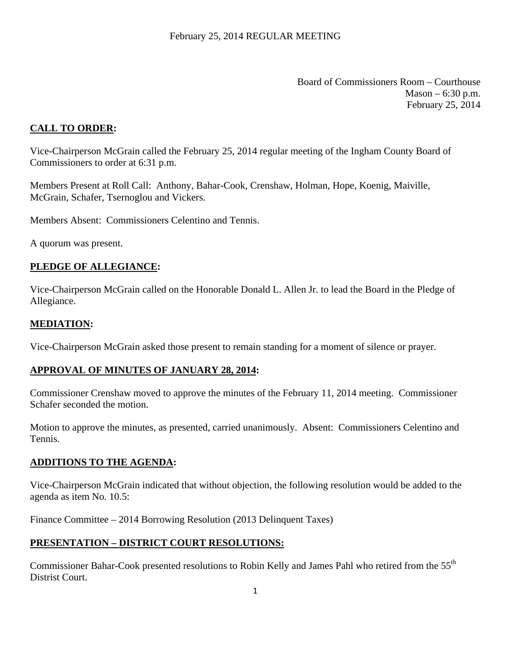Board of Commissioners Room – Courthouse  $Mason - 6:30 p.m.$ February 25, 2014

# <span id="page-3-0"></span>**CALL TO ORDER:**

Vice-Chairperson McGrain called the February 25, 2014 regular meeting of the Ingham County Board of Commissioners to order at 6:31 p.m.

Members Present at Roll Call: Anthony, Bahar-Cook, Crenshaw, Holman, Hope, Koenig, Maiville, McGrain, Schafer, Tsernoglou and Vickers.

Members Absent: Commissioners Celentino and Tennis.

A quorum was present.

#### **PLEDGE OF ALLEGIANCE:**

Vice-Chairperson McGrain called on the Honorable Donald L. Allen Jr. to lead the Board in the Pledge of Allegiance.

#### **MEDIATION:**

Vice-Chairperson McGrain asked those present to remain standing for a moment of silence or prayer.

#### **APPROVAL OF MINUTES OF JANUARY 28, 2014:**

Commissioner Crenshaw moved to approve the minutes of the February 11, 2014 meeting. Commissioner Schafer seconded the motion.

Motion to approve the minutes, as presented, carried unanimously. Absent: Commissioners Celentino and Tennis.

#### **ADDITIONS TO THE AGENDA:**

Vice-Chairperson McGrain indicated that without objection, the following resolution would be added to the agenda as item No. 10.5:

Finance Committee – 2014 Borrowing Resolution (2013 Delinquent Taxes)

#### **PRESENTATION – DISTRICT COURT RESOLUTIONS:**

Commissioner Bahar-Cook presented resolutions to Robin Kelly and James Pahl who retired from the 55<sup>th</sup> Distrist Court.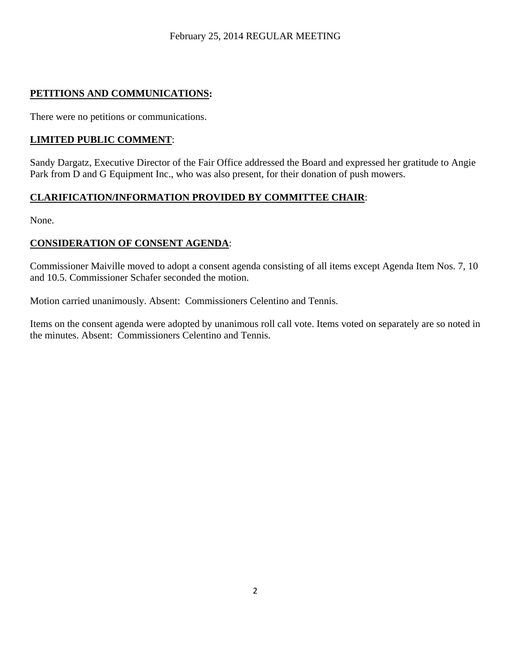# **PETITIONS AND COMMUNICATIONS:**

There were no petitions or communications.

# **LIMITED PUBLIC COMMENT**:

Sandy Dargatz, Executive Director of the Fair Office addressed the Board and expressed her gratitude to Angie Park from D and G Equipment Inc., who was also present, for their donation of push mowers.

# **CLARIFICATION/INFORMATION PROVIDED BY COMMITTEE CHAIR**:

None.

# **CONSIDERATION OF CONSENT AGENDA**:

Commissioner Maiville moved to adopt a consent agenda consisting of all items except Agenda Item Nos. 7, 10 and 10.5. Commissioner Schafer seconded the motion.

Motion carried unanimously. Absent: Commissioners Celentino and Tennis.

Items on the consent agenda were adopted by unanimous roll call vote. Items voted on separately are so noted in the minutes. Absent: Commissioners Celentino and Tennis.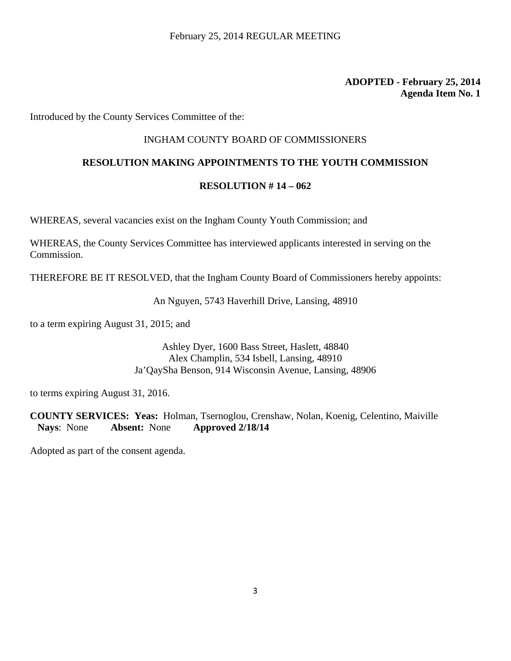Introduced by the County Services Committee of the:

### INGHAM COUNTY BOARD OF COMMISSIONERS

### **RESOLUTION MAKING APPOINTMENTS TO THE YOUTH COMMISSION**

#### **RESOLUTION # 14 – 062**

WHEREAS, several vacancies exist on the Ingham County Youth Commission; and

WHEREAS, the County Services Committee has interviewed applicants interested in serving on the Commission.

THEREFORE BE IT RESOLVED, that the Ingham County Board of Commissioners hereby appoints:

An Nguyen, 5743 Haverhill Drive, Lansing, 48910

to a term expiring August 31, 2015; and

Ashley Dyer, 1600 Bass Street, Haslett, 48840 Alex Champlin, 534 Isbell, Lansing, 48910 Ja'QaySha Benson, 914 Wisconsin Avenue, Lansing, 48906

to terms expiring August 31, 2016.

**COUNTY SERVICES: Yeas:** Holman, Tsernoglou, Crenshaw, Nolan, Koenig, Celentino, Maiville **Nays**: None **Absent:** None **Approved 2/18/14**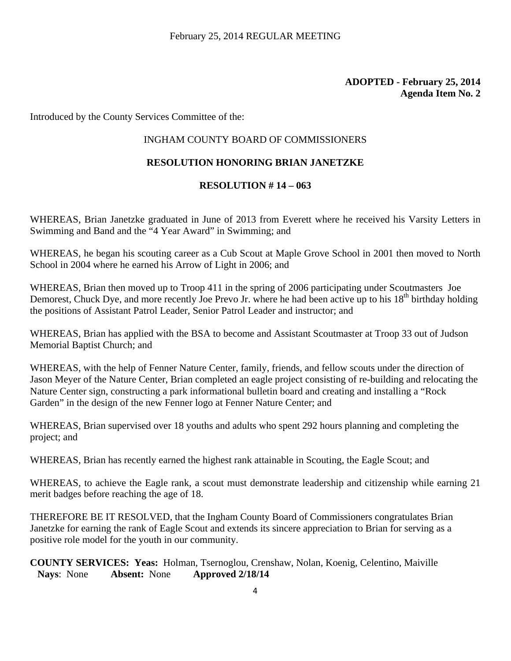Introduced by the County Services Committee of the:

#### INGHAM COUNTY BOARD OF COMMISSIONERS

#### **RESOLUTION HONORING BRIAN JANETZKE**

#### **RESOLUTION # 14 – 063**

WHEREAS, Brian Janetzke graduated in June of 2013 from Everett where he received his Varsity Letters in Swimming and Band and the "4 Year Award" in Swimming; and

WHEREAS, he began his scouting career as a Cub Scout at Maple Grove School in 2001 then moved to North School in 2004 where he earned his Arrow of Light in 2006; and

WHEREAS, Brian then moved up to Troop 411 in the spring of 2006 participating under Scoutmasters Joe Demorest, Chuck Dye, and more recently Joe Prevo Jr. where he had been active up to his 18<sup>th</sup> birthday holding the positions of Assistant Patrol Leader, Senior Patrol Leader and instructor; and

WHEREAS, Brian has applied with the BSA to become and Assistant Scoutmaster at Troop 33 out of Judson Memorial Baptist Church; and

WHEREAS, with the help of Fenner Nature Center, family, friends, and fellow scouts under the direction of Jason Meyer of the Nature Center, Brian completed an eagle project consisting of re-building and relocating the Nature Center sign, constructing a park informational bulletin board and creating and installing a "Rock" Garden" in the design of the new Fenner logo at Fenner Nature Center; and

WHEREAS, Brian supervised over 18 youths and adults who spent 292 hours planning and completing the project; and

WHEREAS, Brian has recently earned the highest rank attainable in Scouting, the Eagle Scout; and

WHEREAS, to achieve the Eagle rank, a scout must demonstrate leadership and citizenship while earning 21 merit badges before reaching the age of 18.

THEREFORE BE IT RESOLVED, that the Ingham County Board of Commissioners congratulates Brian Janetzke for earning the rank of Eagle Scout and extends its sincere appreciation to Brian for serving as a positive role model for the youth in our community.

**COUNTY SERVICES: Yeas:** Holman, Tsernoglou, Crenshaw, Nolan, Koenig, Celentino, Maiville **Nays**: None **Absent:** None **Approved 2/18/14**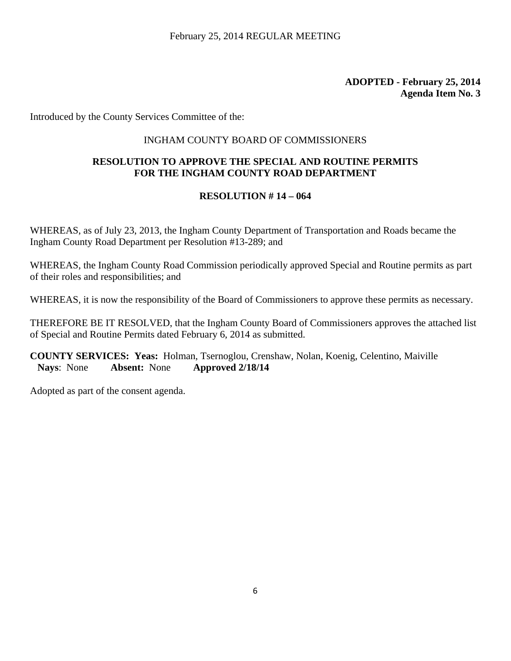Introduced by the County Services Committee of the:

# INGHAM COUNTY BOARD OF COMMISSIONERS

# **RESOLUTION TO APPROVE THE SPECIAL AND ROUTINE PERMITS FOR THE INGHAM COUNTY ROAD DEPARTMENT**

# **RESOLUTION # 14 – 064**

WHEREAS, as of July 23, 2013, the Ingham County Department of Transportation and Roads became the Ingham County Road Department per Resolution #13-289; and

WHEREAS, the Ingham County Road Commission periodically approved Special and Routine permits as part of their roles and responsibilities; and

WHEREAS, it is now the responsibility of the Board of Commissioners to approve these permits as necessary.

THEREFORE BE IT RESOLVED, that the Ingham County Board of Commissioners approves the attached list of Special and Routine Permits dated February 6, 2014 as submitted.

**COUNTY SERVICES: Yeas:** Holman, Tsernoglou, Crenshaw, Nolan, Koenig, Celentino, Maiville **Nays**: None **Absent:** None **Approved 2/18/14**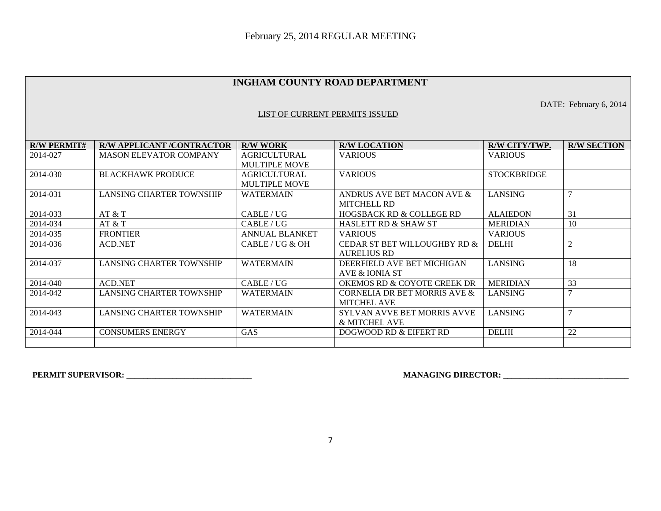#### **INGHAM COUNTY ROAD DEPARTMENT**

DATE: February 6, 2014

#### LIST OF CURRENT PERMITS ISSUED

| <b>R/W PERMIT#</b>         | <b>R/W APPLICANT /CONTRACTOR</b> | <b>R/W WORK</b>       | <b>R/W LOCATION</b>                 | R/W CITY/TWP.      | <b>R/W SECTION</b> |
|----------------------------|----------------------------------|-----------------------|-------------------------------------|--------------------|--------------------|
| 2014-027                   | <b>MASON ELEVATOR COMPANY</b>    | <b>AGRICULTURAL</b>   | <b>VARIOUS</b>                      | VARIOUS            |                    |
|                            |                                  | <b>MULTIPLE MOVE</b>  |                                     |                    |                    |
| 2014-030                   | <b>BLACKHAWK PRODUCE</b>         | <b>AGRICULTURAL</b>   | <b>VARIOUS</b>                      | <b>STOCKBRIDGE</b> |                    |
|                            |                                  | <b>MULTIPLE MOVE</b>  |                                     |                    |                    |
| 2014-031                   | <b>LANSING CHARTER TOWNSHIP</b>  | <b>WATERMAIN</b>      | ANDRUS AVE BET MACON AVE &          | LANSING            |                    |
|                            |                                  |                       | <b>MITCHELL RD</b>                  |                    |                    |
| 2014-033                   | AT & T                           | CABLE/UG              | <b>HOGSBACK RD &amp; COLLEGE RD</b> | <b>ALAIEDON</b>    | 31                 |
| 2014-034                   | AT & T                           | CABLE/UG              | <b>HASLETT RD &amp; SHAW ST</b>     | <b>MERIDIAN</b>    | 10                 |
| 2014-035                   | <b>FRONTIER</b>                  | <b>ANNUAL BLANKET</b> | <b>VARIOUS</b>                      | <b>VARIOUS</b>     |                    |
| 2014-036<br><b>ACD.NET</b> |                                  | CABLE/UG & OH         | CEDAR ST BET WILLOUGHBY RD &        | <b>DELHI</b>       |                    |
|                            |                                  |                       | <b>AURELIUS RD</b>                  |                    |                    |
| 2014-037                   | LANSING CHARTER TOWNSHIP         | <b>WATERMAIN</b>      | DEERFIELD AVE BET MICHIGAN          | <b>LANSING</b>     | 18                 |
|                            |                                  |                       | AVE & IONIA ST                      |                    |                    |
| 2014-040                   | <b>ACD.NET</b>                   | CABLE/UG              | OKEMOS RD & COYOTE CREEK DR         | <b>MERIDIAN</b>    | 33                 |
| 2014-042                   | <b>LANSING CHARTER TOWNSHIP</b>  | <b>WATERMAIN</b>      | CORNELIA DR BET MORRIS AVE &        | LANSING            |                    |
|                            |                                  |                       | <b>MITCHEL AVE</b>                  |                    |                    |
| 2014-043                   | <b>LANSING CHARTER TOWNSHIP</b>  | <b>WATERMAIN</b>      | <b>SYLVAN AVVE BET MORRIS AVVE</b>  | <b>LANSING</b>     |                    |
|                            |                                  |                       | & MITCHEL AVE                       |                    |                    |
| 2014-044                   | <b>CONSUMERS ENERGY</b>          | <b>GAS</b>            | DOGWOOD RD & EIFERT RD              | <b>DELHI</b>       | 22                 |
|                            |                                  |                       |                                     |                    |                    |

**PERMIT SUPERVISOR: \_\_\_\_\_\_\_\_\_\_\_\_\_\_\_\_\_\_\_\_\_\_\_\_\_\_\_\_\_\_ MANAGING DIRECTOR: \_\_\_\_\_\_\_\_\_\_\_\_\_\_\_\_\_\_\_\_\_\_\_\_\_\_\_\_\_\_**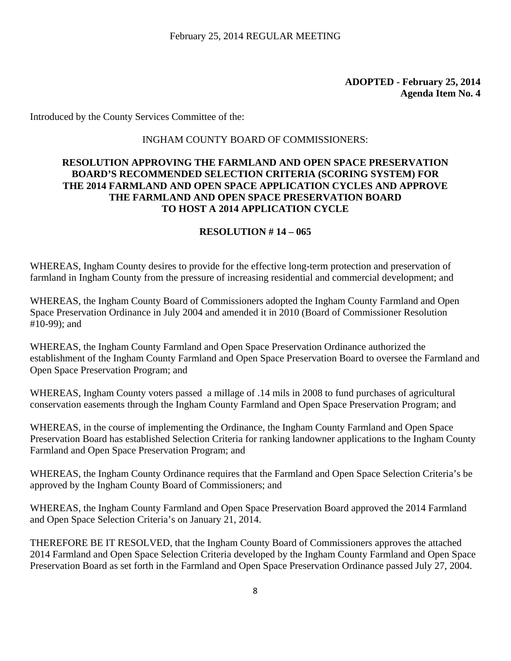Introduced by the County Services Committee of the:

#### INGHAM COUNTY BOARD OF COMMISSIONERS:

### **RESOLUTION APPROVING THE FARMLAND AND OPEN SPACE PRESERVATION BOARD'S RECOMMENDED SELECTION CRITERIA (SCORING SYSTEM) FOR THE 2014 FARMLAND AND OPEN SPACE APPLICATION CYCLES AND APPROVE THE FARMLAND AND OPEN SPACE PRESERVATION BOARD TO HOST A 2014 APPLICATION CYCLE**

#### **RESOLUTION # 14 – 065**

WHEREAS, Ingham County desires to provide for the effective long-term protection and preservation of farmland in Ingham County from the pressure of increasing residential and commercial development; and

WHEREAS, the Ingham County Board of Commissioners adopted the Ingham County Farmland and Open Space Preservation Ordinance in July 2004 and amended it in 2010 (Board of Commissioner Resolution #10-99); and

WHEREAS, the Ingham County Farmland and Open Space Preservation Ordinance authorized the establishment of the Ingham County Farmland and Open Space Preservation Board to oversee the Farmland and Open Space Preservation Program; and

WHEREAS, Ingham County voters passed a millage of .14 mils in 2008 to fund purchases of agricultural conservation easements through the Ingham County Farmland and Open Space Preservation Program; and

WHEREAS, in the course of implementing the Ordinance, the Ingham County Farmland and Open Space Preservation Board has established Selection Criteria for ranking landowner applications to the Ingham County Farmland and Open Space Preservation Program; and

WHEREAS, the Ingham County Ordinance requires that the Farmland and Open Space Selection Criteria's be approved by the Ingham County Board of Commissioners; and

WHEREAS, the Ingham County Farmland and Open Space Preservation Board approved the 2014 Farmland and Open Space Selection Criteria's on January 21, 2014.

THEREFORE BE IT RESOLVED, that the Ingham County Board of Commissioners approves the attached 2014 Farmland and Open Space Selection Criteria developed by the Ingham County Farmland and Open Space Preservation Board as set forth in the Farmland and Open Space Preservation Ordinance passed July 27, 2004.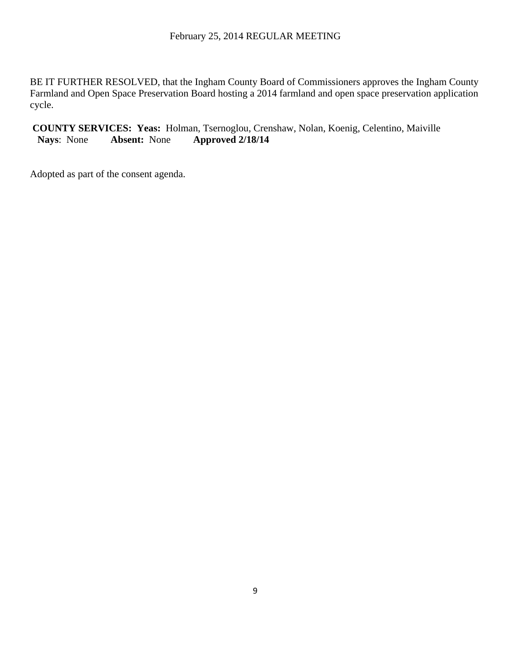BE IT FURTHER RESOLVED, that the Ingham County Board of Commissioners approves the Ingham County Farmland and Open Space Preservation Board hosting a 2014 farmland and open space preservation application cycle.

**COUNTY SERVICES: Yeas:** Holman, Tsernoglou, Crenshaw, Nolan, Koenig, Celentino, Maiville **Nays**: None **Absent:** None **Approved 2/18/14**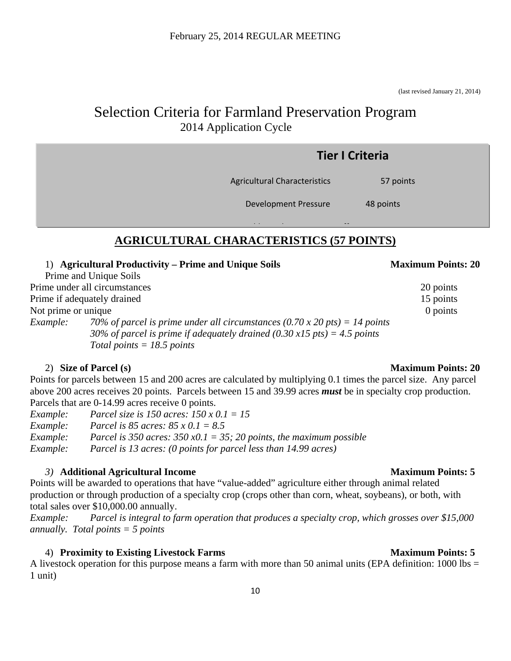(last revised January 21, 2014)

# Selection Criteria for Farmland Preservation Program 2014 Application Cycle

|                                                                | <b>Tier I Criteria</b> |
|----------------------------------------------------------------|------------------------|
| Agricultural Characteristics                                   | 57 points              |
| <b>Development Pressure</b>                                    | 48 points              |
| $\sim$ $ \sim$<br>A CDICUI TUDAL CILADA CTEDICTICS (57 DOINTS) | $\cdots$               |

# **AGRICULTURAL CHARACTERISTICS (57 POINTS)**

### 1) **Agricultural Productivity – Prime and Unique Soils Maximum Points: 20**

Prime and Unique Soils Prime under all circumstances 20 points Prime if adequately drained 15 points Not prime or unique 0 points 0 points *Example: 70% of parcel is prime under all circumstances (0.70 x 20 pts) = 14 points 30% of parcel is prime if adequately drained (0.30 x15 pts) = 4.5 points Total points = 18.5 points* 

# 2) **Size of Parcel (s) Maximum Points: 20**

Points for parcels between 15 and 200 acres are calculated by multiplying 0.1 times the parcel size. Any parcel above 200 acres receives 20 points. Parcels between 15 and 39.99 acres *must* be in specialty crop production. Parcels that are 0-14.99 acres receive 0 points.

*Example: Parcel size is 150 acres: 150 x 0.1 = 15 Example: Parcel is 85 acres: 85 x 0.1 = 8.5 Example: Parcel is 350 acres: 350 x0.1 = 35; 20 points, the maximum possible Example: Parcel is 13 acres: (0 points for parcel less than 14.99 acres)* 

# *3*) **Additional Agricultural Income** Maximum Points: 5

Points will be awarded to operations that have "value-added" agriculture either through animal related production or through production of a specialty crop (crops other than corn, wheat, soybeans), or both, with total sales over \$10,000.00 annually.

*Example: Parcel is integral to farm operation that produces a specialty crop, which grosses over \$15,000 annually. Total points = 5 points* 

# 4) **Proximity to Existing Livestock Farms Maximum Points: 5**

A livestock operation for this purpose means a farm with more than 50 animal units (EPA definition: 1000 lbs = 1 unit)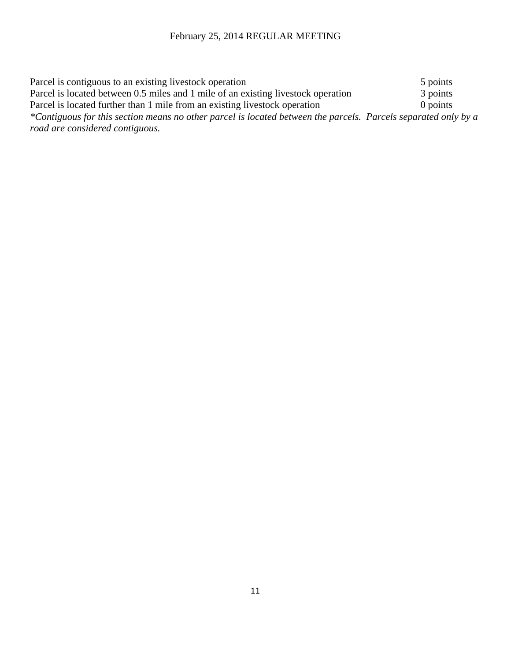| Parcel is contiguous to an existing livestock operation                                                        | 5 points   |
|----------------------------------------------------------------------------------------------------------------|------------|
| Parcel is located between 0.5 miles and 1 mile of an existing livestock operation                              | 3 points   |
| Parcel is located further than 1 mile from an existing livestock operation                                     | $0$ points |
| *Contiguous for this section means no other parcel is located between the parcels. Parcels separated only by a |            |
| road are considered contiguous.                                                                                |            |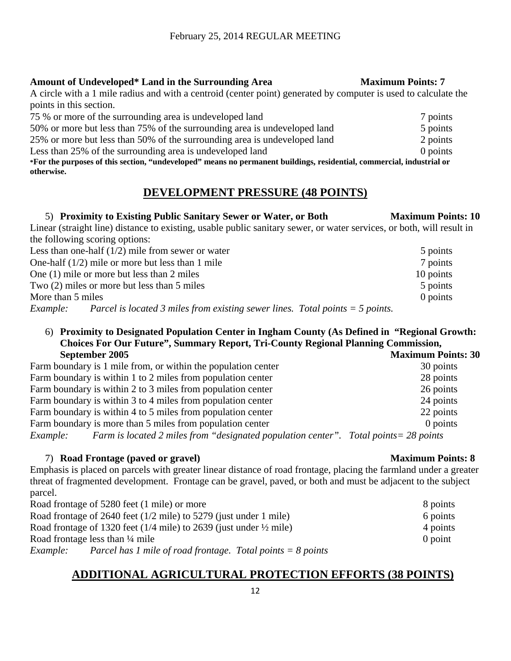#### Amount of Undeveloped\* Land in the Surrounding Area Maximum Points: 7

A circle with a 1 mile radius and with a centroid (center point) generated by computer is used to calculate the points in this section.

| 75 % or more of the surrounding area is undeveloped land                                                              | 7 points |
|-----------------------------------------------------------------------------------------------------------------------|----------|
| 50% or more but less than 75% of the surrounding area is undeveloped land                                             | 5 points |
| 25% or more but less than 50% of the surrounding area is undeveloped land                                             | 2 points |
| Less than 25% of the surrounding area is undeveloped land                                                             | 0 points |
| *For the purposes of this section, "undeveloped" means no permanent buildings, residential, commercial, industrial or |          |
| otherwise.                                                                                                            |          |

# **DEVELOPMENT PRESSURE (48 POINTS)**

### 5) **Proximity to Existing Public Sanitary Sewer or Water, or Both Maximum Points: 10**

Linear (straight line) distance to existing, usable public sanitary sewer, or water services, or both, will result in the following scoring options:

| Less than one-half $(1/2)$ mile from sewer or water                                                                                                                                                                                                                                                         | 5 points  |
|-------------------------------------------------------------------------------------------------------------------------------------------------------------------------------------------------------------------------------------------------------------------------------------------------------------|-----------|
| One-half $(1/2)$ mile or more but less than 1 mile                                                                                                                                                                                                                                                          | 7 points  |
| One (1) mile or more but less than 2 miles                                                                                                                                                                                                                                                                  | 10 points |
| Two (2) miles or more but less than 5 miles                                                                                                                                                                                                                                                                 | 5 points  |
| More than 5 miles                                                                                                                                                                                                                                                                                           | 0 points  |
| $\mathbf{r}$ , $\mathbf{r}$ , $\mathbf{r}$ , $\mathbf{r}$ , $\mathbf{r}$ , $\mathbf{r}$ , $\mathbf{r}$ , $\mathbf{r}$ , $\mathbf{r}$ , $\mathbf{r}$ , $\mathbf{r}$ , $\mathbf{r}$ , $\mathbf{r}$ , $\mathbf{r}$ , $\mathbf{r}$ , $\mathbf{r}$ , $\mathbf{r}$ , $\mathbf{r}$ , $\mathbf{r}$ , $\mathbf{r}$ , |           |

*Example: Parcel is located 3 miles from existing sewer lines. Total points = 5 points.* 

#### 6) **Proximity to Designated Population Center in Ingham County (As Defined in "Regional Growth: Choices For Our Future", Summary Report, Tri-County Regional Planning Commission, September 2005** Maximum Points: 30

| Farm boundary is 1 mile from, or within the population center                                            | 30 points |
|----------------------------------------------------------------------------------------------------------|-----------|
| Farm boundary is within 1 to 2 miles from population center                                              | 28 points |
| Farm boundary is within 2 to 3 miles from population center                                              | 26 points |
| Farm boundary is within 3 to 4 miles from population center                                              | 24 points |
| Farm boundary is within 4 to 5 miles from population center                                              | 22 points |
| Farm boundary is more than 5 miles from population center                                                | 0 points  |
| Farm is located 2 miles from "designated population center". Total points = 28 points<br><i>Example:</i> |           |

# 7) **Road Frontage (paved or gravel) Maximum Points: 8**

Emphasis is placed on parcels with greater linear distance of road frontage, placing the farmland under a greater threat of fragmented development. Frontage can be gravel, paved, or both and must be adjacent to the subject parcel.

| Road frontage of 5280 feet (1 mile) or more                                      | 8 points  |
|----------------------------------------------------------------------------------|-----------|
| Road frontage of 2640 feet $(1/2$ mile) to 5279 (just under 1 mile)              | 6 points  |
| Road frontage of 1320 feet ( $1/4$ mile) to 2639 (just under $\frac{1}{2}$ mile) | 4 points  |
| Road frontage less than $\frac{1}{4}$ mile                                       | $0$ point |
| Parcel has 1 mile of road frontage. Total points $= 8$ points<br><i>Example:</i> |           |

# **ADDITIONAL AGRICULTURAL PROTECTION EFFORTS (38 POINTS)**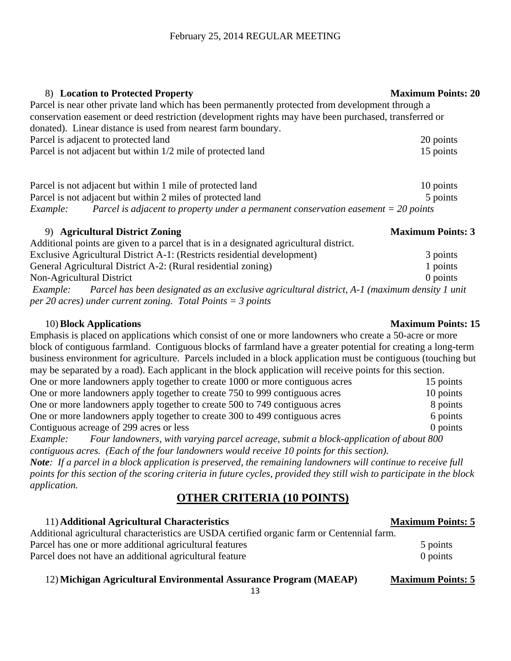### 8) **Location to Protected Property Maximum Points: 20**

Parcel is near other private land which has been permanently protected from development through a conservation easement or deed restriction (development rights may have been purchased, transferred or donated). Linear distance is used from nearest farm boundary. Parcel is adjacent to protected land 20 points 20 points Parcel is not adjacent but within  $1/2$  mile of protected land 15 points 15 points

Parcel is not adjacent but within 1 mile of protected land 10 points 10 points Parcel is not adjacent but within 2 miles of protected land 5 points 5 points *Example: Parcel is adjacent to property under a permanent conservation easement = 20 points* 

# 9) **Agricultural District Zoning Maximum Points: 3**

| Additional points are given to a parcel that is in a designated agricultural district.                 |          |  |  |  |  |  |  |
|--------------------------------------------------------------------------------------------------------|----------|--|--|--|--|--|--|
| Exclusive Agricultural District A-1: (Restricts residential development)                               |          |  |  |  |  |  |  |
| General Agricultural District A-2: (Rural residential zoning)                                          |          |  |  |  |  |  |  |
| Non-Agricultural District                                                                              | 0 points |  |  |  |  |  |  |
| Example: Parcel has been designated as an exclusive agricultural district, A-1 (maximum density 1 unit |          |  |  |  |  |  |  |
| per 20 acres) under current zoning. Total Points = 3 points                                            |          |  |  |  |  |  |  |

### 10) **Block Applications Maximum Points: 15**

Emphasis is placed on applications which consist of one or more landowners who create a 50-acre or more block of contiguous farmland. Contiguous blocks of farmland have a greater potential for creating a long-term business environment for agriculture. Parcels included in a block application must be contiguous (touching but may be separated by a road). Each applicant in the block application will receive points for this section. One or more landowners apply together to create 1000 or more contiguous acres 15 points

| One or more landowners apply together to create 750 to 999 contiguous acres | 10 points  |
|-----------------------------------------------------------------------------|------------|
| One or more landowners apply together to create 500 to 749 contiguous acres | 8 points   |
| One or more landowners apply together to create 300 to 499 contiguous acres | 6 points   |
| Contiguous acreage of 299 acres or less                                     | $0$ points |

*Example: Four landowners, with varying parcel acreage, submit a block-application of about 800 contiguous acres. (Each of the four landowners would receive 10 points for this section).* 

*Note: If a parcel in a block application is preserved, the remaining landowners will continue to receive full points for this section of the scoring criteria in future cycles, provided they still wish to participate in the block application.* 

# **OTHER CRITERIA (10 POINTS)**

11) **Additional Agricultural Characteristics Maximum Points: 5** Additional agricultural characteristics are USDA certified organic farm or Centennial farm. Parcel has one or more additional agricultural features 5 points 5 points Parcel does not have an additional agricultural feature 0 points 0 points

# 12) Michigan Agricultural Environmental Assurance Program (MAEAP) Maximum Points: 5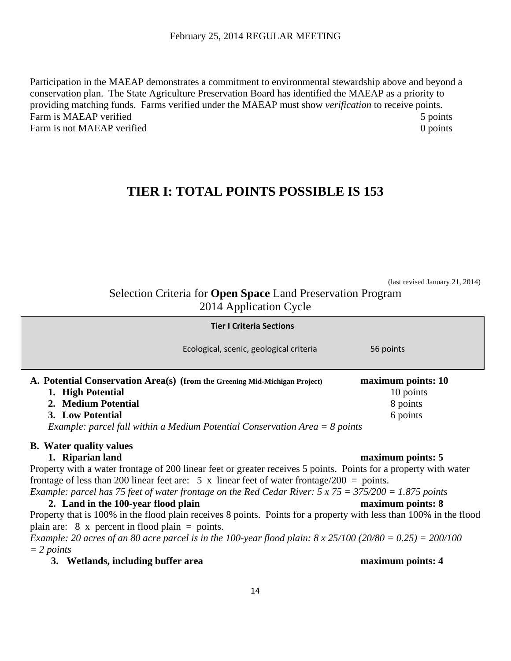Participation in the MAEAP demonstrates a commitment to environmental stewardship above and beyond a conservation plan. The State Agriculture Preservation Board has identified the MAEAP as a priority to providing matching funds. Farms verified under the MAEAP must show *verification* to receive points. Farm is MAEAP verified 5 points 5 points Farm is not MAEAP verified 0 points 0 points

# **TIER I: TOTAL POINTS POSSIBLE IS 153**

(last revised January 21, 2014)

Selection Criteria for **Open Space** Land Preservation Program 2014 Application Cycle

| <b>Tier I Criteria Sections</b>                                                                                                                                                                                                           |                                                         |
|-------------------------------------------------------------------------------------------------------------------------------------------------------------------------------------------------------------------------------------------|---------------------------------------------------------|
| Ecological, scenic, geological criteria                                                                                                                                                                                                   | 56 points                                               |
| A. Potential Conservation Area(s) (from the Greening Mid-Michigan Project)<br>1. High Potential<br>2. Medium Potential<br>3. Low Potential<br><i>Example: parcel fall within a Medium Potential Conservation Area</i> $= 8$ <i>points</i> | maximum points: 10<br>10 points<br>8 points<br>6 points |
| <b>B.</b> Water quality values                                                                                                                                                                                                            |                                                         |
| 1. Riparian land                                                                                                                                                                                                                          | maximum points: 5                                       |
| Property with a water frontage of 200 linear feet or greater receives 5 points. Points for a property with water                                                                                                                          |                                                         |
| frontage of less than 200 linear feet are: 5 x linear feet of water frontage/200 = points.                                                                                                                                                |                                                         |
| Example: parcel has 75 feet of water frontage on the Red Cedar River: $5 \times 75 = 375/200 = 1.875$ points                                                                                                                              |                                                         |
| 2. Land in the 100-year flood plain                                                                                                                                                                                                       | maximum points: 8                                       |
| Property that is 100% in the flood plain receives 8 points. Points for a property with less than 100% in the flood                                                                                                                        |                                                         |
| plain are: $8 \times$ percent in flood plain = points.                                                                                                                                                                                    |                                                         |

*Example: 20 acres of an 80 acre parcel is in the 100-year flood plain: 8 x 25/100 (20/80 = 0.25) = 200/100 = 2 points* 

**3. Wetlands, including buffer area maximum points: 4** 

# 14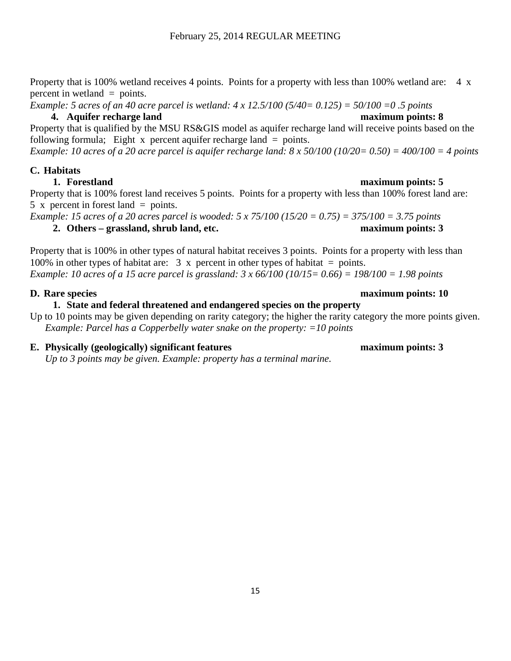Property that is 100% wetland receives 4 points. Points for a property with less than 100% wetland are: 4 x percent in wetland = points.

*Example: 5 acres of an 40 acre parcel is wetland: 4 x 12.5/100 (5/40= 0.125) = 50/100 =0 .5 points* 

### **4. Aquifer recharge land maximum points: 8**

Property that is qualified by the MSU RS&GIS model as aquifer recharge land will receive points based on the following formula; Eight x percent aquifer recharge land  $=$  points.

*Example: 10 acres of a 20 acre parcel is aquifer recharge land: 8 x 50/100 (10/20= 0.50) = 400/100 = 4 points* 

### **C. Habitats**

Property that is 100% forest land receives 5 points. Points for a property with less than 100% forest land are: 5 x percent in forest land  $=$  points.

*Example: 15 acres of a 20 acres parcel is wooded: 5 x 75/100 (15/20 = 0.75) = 375/100 = 3.75 points*  **2. Others – grassland, shrub land, etc. maximum points: 3**

Property that is 100% in other types of natural habitat receives 3 points. Points for a property with less than 100% in other types of habitat are:  $3 \times$  percent in other types of habitat = points. *Example: 10 acres of a 15 acre parcel is grassland: 3 x 66/100 (10/15= 0.66) = 198/100 = 1.98 points* 

### **D. Rare species maximum points: 10**

# **1. State and federal threatened and endangered species on the property**

Up to 10 points may be given depending on rarity category; the higher the rarity category the more points given. *Example: Parcel has a Copperbelly water snake on the property: =10 points* 

# **E. Physically (geologically) significant features maximum points: 3**

*Up to 3 points may be given. Example: property has a terminal marine.* 

#### **1. Forestland maximum points: 5**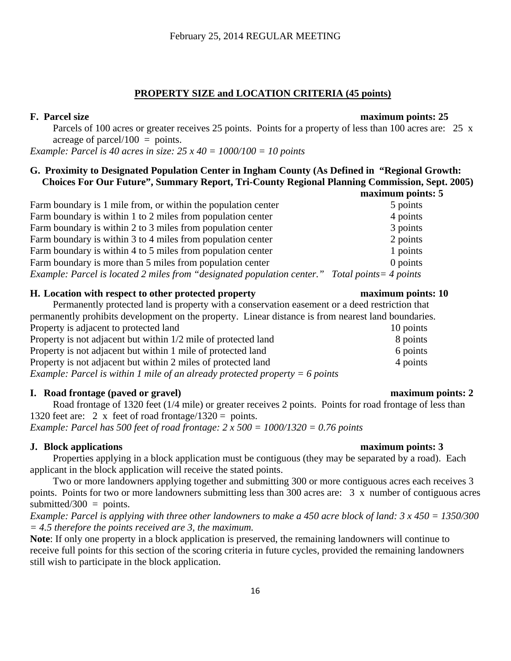#### **PROPERTY SIZE and LOCATION CRITERIA (45 points)**

#### **F. Parcel size maximum points: 25**

Parcels of 100 acres or greater receives 25 points. Points for a property of less than 100 acres are: 25 x acreage of parcel/100  $=$  points.

*Example: Parcel is 40 acres in size: 25 x 40 = 1000/100 = 10 points* 

#### **G. Proximity to Designated Population Center in Ingham County (As Defined in "Regional Growth: Choices For Our Future", Summary Report, Tri-County Regional Planning Commission, Sept. 2005) maximum points: 5**

|                                                                                                 | шалшиш рош |
|-------------------------------------------------------------------------------------------------|------------|
| Farm boundary is 1 mile from, or within the population center                                   | 5 points   |
| Farm boundary is within 1 to 2 miles from population center                                     | 4 points   |
| Farm boundary is within 2 to 3 miles from population center                                     | 3 points   |
| Farm boundary is within 3 to 4 miles from population center                                     | 2 points   |
| Farm boundary is within 4 to 5 miles from population center                                     | 1 points   |
| Farm boundary is more than 5 miles from population center                                       | 0 points   |
| Example: Parcel is located 2 miles from "designated population center." Total points = 4 points |            |

#### **H. Location with respect to other protected property maximum points: 10**

Permanently protected land is property with a conservation easement or a deed restriction that permanently prohibits development on the property. Linear distance is from nearest land boundaries. Property is adjacent to protected land 10 points 10 points Property is not adjacent but within  $1/2$  mile of protected land 8 points Property is not adjacent but within 1 mile of protected land 6 points 6 points Property is not adjacent but within 2 miles of protected land 4 points 4 points *Example: Parcel is within 1 mile of an already protected property = 6 points* 

#### **I. Road frontage (paved or gravel) maximum points: 2**

Road frontage of 1320 feet (1/4 mile) or greater receives 2 points. Points for road frontage of less than 1320 feet are: 2 x feet of road frontage/1320 = points. *Example: Parcel has 500 feet of road frontage: 2 x 500 = 1000/1320 = 0.76 points* 

#### **J. Block applications maximum points: 3**

Properties applying in a block application must be contiguous (they may be separated by a road). Each applicant in the block application will receive the stated points.

Two or more landowners applying together and submitting 300 or more contiguous acres each receives 3 points. Points for two or more landowners submitting less than 300 acres are: 3 x number of contiguous acres submitted/300 = points.

*Example: Parcel is applying with three other landowners to make a 450 acre block of land: 3 x 450 = 1350/300 = 4.5 therefore the points received are 3, the maximum.* 

**Note**: If only one property in a block application is preserved, the remaining landowners will continue to receive full points for this section of the scoring criteria in future cycles, provided the remaining landowners still wish to participate in the block application.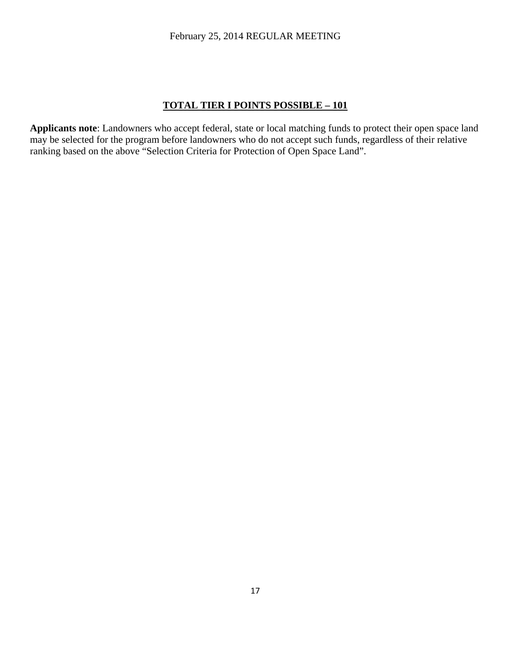#### **TOTAL TIER I POINTS POSSIBLE – 101**

**Applicants note**: Landowners who accept federal, state or local matching funds to protect their open space land may be selected for the program before landowners who do not accept such funds, regardless of their relative ranking based on the above "Selection Criteria for Protection of Open Space Land".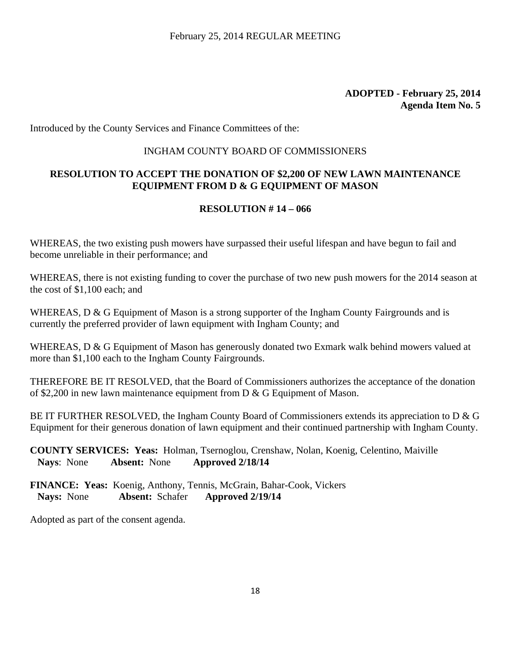Introduced by the County Services and Finance Committees of the:

# INGHAM COUNTY BOARD OF COMMISSIONERS

# **RESOLUTION TO ACCEPT THE DONATION OF \$2,200 OF NEW LAWN MAINTENANCE EQUIPMENT FROM D & G EQUIPMENT OF MASON**

# **RESOLUTION # 14 – 066**

WHEREAS, the two existing push mowers have surpassed their useful lifespan and have begun to fail and become unreliable in their performance; and

WHEREAS, there is not existing funding to cover the purchase of two new push mowers for the 2014 season at the cost of \$1,100 each; and

WHEREAS, D & G Equipment of Mason is a strong supporter of the Ingham County Fairgrounds and is currently the preferred provider of lawn equipment with Ingham County; and

WHEREAS, D & G Equipment of Mason has generously donated two Exmark walk behind mowers valued at more than \$1,100 each to the Ingham County Fairgrounds.

THEREFORE BE IT RESOLVED, that the Board of Commissioners authorizes the acceptance of the donation of \$2,200 in new lawn maintenance equipment from D & G Equipment of Mason.

BE IT FURTHER RESOLVED, the Ingham County Board of Commissioners extends its appreciation to D & G Equipment for their generous donation of lawn equipment and their continued partnership with Ingham County.

**COUNTY SERVICES: Yeas:** Holman, Tsernoglou, Crenshaw, Nolan, Koenig, Celentino, Maiville **Nays**: None **Absent:** None **Approved 2/18/14**

**FINANCE: Yeas:** Koenig, Anthony, Tennis, McGrain, Bahar-Cook, Vickers  **Nays:** None **Absent:** Schafer **Approved 2/19/14**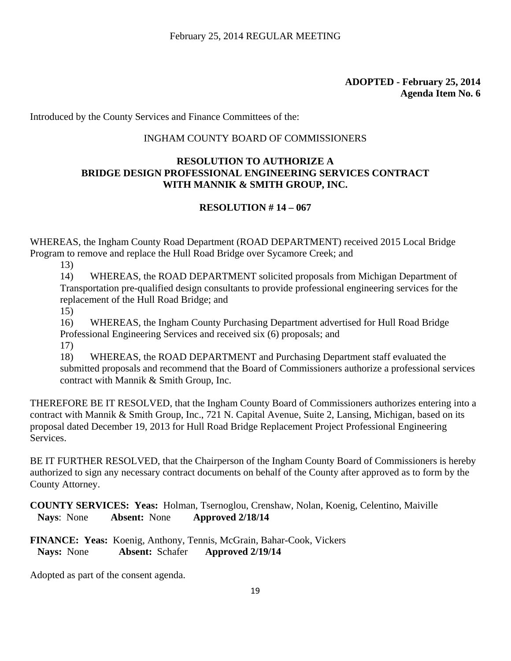Introduced by the County Services and Finance Committees of the:

### INGHAM COUNTY BOARD OF COMMISSIONERS

### **RESOLUTION TO AUTHORIZE A BRIDGE DESIGN PROFESSIONAL ENGINEERING SERVICES CONTRACT WITH MANNIK & SMITH GROUP, INC.**

### **RESOLUTION # 14 – 067**

WHEREAS, the Ingham County Road Department (ROAD DEPARTMENT) received 2015 Local Bridge Program to remove and replace the Hull Road Bridge over Sycamore Creek; and

13)

14) WHEREAS, the ROAD DEPARTMENT solicited proposals from Michigan Department of Transportation pre-qualified design consultants to provide professional engineering services for the replacement of the Hull Road Bridge; and

15)

16) WHEREAS, the Ingham County Purchasing Department advertised for Hull Road Bridge Professional Engineering Services and received six (6) proposals; and 17)

18) WHEREAS, the ROAD DEPARTMENT and Purchasing Department staff evaluated the submitted proposals and recommend that the Board of Commissioners authorize a professional services contract with Mannik & Smith Group, Inc.

THEREFORE BE IT RESOLVED, that the Ingham County Board of Commissioners authorizes entering into a contract with Mannik & Smith Group, Inc., 721 N. Capital Avenue, Suite 2, Lansing, Michigan, based on its proposal dated December 19, 2013 for Hull Road Bridge Replacement Project Professional Engineering Services.

BE IT FURTHER RESOLVED, that the Chairperson of the Ingham County Board of Commissioners is hereby authorized to sign any necessary contract documents on behalf of the County after approved as to form by the County Attorney.

**COUNTY SERVICES: Yeas:** Holman, Tsernoglou, Crenshaw, Nolan, Koenig, Celentino, Maiville **Nays**: None **Absent:** None **Approved 2/18/14**

**FINANCE: Yeas:** Koenig, Anthony, Tennis, McGrain, Bahar-Cook, Vickers  **Nays:** None **Absent:** Schafer **Approved 2/19/14**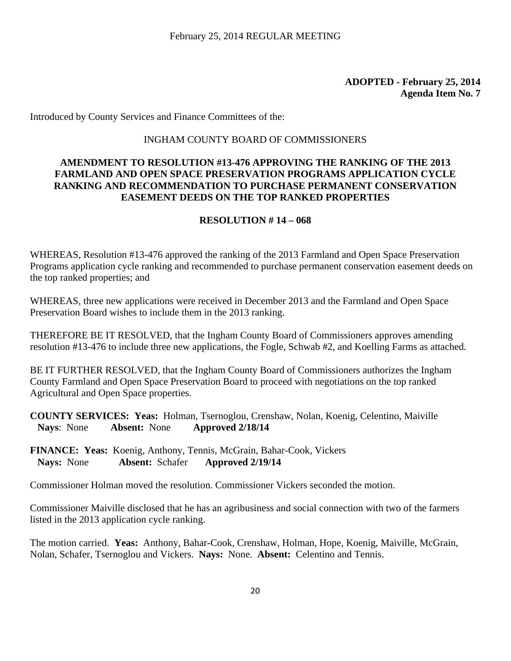Introduced by County Services and Finance Committees of the:

#### INGHAM COUNTY BOARD OF COMMISSIONERS

### **AMENDMENT TO RESOLUTION #13-476 APPROVING THE RANKING OF THE 2013 FARMLAND AND OPEN SPACE PRESERVATION PROGRAMS APPLICATION CYCLE RANKING AND RECOMMENDATION TO PURCHASE PERMANENT CONSERVATION EASEMENT DEEDS ON THE TOP RANKED PROPERTIES**

#### **RESOLUTION # 14 – 068**

WHEREAS, Resolution #13-476 approved the ranking of the 2013 Farmland and Open Space Preservation Programs application cycle ranking and recommended to purchase permanent conservation easement deeds on the top ranked properties; and

WHEREAS, three new applications were received in December 2013 and the Farmland and Open Space Preservation Board wishes to include them in the 2013 ranking.

THEREFORE BE IT RESOLVED, that the Ingham County Board of Commissioners approves amending resolution #13-476 to include three new applications, the Fogle, Schwab #2, and Koelling Farms as attached.

BE IT FURTHER RESOLVED, that the Ingham County Board of Commissioners authorizes the Ingham County Farmland and Open Space Preservation Board to proceed with negotiations on the top ranked Agricultural and Open Space properties.

**COUNTY SERVICES: Yeas:** Holman, Tsernoglou, Crenshaw, Nolan, Koenig, Celentino, Maiville **Nays**: None **Absent:** None **Approved 2/18/14**

**FINANCE: Yeas:** Koenig, Anthony, Tennis, McGrain, Bahar-Cook, Vickers  **Nays:** None **Absent:** Schafer **Approved 2/19/14** 

Commissioner Holman moved the resolution. Commissioner Vickers seconded the motion.

Commissioner Maiville disclosed that he has an agribusiness and social connection with two of the farmers listed in the 2013 application cycle ranking.

The motion carried. **Yeas:** Anthony, Bahar-Cook, Crenshaw, Holman, Hope, Koenig, Maiville, McGrain, Nolan, Schafer, Tsernoglou and Vickers. **Nays:** None. **Absent:** Celentino and Tennis.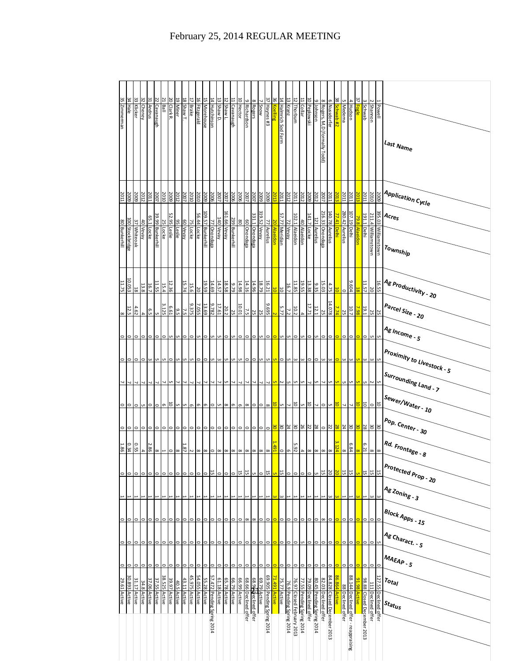| 35 Zimmerman            | 34 Hale           | 33 Klicker    | 32 Cheney                | 31 Andrus    | 22 Cavanaugh     | 21<br>Ball       | 20 Clark R.  | 19 Miner    | 18 Shaw T.        | 17 Brake                | 16 Fitzgerald       | 15 Morehouse                                                                                                                                                                                                                                                                                                                                                                                                                                                                         | 14 Hutchinson              | 13 Shaw D.   | 12 Shaw L.   | 11 Cavanaugh       | 10 Hector    | 9 Richardson         | 8 Rogers                        | Snow            | 37 Haynes #3               | $\frac{36}{26}$<br>Koelling | 14 Halmrich Sod Farm | 13 Kranz                 | 5<br>Thorburn              | $\frac{11}{2}$<br><b>Collar</b> | 10 Peplowski                                                      | g Johnson           | 8 Rogers, M,D (formally Todd) | 6 Nussdorfer                | 38<br>Schwab #2  | 5 Medema          | <b>Hudson</b>                 | 37<br><b>Fogle</b>                              | ω<br><b>Schwab</b>         | <b>Shannon</b>                    | Powell                | Last Name                                                             |
|-------------------------|-------------------|---------------|--------------------------|--------------|------------------|------------------|--------------|-------------|-------------------|-------------------------|---------------------|--------------------------------------------------------------------------------------------------------------------------------------------------------------------------------------------------------------------------------------------------------------------------------------------------------------------------------------------------------------------------------------------------------------------------------------------------------------------------------------|----------------------------|--------------|--------------|--------------------|--------------|----------------------|---------------------------------|-----------------|----------------------------|-----------------------------|----------------------|--------------------------|----------------------------|---------------------------------|-------------------------------------------------------------------|---------------------|-------------------------------|-----------------------------|------------------|-------------------|-------------------------------|-------------------------------------------------|----------------------------|-----------------------------------|-----------------------|-----------------------------------------------------------------------|
| 2011                    | 2009              | 2009          | 2012                     | 2011         | 2007             | 2010             | 5009         | 2012        | 2007              | 2010                    | 2010                | 2009                                                                                                                                                                                                                                                                                                                                                                                                                                                                                 | 2006                       | 2007         | 2007         | 2006<br>2006       |              | 2007                 | 2007                            | 5009            | 2009                       | 2013                        | 2011                 | 2012                     | 2011                       | 2012                            | 5009                                                              | 2012                | 2007                          | 2011                        | 2013             | 2011              | 2011                          | 201                                             | 2011                       | 2010                              | 5009                  | l <sup>Application Cycle</sup>                                        |
|                         |                   |               |                          |              |                  | $\frac{25}{2}$   |              |             |                   | 75                      |                     |                                                                                                                                                                                                                                                                                                                                                                                                                                                                                      |                            | 140          | I61.66 Vevay |                    | 80           |                      |                                 | 319.52 Vevay    |                            | $\overline{50}$             |                      |                          |                            |                                 |                                                                   |                     |                               |                             | 77.41 Delhi      |                   | 107.19 Delhi                  | 79.8                                            | 191.1 Delhi                |                                   |                       | $A_{Cre_S}$                                                           |
| 80 Bunkerhill           | 100 Stockbridge   | 37 Whiteoak   | 40 Vevay                 | 65.1 Locke   | 39.99 Bunkerhill | Locke            | 52.95 Leslie | 95 Leslie   | 60 Vevay          | Locke                   | 56.44 Locke         | 109.57 Bunkerhill                                                                                                                                                                                                                                                                                                                                                                                                                                                                    | 77 Onondaga                | Vevay        |              | 239 Bunkerhill     |              | 60 Onondaga          | 331.1 Onondaga                  |                 | 77 Aurelius                | <b>Alaeidon</b>             | 57.77 Meridian       | 72 Vevay                 | 102.1 Alaeidon             | 40 Alaeidon                     | 141.7 Locke                                                       | 121 Aurelius        | 216.33 Onondaga               | 140.78 Aurelius             |                  | 280.42 Aurelius   |                               | <b>Alaeidon</b>                                 |                            | 211.4 Williamstown                | 395.03 Williamstown   | Township                                                              |
| 11.75                   | 10.053            | $\frac{1}{8}$ | 13.8                     | 16.7         | 11.55            | 15.4             | 12.36        |             | 15.74             | 15.6                    | $\overline{20}$     | 19.59                                                                                                                                                                                                                                                                                                                                                                                                                                                                                | 14.69                      | 14.57        | 18.58        | 9.79               | 14.98        | 14.16                | 14.96                           | 18.79           | 16.21                      | ã                           | 5                    | 16.7                     | 11.85                      | 19.55                           | 13.38                                                             | 9.35                | 15.03                         | 4.75                        | ã                | $\circ$           | 9.604                         |                                                 | 11.57                      | $\overline{\circ}$                | 16.55                 | <sup>  Ag p</sup> roductivity - 20                                    |
| 8                       | <b>12.5</b>       | 4.62          | $\overline{\phantom{a}}$ | 6.5          | u                | 3.125            | E.61         | 9.5         | $\frac{2}{3}$     | 9.375                   | 7.055               | 13.69                                                                                                                                                                                                                                                                                                                                                                                                                                                                                | 9.782                      | 17.61        | 20.2         | $\frac{10.01}{25}$ |              | 7.5                  | <b>25</b>                       | <b>25</b>       | 569'6                      | $\overline{N}$              | 5.77                 | 7.2                      | 10.2                       |                                 | 17.71                                                             | $\frac{12.1}{2}$    | 25                            | 14.078                      | 7.74             | $\frac{25}{2}$    | 10.7                          | 7.98                                            | 19.1                       | 25                                | $\frac{25}{2}$        | l <sup>Parcel</sup> Size - 20                                         |
|                         |                   |               |                          |              |                  |                  |              |             |                   |                         |                     |                                                                                                                                                                                                                                                                                                                                                                                                                                                                                      |                            |              |              |                    |              |                      |                                 |                 |                            |                             |                      |                          |                            |                                 |                                                                   |                     |                               |                             |                  |                   |                               |                                                 |                            |                                   |                       | Ag <sub>Income - 5</sub>                                              |
| $\circ$                 | $\circ$           | c             |                          |              |                  |                  |              |             |                   |                         |                     |                                                                                                                                                                                                                                                                                                                                                                                                                                                                                      |                            |              |              |                    |              |                      |                                 |                 |                            |                             |                      |                          |                            |                                 |                                                                   |                     |                               |                             |                  |                   |                               |                                                 |                            |                                   |                       | Proximity to Livestock - 5                                            |
|                         |                   |               |                          |              |                  |                  |              |             |                   |                         |                     |                                                                                                                                                                                                                                                                                                                                                                                                                                                                                      |                            |              |              |                    |              |                      |                                 |                 |                            |                             |                      | UΠ                       |                            |                                 |                                                                   |                     |                               |                             |                  |                   |                               |                                                 | JП                         |                                   |                       | <sup>Surrounding Land - 7</sup>                                       |
| 0∣⊙                     |                   | ∣⇔            | S                        | $\circ$      | $\circ$          | $\sigma$         | 5            | u           | C                 | e                       | Ō                   | G                                                                                                                                                                                                                                                                                                                                                                                                                                                                                    | $\circ$                    | C            | $\infty$     | G                  | G            | $\infty$             | $\circ$                         | ⊝  ∞            |                            | 5                           | S.                   | $\overline{\phantom{0}}$ | 5                          | CJ.                             | 5                                                                 | $\overline{ }$      | $\circ$                       | u,                          | 5                | 7                 |                               | 5                                               | $\overline{5}$             | $\circ$                           | 5                     | Sewer/W <sub>ater - 10</sub>                                          |
| $\circ$                 | $\circ$           | $\circ$       | $\circ$                  | 0            | 0                | 0                |              | 0           | 0                 | 0                       | 0                   | 0                                                                                                                                                                                                                                                                                                                                                                                                                                                                                    | 0                          | 0            | $\circ$      | $\circ$            | $\circ$      | $\circ$              | $\circ$                         | $\circ$         | $\circ$                    | 30                          |                      |                          |                            | $\frac{26}{30}$ $\frac{24}{30}$ | $\frac{28}{22}$                                                   |                     | $\circ$                       | $\frac{2}{2}$               | $\overline{28}$  | $\frac{24}{3}$    | 30                            | æ                                               | $\frac{30}{28}$            |                                   | 30                    | <sup>Pop. Center - 30</sup>                                           |
| 1.86                    | 0.55              |               |                          |              | $\frac{3.86}{4}$ |                  |              |             |                   |                         |                     | $\frac{1}{\infty} \left  \frac{1}{\infty} \right  \left  \frac{1}{\infty} \right  \left  \frac{1}{\infty} \right  \left  \frac{1}{\infty} \right  \left  \frac{1}{\infty} \right  \left  \frac{1}{\infty} \right  \left  \frac{1}{\infty} \right  \left  \frac{1}{\infty} \right  \left  \frac{1}{\infty} \right  \left  \frac{1}{\infty} \right  \left  \frac{1}{\infty} \right  \left  \frac{1}{\infty} \right  \left  \frac{1}{\infty} \right  \left  \frac{1}{\infty} \right  \$ |                            |              |              |                    |              |                      |                                 |                 |                            | 1.491                       |                      |                          |                            |                                 |                                                                   |                     |                               |                             | 124              | $\infty$          | 6.84                          | $\frac{1}{\infty}$ $\left  \frac{1}{2} \right $ |                            |                                   |                       | $\frac{\left   Rd \right  }{\left   Fron_{\text{tage}} \right  }$ . 8 |
| $\circ$ $\circ$ $\circ$ |                   |               | $\circ$                  | $\circ$      | $\circ$          | $\circ$          | $\circ$      |             | $\circ$   $\circ$ |                         | $  \circ   \circ  $ |                                                                                                                                                                                                                                                                                                                                                                                                                                                                                      | $rac{12}{0}$               | $\circ$      |              | $\frac{5}{10}$ o   |              | 15                   | $\frac{1}{10}$ o $\frac{1}{10}$ |                 |                            | <b>u</b>                    |                      |                          |                            |                                 | <u> ¤ ∘ ∘ ∘ </u>                                                  | ᆔ                   |                               | 50                          | 2Q               | $\frac{15}{12}$   | 15                            | S.                                              | $\frac{15}{15}$            |                                   | ۵                     | Protected Prop - 20                                                   |
|                         |                   |               |                          |              |                  |                  |              |             |                   |                         |                     |                                                                                                                                                                                                                                                                                                                                                                                                                                                                                      |                            |              |              |                    |              |                      |                                 |                 |                            |                             |                      |                          |                            |                                 |                                                                   |                     |                               |                             |                  |                   |                               |                                                 |                            |                                   |                       | Ag Zoning - 3                                                         |
| $\circ$                 | $\circ$           | $\circ$       |                          | $\circ$      | 0                |                  |              | $\circ$     | 0                 | $\circ$                 | $\circ$             | $\circ$                                                                                                                                                                                                                                                                                                                                                                                                                                                                              | $\circ$                    | $\circ$      | $\circ$      | $\circ$            | $\circ$      | $\infty$             | $\infty$                        | 0               | $\circ$                    |                             | $\circ$              | $\circ$                  | $\circ$                    |                                 | $\circ$                                                           | $\circ$             | $\infty$                      | $\circ$                     |                  | $\circ$           | $\circ$                       |                                                 | $\circ$                    | $\circ$                           |                       | $B$ lock Apps - 15                                                    |
|                         |                   |               |                          |              |                  |                  |              |             |                   |                         |                     |                                                                                                                                                                                                                                                                                                                                                                                                                                                                                      |                            |              |              |                    |              |                      |                                 |                 |                            |                             |                      |                          |                            |                                 |                                                                   |                     |                               |                             |                  |                   |                               |                                                 |                            |                                   |                       | Ag Charact. - 5                                                       |
| $\circ$                 | $\circ$           | $\circ$       |                          | 0            | $\circ$          |                  |              | 0           | $\circ$           | $\circ$                 | 0                   | $\circ$                                                                                                                                                                                                                                                                                                                                                                                                                                                                              | $\circ$                    | 0            | 0            | $\circ$            | $\circ$      | $\circ$              | $\circ$                         | O               | $\circ$                    |                             | O                    | $\circ$                  | $\circ$                    | c                               | $\circ$                                                           | $\circ$             | $\circ$                       | $\circ$                     |                  | $\circ$           |                               |                                                 | $\circ$                    | $\circ$                           |                       | $M_{AB}$ $\sim$ 5                                                     |
| $\circ$                 | $\circ$   $\circ$ |               | $\circ$                  | $\circ$      | $\circ$          | $\circ$          | $\circ$      | $\circ$     | $\circ$           | $\circ$                 | $\circ$             |                                                                                                                                                                                                                                                                                                                                                                                                                                                                                      | <u>0   0 </u>              | $\circ$      | ∘∣           | $\circ$ $\circ$    |              | $\circ$              | $\circ$                         | $\circ$ $\circ$ |                            | $\circ$                     | $\circ$              | $\circ$                  | $\circ$                    | $\circ$                         |                                                                   | $\circ \circ \circ$ |                               | $\circ$                     | $\bullet$        | $\circ$           | $\circ$                       | $\overline{\phantom{0}}$                        | $\circ$                    | $\circ$                           | $\circ$               | $r_{\mathrm{otaj}}$                                                   |
| 29.61 Active            | 30.893 Active     | 31.17 Active  | 34.8 Active              | 37.06 Active | 37.55 Active     | 38.525<br>Active | 39.97 Active | 40.5 Active | 43.11 Active      | 45.975<br><b>Active</b> | 54.055 Active       | 55.28 Active                                                                                                                                                                                                                                                                                                                                                                                                                                                                         | 57.472 Pending Spring 2014 | 61.18 Active | 65.78 Active | 66.79 Active       | 66.99 Active | 68.66 Declined offer | 68.96 peclined offer            | 69.79 Active    | 69.905 Pending Spring 2014 | 71.491<br><b>Active</b>     | 75.77 Active         | 76.9 Pending Spring 2014 | 76.97 Closed February 2013 | 77.55 Pending Spring 2014       | <u>80.45 Pending Sp</u> ring 2014<br><u>79.09 Declined o</u> ffer |                     | 82.03<br>Declined offer       | 84.828 Closed December 2013 | 86.864<br>Active | 88 Declined offer | 88.144                        | 91.98<br>Active                                 | 98.88 Closed December 2013 | $\frac{111}{2}$<br>Declined offer | 127.55 Declined offer | $s_{t at u s}$                                                        |
|                         |                   |               |                          |              |                  |                  |              |             |                   |                         |                     |                                                                                                                                                                                                                                                                                                                                                                                                                                                                                      |                            |              |              |                    |              |                      |                                 |                 |                            |                             |                      |                          |                            |                                 |                                                                   |                     |                               |                             |                  |                   | Declined offer - reappraising |                                                 |                            |                                   |                       |                                                                       |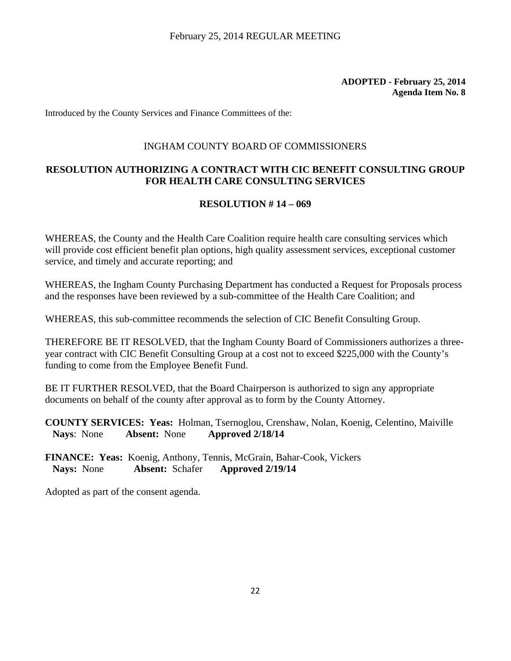Introduced by the County Services and Finance Committees of the:

#### INGHAM COUNTY BOARD OF COMMISSIONERS

### **RESOLUTION AUTHORIZING A CONTRACT WITH CIC BENEFIT CONSULTING GROUP FOR HEALTH CARE CONSULTING SERVICES**

#### **RESOLUTION # 14 – 069**

WHEREAS, the County and the Health Care Coalition require health care consulting services which will provide cost efficient benefit plan options, high quality assessment services, exceptional customer service, and timely and accurate reporting; and

WHEREAS, the Ingham County Purchasing Department has conducted a Request for Proposals process and the responses have been reviewed by a sub-committee of the Health Care Coalition; and

WHEREAS, this sub-committee recommends the selection of CIC Benefit Consulting Group.

THEREFORE BE IT RESOLVED, that the Ingham County Board of Commissioners authorizes a threeyear contract with CIC Benefit Consulting Group at a cost not to exceed \$225,000 with the County's funding to come from the Employee Benefit Fund.

BE IT FURTHER RESOLVED, that the Board Chairperson is authorized to sign any appropriate documents on behalf of the county after approval as to form by the County Attorney.

**COUNTY SERVICES: Yeas:** Holman, Tsernoglou, Crenshaw, Nolan, Koenig, Celentino, Maiville **Nays**: None **Absent:** None **Approved 2/18/14**

**FINANCE: Yeas:** Koenig, Anthony, Tennis, McGrain, Bahar-Cook, Vickers  **Nays:** None **Absent:** Schafer **Approved 2/19/14**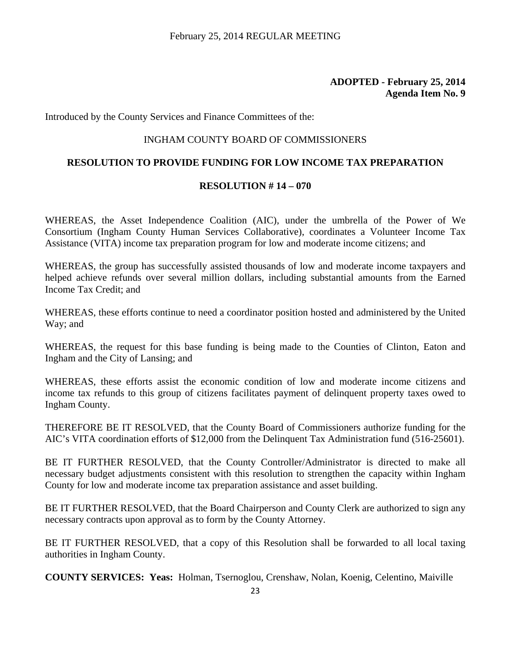Introduced by the County Services and Finance Committees of the:

#### INGHAM COUNTY BOARD OF COMMISSIONERS

#### **RESOLUTION TO PROVIDE FUNDING FOR LOW INCOME TAX PREPARATION**

#### **RESOLUTION # 14 – 070**

WHEREAS, the Asset Independence Coalition (AIC), under the umbrella of the Power of We Consortium (Ingham County Human Services Collaborative), coordinates a Volunteer Income Tax Assistance (VITA) income tax preparation program for low and moderate income citizens; and

WHEREAS, the group has successfully assisted thousands of low and moderate income taxpayers and helped achieve refunds over several million dollars, including substantial amounts from the Earned Income Tax Credit; and

WHEREAS, these efforts continue to need a coordinator position hosted and administered by the United Way; and

WHEREAS, the request for this base funding is being made to the Counties of Clinton, Eaton and Ingham and the City of Lansing; and

WHEREAS, these efforts assist the economic condition of low and moderate income citizens and income tax refunds to this group of citizens facilitates payment of delinquent property taxes owed to Ingham County.

THEREFORE BE IT RESOLVED, that the County Board of Commissioners authorize funding for the AIC's VITA coordination efforts of \$12,000 from the Delinquent Tax Administration fund (516-25601).

BE IT FURTHER RESOLVED, that the County Controller/Administrator is directed to make all necessary budget adjustments consistent with this resolution to strengthen the capacity within Ingham County for low and moderate income tax preparation assistance and asset building.

BE IT FURTHER RESOLVED, that the Board Chairperson and County Clerk are authorized to sign any necessary contracts upon approval as to form by the County Attorney.

BE IT FURTHER RESOLVED, that a copy of this Resolution shall be forwarded to all local taxing authorities in Ingham County.

**COUNTY SERVICES: Yeas:** Holman, Tsernoglou, Crenshaw, Nolan, Koenig, Celentino, Maiville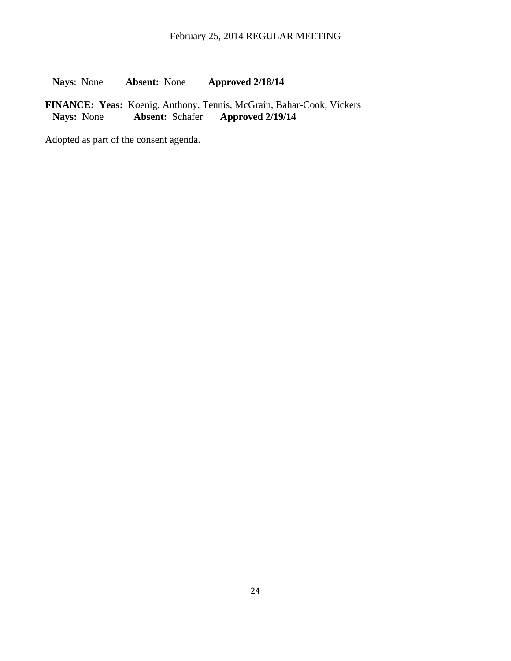**Nays**: None **Absent:** None **Approved 2/18/14**

FINANCE: Yeas: Koenig, Anthony, Tennis, McGrain, Bahar-Cook, Vickers<br>Nays: None **Absent: Schafer Approved 2/19/14 Nays:** None **Absent:** Schafer **Approved 2/19/14**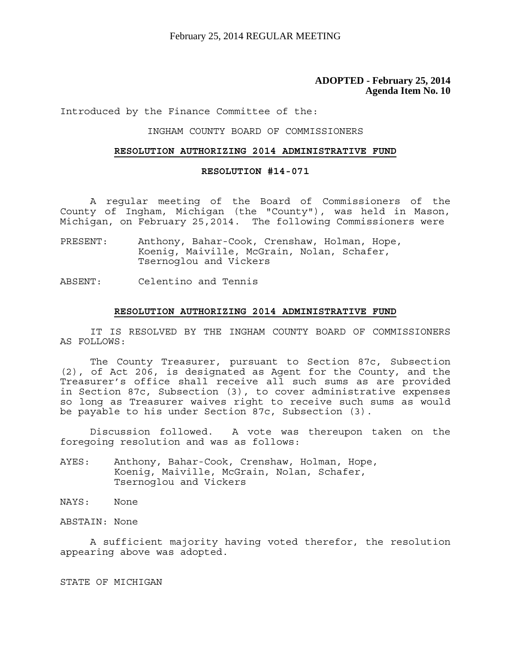Introduced by the Finance Committee of the:

#### INGHAM COUNTY BOARD OF COMMISSIONERS

#### **RESOLUTION AUTHORIZING 2014 ADMINISTRATIVE FUND**

#### **RESOLUTION #14-071**

 A regular meeting of the Board of Commissioners of the County of Ingham, Michigan (the "County"), was held in Mason, Michigan, on February 25,2014. The following Commissioners were

- PRESENT: Anthony, Bahar-Cook, Crenshaw, Holman, Hope, Koenig, Maiville, McGrain, Nolan, Schafer, Tsernoglou and Vickers
- ABSENT: Celentino and Tennis

#### **RESOLUTION AUTHORIZING 2014 ADMINISTRATIVE FUND**

 IT IS RESOLVED BY THE INGHAM COUNTY BOARD OF COMMISSIONERS AS FOLLOWS:

 The County Treasurer, pursuant to Section 87c, Subsection (2), of Act 206, is designated as Agent for the County, and the Treasurer's office shall receive all such sums as are provided in Section 87c, Subsection (3), to cover administrative expenses so long as Treasurer waives right to receive such sums as would be payable to his under Section 87c, Subsection (3).

 Discussion followed. A vote was thereupon taken on the foregoing resolution and was as follows:

AYES: Anthony, Bahar-Cook, Crenshaw, Holman, Hope, Koenig, Maiville, McGrain, Nolan, Schafer, Tsernoglou and Vickers

NAYS: None

ABSTAIN: None

 A sufficient majority having voted therefor, the resolution appearing above was adopted.

STATE OF MICHIGAN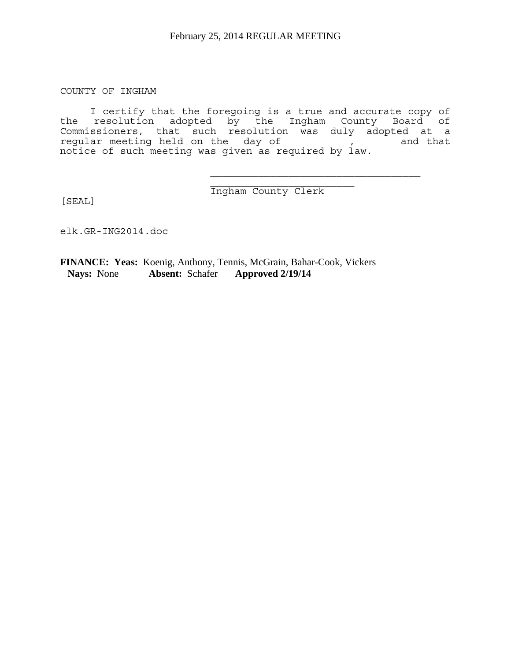COUNTY OF INGHAM

 I certify that the foregoing is a true and accurate copy of the resolution adopted by the Ingham County Board of Commissioners, that such resolution was duly adopted at a regular meeting held on the day of the state of that notice of such meeting was given as required by law.

 $\overline{\phantom{a}}$  ,  $\overline{\phantom{a}}$  ,  $\overline{\phantom{a}}$  ,  $\overline{\phantom{a}}$  ,  $\overline{\phantom{a}}$  ,  $\overline{\phantom{a}}$  ,  $\overline{\phantom{a}}$  ,  $\overline{\phantom{a}}$  ,  $\overline{\phantom{a}}$  ,  $\overline{\phantom{a}}$  ,  $\overline{\phantom{a}}$  ,  $\overline{\phantom{a}}$  ,  $\overline{\phantom{a}}$  ,  $\overline{\phantom{a}}$  ,  $\overline{\phantom{a}}$  ,  $\overline{\phantom{a}}$ Ingham County Clerk

 $\mathcal{L}_\text{max}$ 

[SEAL]

elk.GR-ING2014.doc

**FINANCE: Yeas:** Koenig, Anthony, Tennis, McGrain, Bahar-Cook, Vickers  **Nays:** None **Absent:** Schafer **Approved 2/19/14**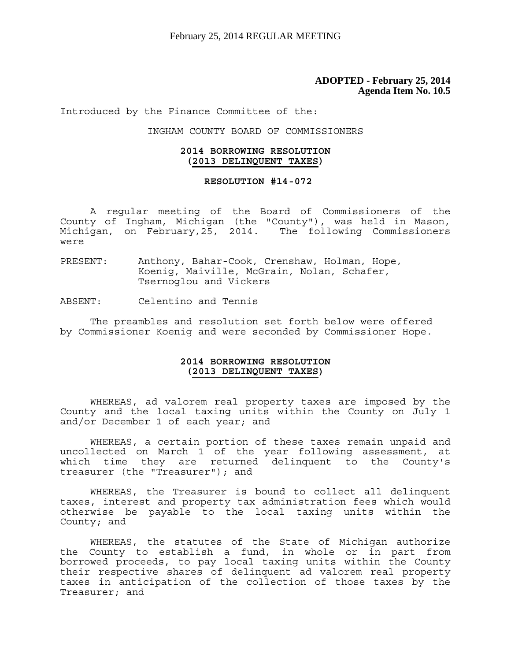Introduced by the Finance Committee of the:

INGHAM COUNTY BOARD OF COMMISSIONERS

#### **2014 BORROWING RESOLUTION (2013 DELINQUENT TAXES)**

#### **RESOLUTION #14-072**

 A regular meeting of the Board of Commissioners of the County of Ingham, Michigan (the "County"), was held in Mason, Michigan, on February,25, 2014. The following Commissioners were

- PRESENT: Anthony, Bahar-Cook, Crenshaw, Holman, Hope, Koenig, Maiville, McGrain, Nolan, Schafer, Tsernoglou and Vickers
- ABSENT: Celentino and Tennis

The preambles and resolution set forth below were offered by Commissioner Koenig and were seconded by Commissioner Hope.

#### **2014 BORROWING RESOLUTION (2013 DELINQUENT TAXES)**

 WHEREAS, ad valorem real property taxes are imposed by the County and the local taxing units within the County on July 1 and/or December 1 of each year; and

 WHEREAS, a certain portion of these taxes remain unpaid and uncollected on March 1 of the year following assessment, at which time they are returned delinquent to the County's treasurer (the "Treasurer"); and

 WHEREAS, the Treasurer is bound to collect all delinquent taxes, interest and property tax administration fees which would otherwise be payable to the local taxing units within the County; and

 WHEREAS, the statutes of the State of Michigan authorize the County to establish a fund, in whole or in part from borrowed proceeds, to pay local taxing units within the County their respective shares of delinquent ad valorem real property taxes in anticipation of the collection of those taxes by the Treasurer; and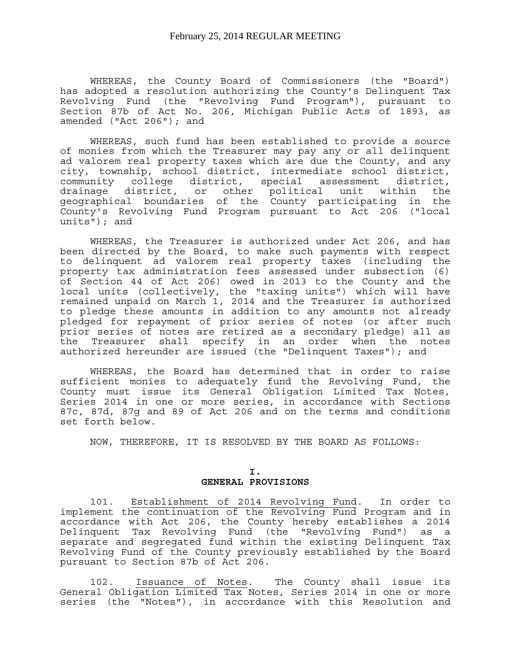WHEREAS, the County Board of Commissioners (the "Board") has adopted a resolution authorizing the County's Delinquent Tax Revolving Fund (the "Revolving Fund Program"), pursuant to Section 87b of Act No. 206, Michigan Public Acts of 1893, as amended ("Act 206"); and

 WHEREAS, such fund has been established to provide a source of monies from which the Treasurer may pay any or all delinquent ad valorem real property taxes which are due the County, and any city, township, school district, intermediate school district, community college district, special assessment district, drainage district, or other political unit within the geographical boundaries of the County participating in the County's Revolving Fund Program pursuant to Act 206 ("local  $units'$ ); and

 WHEREAS, the Treasurer is authorized under Act 206, and has been directed by the Board, to make such payments with respect to delinquent ad valorem real property taxes (including the property tax administration fees assessed under subsection (6) of Section 44 of Act 206) owed in 2013 to the County and the local units (collectively, the "taxing units") which will have remained unpaid on March 1, 2014 and the Treasurer is authorized to pledge these amounts in addition to any amounts not already pledged for repayment of prior series of notes (or after such prior series of notes are retired as a secondary pledge) all as the Treasurer shall specify in an order when the notes authorized hereunder are issued (the "Delinquent Taxes"); and

 WHEREAS, the Board has determined that in order to raise sufficient monies to adequately fund the Revolving Fund, the County must issue its General Obligation Limited Tax Notes, Series 2014 in one or more series, in accordance with Sections 87c, 87d, 87g and 89 of Act 206 and on the terms and conditions set forth below.

NOW, THEREFORE, IT IS RESOLVED BY THE BOARD AS FOLLOWS:

#### **I. GENERAL PROVISIONS**

 101. Establishment of 2014 Revolving Fund. In order to implement the continuation of the Revolving Fund Program and in accordance with Act 206, the County hereby establishes a 2014 Delinquent Tax Revolving Fund (the "Revolving Fund") as a separate and segregated fund within the existing Delinquent Tax Revolving Fund of the County previously established by the Board pursuant to Section 87b of Act 206.

 102. Issuance of Notes. The County shall issue its General Obligation Limited Tax Notes, Series 2014 in one or more series (the "Notes"), in accordance with this Resolution and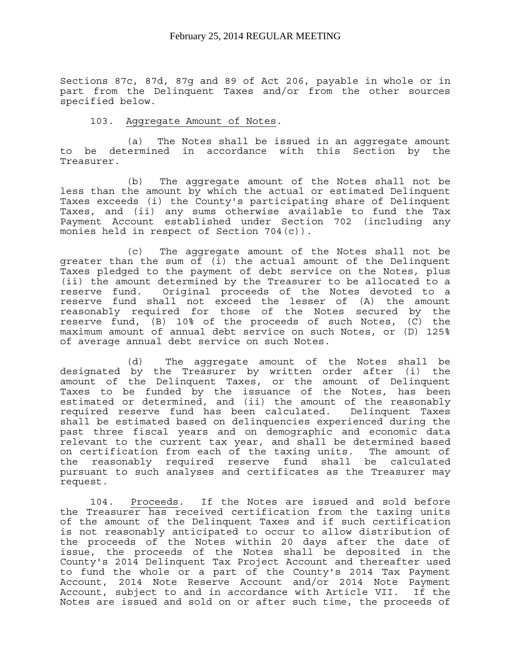Sections 87c, 87d, 87g and 89 of Act 206, payable in whole or in part from the Delinquent Taxes and/or from the other sources specified below.

#### 103. Aggregate Amount of Notes.

 (a) The Notes shall be issued in an aggregate amount to be determined in accordance with this Section by the Treasurer.

 (b) The aggregate amount of the Notes shall not be less than the amount by which the actual or estimated Delinquent Taxes exceeds (i) the County's participating share of Delinquent Taxes, and (ii) any sums otherwise available to fund the Tax Payment Account established under Section 702 (including any monies held in respect of Section 704(c)).

 (c) The aggregate amount of the Notes shall not be greater than the sum of (i) the actual amount of the Delinquent Taxes pledged to the payment of debt service on the Notes, plus (ii) the amount determined by the Treasurer to be allocated to a reserve fund. Original proceeds of the Notes devoted to a reserve fund shall not exceed the lesser of (A) the amount reasonably required for those of the Notes secured by the reserve fund, (B) 10% of the proceeds of such Notes, (C) the maximum amount of annual debt service on such Notes, or (D) 125% of average annual debt service on such Notes.

 (d) The aggregate amount of the Notes shall be designated by the Treasurer by written order after (i) the amount of the Delinquent Taxes, or the amount of Delinquent Taxes to be funded by the issuance of the Notes, has been estimated or determined, and (ii) the amount of the reasonably required reserve fund has been calculated. Delinquent Taxes shall be estimated based on delinquencies experienced during the past three fiscal years and on demographic and economic data relevant to the current tax year, and shall be determined based on certification from each of the taxing units. The amount of the reasonably required reserve fund shall be calculated pursuant to such analyses and certificates as the Treasurer may request.

 104. Proceeds. If the Notes are issued and sold before the Treasurer has received certification from the taxing units of the amount of the Delinquent Taxes and if such certification is not reasonably anticipated to occur to allow distribution of the proceeds of the Notes within 20 days after the date of issue, the proceeds of the Notes shall be deposited in the County's 2014 Delinquent Tax Project Account and thereafter used to fund the whole or a part of the County's 2014 Tax Payment Account, 2014 Note Reserve Account and/or 2014 Note Payment Account, subject to and in accordance with Article VII. If the Notes are issued and sold on or after such time, the proceeds of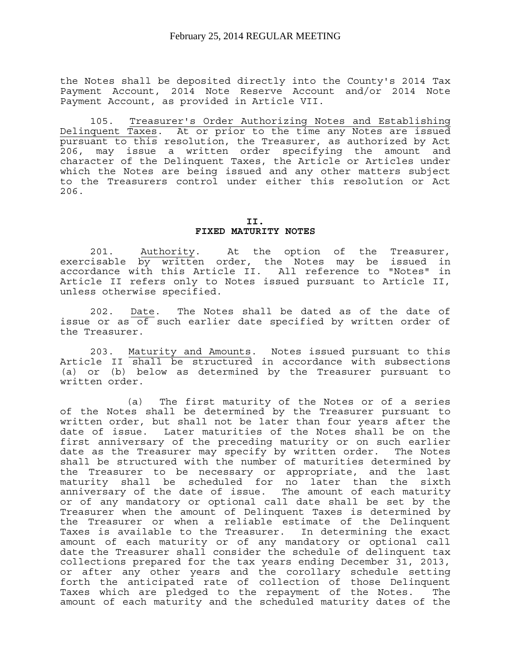the Notes shall be deposited directly into the County's 2014 Tax Payment Account, 2014 Note Reserve Account and/or 2014 Note Payment Account, as provided in Article VII.

 105. Treasurer's Order Authorizing Notes and Establishing Delinquent Taxes. At or prior to the time any Notes are issued pursuant to this resolution, the Treasurer, as authorized by Act 206, may issue a written order specifying the amount and character of the Delinquent Taxes, the Article or Articles under which the Notes are being issued and any other matters subject to the Treasurers control under either this resolution or Act 206.

> **II. FIXED MATURITY NOTES**

 201. Authority. At the option of the Treasurer, exercisable by written order, the Notes may be issued in accordance with this Article II. All reference to "Notes" in Article II refers only to Notes issued pursuant to Article II, unless otherwise specified.

 202. Date. The Notes shall be dated as of the date of issue or as of such earlier date specified by written order of the Treasurer.

 203. Maturity and Amounts. Notes issued pursuant to this Article II shall be structured in accordance with subsections (a) or (b) below as determined by the Treasurer pursuant to written order.

 (a) The first maturity of the Notes or of a series of the Notes shall be determined by the Treasurer pursuant to written order, but shall not be later than four years after the date of issue. Later maturities of the Notes shall be on the first anniversary of the preceding maturity or on such earlier date as the Treasurer may specify by written order. The Notes shall be structured with the number of maturities determined by the Treasurer to be necessary or appropriate, and the last maturity shall be scheduled for no later than the sixth anniversary of the date of issue. The amount of each maturity or of any mandatory or optional call date shall be set by the Treasurer when the amount of Delinquent Taxes is determined by the Treasurer or when a reliable estimate of the Delinquent Taxes is available to the Treasurer. In determining the exact amount of each maturity or of any mandatory or optional call date the Treasurer shall consider the schedule of delinquent tax collections prepared for the tax years ending December 31, 2013, or after any other years and the corollary schedule setting forth the anticipated rate of collection of those Delinquent Taxes which are pledged to the repayment of the Notes. The amount of each maturity and the scheduled maturity dates of the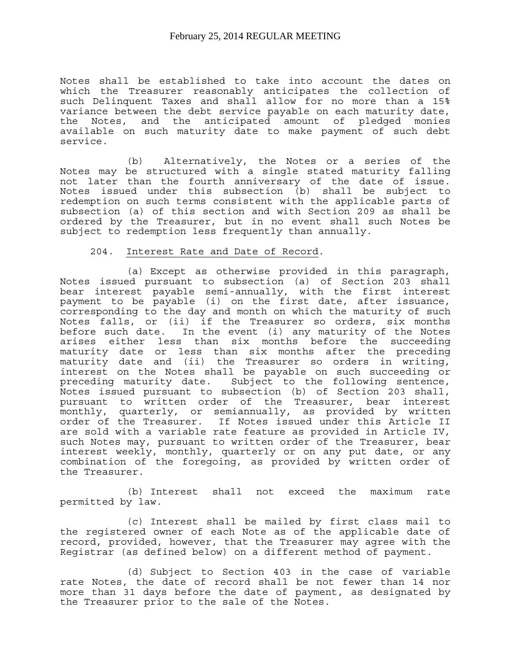Notes shall be established to take into account the dates on which the Treasurer reasonably anticipates the collection of such Delinquent Taxes and shall allow for no more than a 15% variance between the debt service payable on each maturity date, the Notes, and the anticipated amount of pledged monies available on such maturity date to make payment of such debt service.

 (b) Alternatively, the Notes or a series of the Notes may be structured with a single stated maturity falling not later than the fourth anniversary of the date of issue. Notes issued under this subsection (b) shall be subject to redemption on such terms consistent with the applicable parts of subsection (a) of this section and with Section 209 as shall be ordered by the Treasurer, but in no event shall such Notes be subject to redemption less frequently than annually.

#### 204. Interest Rate and Date of Record.

 (a) Except as otherwise provided in this paragraph, Notes issued pursuant to subsection (a) of Section 203 shall bear interest payable semi-annually, with the first interest payment to be payable (i) on the first date, after issuance, corresponding to the day and month on which the maturity of such Notes falls, or (ii) if the Treasurer so orders, six months before such date. In the event (i) any maturity of the Notes arises either less than six months before the succeeding maturity date or less than six months after the preceding maturity date and (ii) the Treasurer so orders in writing, interest on the Notes shall be payable on such succeeding or preceding maturity date. Subject to the following sentence, Notes issued pursuant to subsection (b) of Section 203 shall, pursuant to written order of the Treasurer, bear interest monthly, quarterly, or semiannually, as provided by written order of the Treasurer. If Notes issued under this Article II are sold with a variable rate feature as provided in Article IV, such Notes may, pursuant to written order of the Treasurer, bear interest weekly, monthly, quarterly or on any put date, or any combination of the foregoing, as provided by written order of the Treasurer.

 (b) Interest shall not exceed the maximum rate permitted by law.

 (c) Interest shall be mailed by first class mail to the registered owner of each Note as of the applicable date of record, provided, however, that the Treasurer may agree with the Registrar (as defined below) on a different method of payment.

 (d) Subject to Section 403 in the case of variable rate Notes, the date of record shall be not fewer than 14 nor more than 31 days before the date of payment, as designated by the Treasurer prior to the sale of the Notes.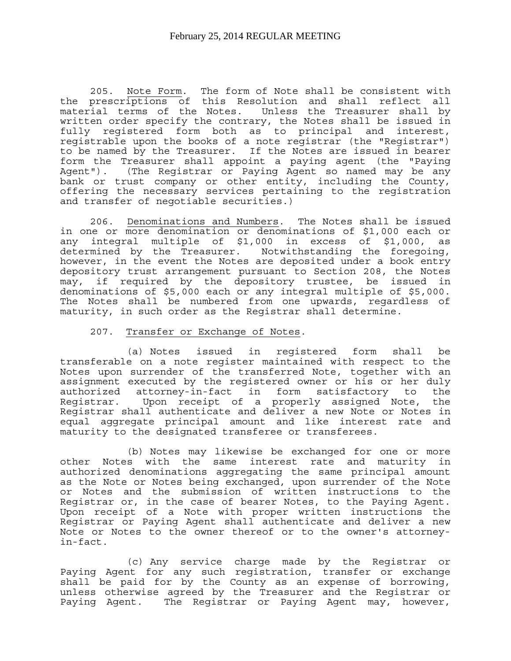205. Note Form. The form of Note shall be consistent with the prescriptions of this Resolution and shall reflect all material terms of the Notes. Unless the Treasurer shall by written order specify the contrary, the Notes shall be issued in fully registered form both as to principal and interest, registrable upon the books of a note registrar (the "Registrar") to be named by the Treasurer. If the Notes are issued in bearer form the Treasurer shall appoint a paying agent (the "Paying Agent"). (The Registrar or Paying Agent so named may be any bank or trust company or other entity, including the County, offering the necessary services pertaining to the registration and transfer of negotiable securities.)

 206. Denominations and Numbers. The Notes shall be issued in one or more denomination or denominations of \$1,000 each or any integral multiple of \$1,000 in excess of \$1,000, as determined by the Treasurer. Notwithstanding the foregoing, however, in the event the Notes are deposited under a book entry depository trust arrangement pursuant to Section 208, the Notes may, if required by the depository trustee, be issued in denominations of \$5,000 each or any integral multiple of \$5,000. The Notes shall be numbered from one upwards, regardless of maturity, in such order as the Registrar shall determine.

#### 207. Transfer or Exchange of Notes.

 (a) Notes issued in registered form shall be transferable on a note register maintained with respect to the Notes upon surrender of the transferred Note, together with an assignment executed by the registered owner or his or her duly authorized attorney-in-fact in form satisfactory to the Registrar. Upon receipt of a properly assigned Note, the Registrar shall authenticate and deliver a new Note or Notes in equal aggregate principal amount and like interest rate and maturity to the designated transferee or transferees.

 (b) Notes may likewise be exchanged for one or more other Notes with the same interest rate and maturity in authorized denominations aggregating the same principal amount as the Note or Notes being exchanged, upon surrender of the Note or Notes and the submission of written instructions to the Registrar or, in the case of bearer Notes, to the Paying Agent. Upon receipt of a Note with proper written instructions the Registrar or Paying Agent shall authenticate and deliver a new Note or Notes to the owner thereof or to the owner's attorneyin-fact.

 (c) Any service charge made by the Registrar or Paying Agent for any such registration, transfer or exchange shall be paid for by the County as an expense of borrowing, unless otherwise agreed by the Treasurer and the Registrar or Paying Agent. The Registrar or Paying Agent may, however,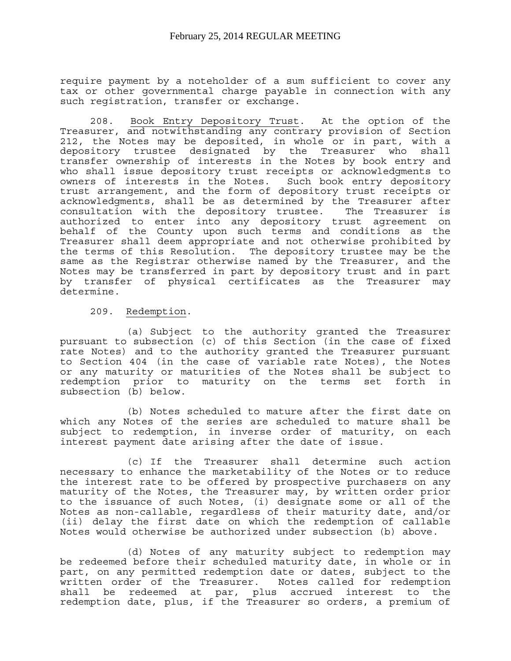require payment by a noteholder of a sum sufficient to cover any tax or other governmental charge payable in connection with any such registration, transfer or exchange.

 208. Book Entry Depository Trust. At the option of the Treasurer, and notwithstanding any contrary provision of Section 212, the Notes may be deposited, in whole or in part, with a depository trustee designated by the Treasurer who shall transfer ownership of interests in the Notes by book entry and who shall issue depository trust receipts or acknowledgments to owners of interests in the Notes. Such book entry depository trust arrangement, and the form of depository trust receipts or acknowledgments, shall be as determined by the Treasurer after consultation with the depository trustee. The Treasurer is authorized to enter into any depository trust agreement on behalf of the County upon such terms and conditions as the Treasurer shall deem appropriate and not otherwise prohibited by the terms of this Resolution. The depository trustee may be the same as the Registrar otherwise named by the Treasurer, and the Notes may be transferred in part by depository trust and in part by transfer of physical certificates as the Treasurer may determine.

209. Redemption.

 (a) Subject to the authority granted the Treasurer pursuant to subsection (c) of this Section (in the case of fixed rate Notes) and to the authority granted the Treasurer pursuant to Section 404 (in the case of variable rate Notes), the Notes or any maturity or maturities of the Notes shall be subject to redemption prior to maturity on the terms set forth in subsection (b) below.

 (b) Notes scheduled to mature after the first date on which any Notes of the series are scheduled to mature shall be subject to redemption, in inverse order of maturity, on each interest payment date arising after the date of issue.

 (c) If the Treasurer shall determine such action necessary to enhance the marketability of the Notes or to reduce the interest rate to be offered by prospective purchasers on any maturity of the Notes, the Treasurer may, by written order prior to the issuance of such Notes, (i) designate some or all of the Notes as non-callable, regardless of their maturity date, and/or (ii) delay the first date on which the redemption of callable Notes would otherwise be authorized under subsection (b) above.

 (d) Notes of any maturity subject to redemption may be redeemed before their scheduled maturity date, in whole or in part, on any permitted redemption date or dates, subject to the written order of the Treasurer. Notes called for redemption shall be redeemed at par, plus accrued interest to the redemption date, plus, if the Treasurer so orders, a premium of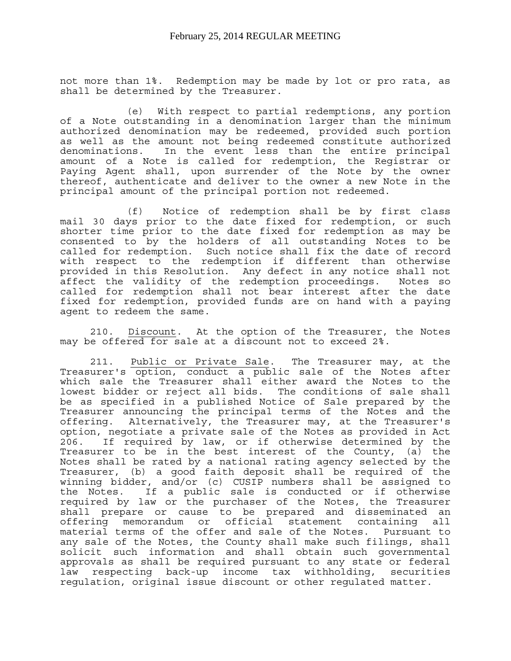not more than 1%. Redemption may be made by lot or pro rata, as shall be determined by the Treasurer.

 (e) With respect to partial redemptions, any portion of a Note outstanding in a denomination larger than the minimum authorized denomination may be redeemed, provided such portion as well as the amount not being redeemed constitute authorized<br>denominations. In the event less than the entire principal In the event less than the entire principal amount of a Note is called for redemption, the Registrar or Paying Agent shall, upon surrender of the Note by the owner thereof, authenticate and deliver to the owner a new Note in the principal amount of the principal portion not redeemed.

 (f) Notice of redemption shall be by first class mail 30 days prior to the date fixed for redemption, or such shorter time prior to the date fixed for redemption as may be consented to by the holders of all outstanding Notes to be called for redemption. Such notice shall fix the date of record with respect to the redemption if different than otherwise provided in this Resolution. Any defect in any notice shall not affect the validity of the redemption proceedings. Notes so called for redemption shall not bear interest after the date fixed for redemption, provided funds are on hand with a paying agent to redeem the same.

 210. Discount. At the option of the Treasurer, the Notes may be offered for sale at a discount not to exceed 2%.

 211. Public or Private Sale. The Treasurer may, at the Treasurer's option, conduct a public sale of the Notes after which sale the Treasurer shall either award the Notes to the lowest bidder or reject all bids. The conditions of sale shall be as specified in a published Notice of Sale prepared by the Treasurer announcing the principal terms of the Notes and the offering. Alternatively, the Treasurer may, at the Treasurer's option, negotiate a private sale of the Notes as provided in Act 206. If required by law, or if otherwise determined by the Treasurer to be in the best interest of the County, (a) the Notes shall be rated by a national rating agency selected by the Treasurer, (b) a good faith deposit shall be required of the winning bidder, and/or (c) CUSIP numbers shall be assigned to the Notes. If a public sale is conducted or if otherwise required by law or the purchaser of the Notes, the Treasurer shall prepare or cause to be prepared and disseminated an offering memorandum or official statement containing all material terms of the offer and sale of the Notes. Pursuant to any sale of the Notes, the County shall make such filings, shall solicit such information and shall obtain such governmental approvals as shall be required pursuant to any state or federal law respecting back-up income tax withholding, securities regulation, original issue discount or other regulated matter.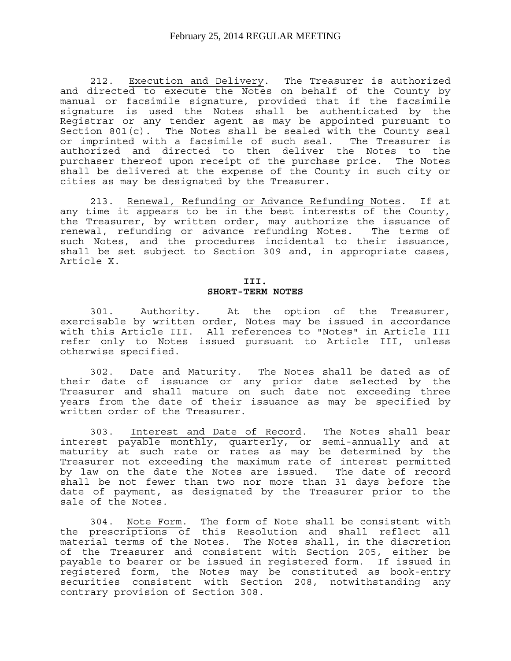212. Execution and Delivery. The Treasurer is authorized and directed to execute the Notes on behalf of the County by manual or facsimile signature, provided that if the facsimile signature is used the Notes shall be authenticated by the Registrar or any tender agent as may be appointed pursuant to Section  $801(c)$ . The Notes shall be sealed with the County seal or imprinted with a facsimile of such seal. The Treasurer is authorized and directed to then deliver the Notes to the purchaser thereof upon receipt of the purchase price. The Notes shall be delivered at the expense of the County in such city or cities as may be designated by the Treasurer.

 213. Renewal, Refunding or Advance Refunding Notes. If at any time it appears to be in the best interests of the County, the Treasurer, by written order, may authorize the issuance of renewal, refunding or advance refunding Notes. The terms of such Notes, and the procedures incidental to their issuance, shall be set subject to Section 309 and, in appropriate cases, Article X.

#### **III. SHORT-TERM NOTES**

 301. Authority. At the option of the Treasurer, exercisable by written order, Notes may be issued in accordance with this Article III. All references to "Notes" in Article III refer only to Notes issued pursuant to Article III, unless otherwise specified.

 302. Date and Maturity. The Notes shall be dated as of their date of issuance or any prior date selected by the Treasurer and shall mature on such date not exceeding three years from the date of their issuance as may be specified by written order of the Treasurer.

 303. Interest and Date of Record. The Notes shall bear interest payable monthly, quarterly, or semi-annually and at maturity at such rate or rates as may be determined by the Treasurer not exceeding the maximum rate of interest permitted by law on the date the Notes are issued. The date of record shall be not fewer than two nor more than 31 days before the date of payment, as designated by the Treasurer prior to the sale of the Notes.

 304. Note Form. The form of Note shall be consistent with the prescriptions of this Resolution and shall reflect all material terms of the Notes. The Notes shall, in the discretion of the Treasurer and consistent with Section 205, either be payable to bearer or be issued in registered form. If issued in registered form, the Notes may be constituted as book-entry securities consistent with Section 208, notwithstanding any contrary provision of Section 308.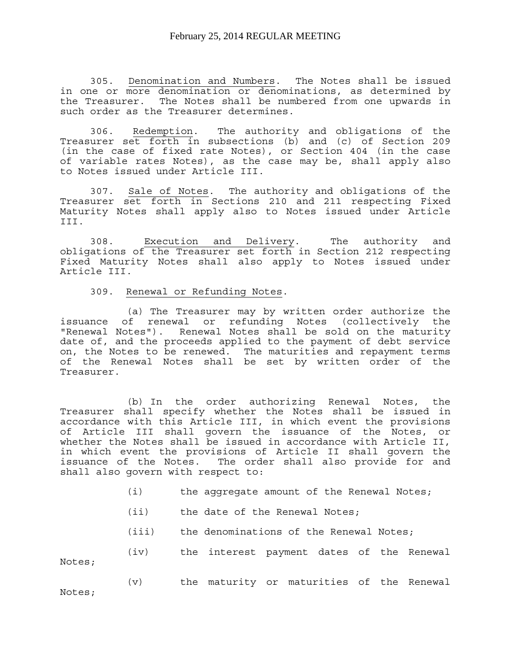305. Denomination and Numbers. The Notes shall be issued in one or more denomination or denominations, as determined by the Treasurer. The Notes shall be numbered from one upwards in such order as the Treasurer determines.

 306. Redemption. The authority and obligations of the Treasurer set forth in subsections (b) and (c) of Section 209 (in the case of fixed rate Notes), or Section 404 (in the case of variable rates Notes), as the case may be, shall apply also to Notes issued under Article III.

 307. Sale of Notes. The authority and obligations of the Treasurer set forth in Sections 210 and 211 respecting Fixed Maturity Notes shall apply also to Notes issued under Article III.

 308. Execution and Delivery. The authority and obligations of the Treasurer set forth in Section 212 respecting Fixed Maturity Notes shall also apply to Notes issued under Article III.

309. Renewal or Refunding Notes.

 (a) The Treasurer may by written order authorize the issuance of renewal or refunding Notes (collectively the "Renewal Notes"). Renewal Notes shall be sold on the maturity date of, and the proceeds applied to the payment of debt service on, the Notes to be renewed. The maturities and repayment terms of the Renewal Notes shall be set by written order of the Treasurer.

 (b) In the order authorizing Renewal Notes, the Treasurer shall specify whether the Notes shall be issued in accordance with this Article III, in which event the provisions of Article III shall govern the issuance of the Notes, or whether the Notes shall be issued in accordance with Article II, in which event the provisions of Article II shall govern the issuance of the Notes. The order shall also provide for and shall also govern with respect to:

- (i) the aggregate amount of the Renewal Notes;
- (ii) the date of the Renewal Notes;
- (iii) the denominations of the Renewal Notes;

 (iv) the interest payment dates of the Renewal Notes;

 (v) the maturity or maturities of the Renewal Notes;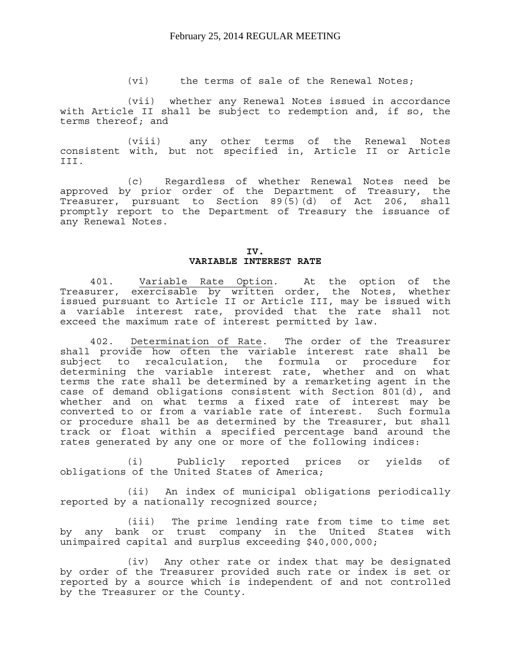(vi) the terms of sale of the Renewal Notes;

 (vii) whether any Renewal Notes issued in accordance with Article II shall be subject to redemption and, if so, the terms thereof; and

 (viii) any other terms of the Renewal Notes consistent with, but not specified in, Article II or Article III.

 (c) Regardless of whether Renewal Notes need be approved by prior order of the Department of Treasury, the Treasurer, pursuant to Section 89(5)(d) of Act 206, shall promptly report to the Department of Treasury the issuance of any Renewal Notes.

#### **IV. VARIABLE INTEREST RATE**

 401. Variable Rate Option. At the option of the Treasurer, exercisable by written order, the Notes, whether issued pursuant to Article II or Article III, may be issued with a variable interest rate, provided that the rate shall not exceed the maximum rate of interest permitted by law.

 402. Determination of Rate. The order of the Treasurer shall provide how often the variable interest rate shall be subject to recalculation, the formula or procedure for determining the variable interest rate, whether and on what terms the rate shall be determined by a remarketing agent in the case of demand obligations consistent with Section 801(d), and whether and on what terms a fixed rate of interest may be converted to or from a variable rate of interest. Such formula or procedure shall be as determined by the Treasurer, but shall track or float within a specified percentage band around the rates generated by any one or more of the following indices:

 (i) Publicly reported prices or yields of obligations of the United States of America;

 (ii) An index of municipal obligations periodically reported by a nationally recognized source;

 (iii) The prime lending rate from time to time set by any bank or trust company in the United States with unimpaired capital and surplus exceeding \$40,000,000;

 (iv) Any other rate or index that may be designated by order of the Treasurer provided such rate or index is set or reported by a source which is independent of and not controlled by the Treasurer or the County.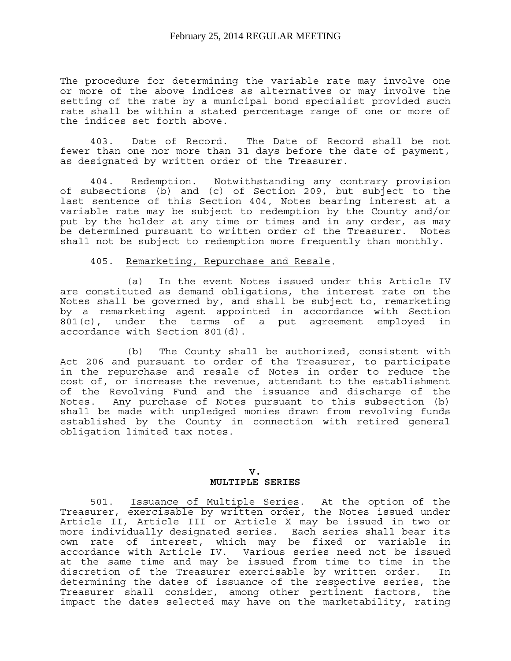The procedure for determining the variable rate may involve one or more of the above indices as alternatives or may involve the setting of the rate by a municipal bond specialist provided such rate shall be within a stated percentage range of one or more of the indices set forth above.

 403. Date of Record. The Date of Record shall be not fewer than one nor more than 31 days before the date of payment, as designated by written order of the Treasurer.

 404. Redemption. Notwithstanding any contrary provision of subsections (b) and (c) of Section 209, but subject to the last sentence of this Section 404, Notes bearing interest at a variable rate may be subject to redemption by the County and/or put by the holder at any time or times and in any order, as may be determined pursuant to written order of the Treasurer. Notes shall not be subject to redemption more frequently than monthly.

#### 405. Remarketing, Repurchase and Resale.

 (a) In the event Notes issued under this Article IV are constituted as demand obligations, the interest rate on the Notes shall be governed by, and shall be subject to, remarketing by a remarketing agent appointed in accordance with Section  $801(c)$ , under the terms of a put agreement employed in accordance with Section 801(d).

 (b) The County shall be authorized, consistent with Act 206 and pursuant to order of the Treasurer, to participate in the repurchase and resale of Notes in order to reduce the cost of, or increase the revenue, attendant to the establishment of the Revolving Fund and the issuance and discharge of the Notes. Any purchase of Notes pursuant to this subsection (b) shall be made with unpledged monies drawn from revolving funds established by the County in connection with retired general obligation limited tax notes.

#### **V. MULTIPLE SERIES**

 501. Issuance of Multiple Series. At the option of the Treasurer, exercisable by written order, the Notes issued under Article II, Article III or Article X may be issued in two or more individually designated series. Each series shall bear its own rate of interest, which may be fixed or variable in accordance with Article IV. Various series need not be issued at the same time and may be issued from time to time in the discretion of the Treasurer exercisable by written order. In determining the dates of issuance of the respective series, the Treasurer shall consider, among other pertinent factors, the impact the dates selected may have on the marketability, rating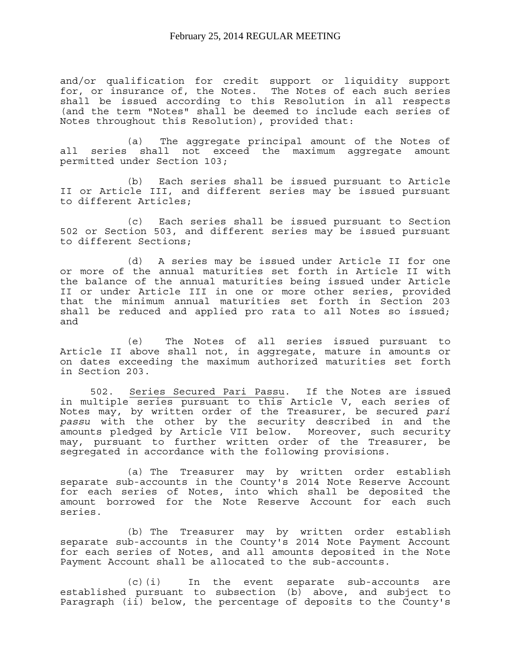and/or qualification for credit support or liquidity support for, or insurance of, the Notes. The Notes of each such series shall be issued according to this Resolution in all respects (and the term "Notes" shall be deemed to include each series of Notes throughout this Resolution), provided that:

 (a) The aggregate principal amount of the Notes of all series shall not exceed the maximum aggregate amount permitted under Section 103;

 (b) Each series shall be issued pursuant to Article II or Article III, and different series may be issued pursuant to different Articles;

 (c) Each series shall be issued pursuant to Section 502 or Section 503, and different series may be issued pursuant to different Sections;

 (d) A series may be issued under Article II for one or more of the annual maturities set forth in Article II with the balance of the annual maturities being issued under Article II or under Article III in one or more other series, provided that the minimum annual maturities set forth in Section 203 shall be reduced and applied pro rata to all Notes so issued; and

 (e) The Notes of all series issued pursuant to Article II above shall not, in aggregate, mature in amounts or on dates exceeding the maximum authorized maturities set forth in Section 203.

 502. Series Secured Pari Passu. If the Notes are issued in multiple series pursuant to this Article V, each series of Notes may, by written order of the Treasurer, be secured *pari passu* with the other by the security described in and the amounts pledged by Article VII below. Moreover, such security may, pursuant to further written order of the Treasurer, be segregated in accordance with the following provisions.

 (a) The Treasurer may by written order establish separate sub-accounts in the County's 2014 Note Reserve Account for each series of Notes, into which shall be deposited the amount borrowed for the Note Reserve Account for each such series.

 (b) The Treasurer may by written order establish separate sub-accounts in the County's 2014 Note Payment Account for each series of Notes, and all amounts deposited in the Note Payment Account shall be allocated to the sub-accounts.

 (c)(i) In the event separate sub-accounts are established pursuant to subsection  $(b)$  above, and subject to Paragraph (ii) below, the percentage of deposits to the County's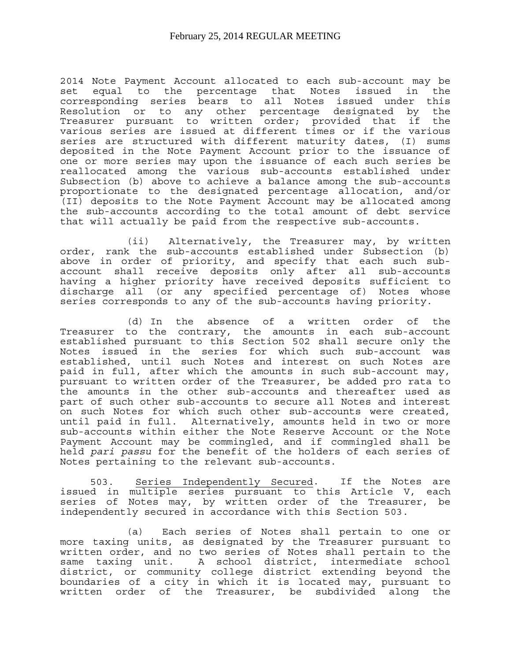2014 Note Payment Account allocated to each sub-account may be set equal to the percentage that Notes issued in the corresponding series bears to all Notes issued under this Resolution or to any other percentage designated by the Treasurer pursuant to written order; provided that if the various series are issued at different times or if the various series are structured with different maturity dates, (I) sums deposited in the Note Payment Account prior to the issuance of one or more series may upon the issuance of each such series be reallocated among the various sub-accounts established under Subsection (b) above to achieve a balance among the sub-accounts proportionate to the designated percentage allocation, and/or (II) deposits to the Note Payment Account may be allocated among the sub-accounts according to the total amount of debt service that will actually be paid from the respective sub-accounts.

 (ii) Alternatively, the Treasurer may, by written order, rank the sub-accounts established under Subsection (b) above in order of priority, and specify that each such subaccount shall receive deposits only after all sub-accounts having a higher priority have received deposits sufficient to discharge all (or any specified percentage of) Notes whose series corresponds to any of the sub-accounts having priority.

 (d) In the absence of a written order of the Treasurer to the contrary, the amounts in each sub-account established pursuant to this Section 502 shall secure only the Notes issued in the series for which such sub-account was established, until such Notes and interest on such Notes are paid in full, after which the amounts in such sub-account may, pursuant to written order of the Treasurer, be added pro rata to the amounts in the other sub-accounts and thereafter used as part of such other sub-accounts to secure all Notes and interest on such Notes for which such other sub-accounts were created, until paid in full. Alternatively, amounts held in two or more sub-accounts within either the Note Reserve Account or the Note Payment Account may be commingled, and if commingled shall be held *pari passu* for the benefit of the holders of each series of Notes pertaining to the relevant sub-accounts.

 503. Series Independently Secured. If the Notes are issued in multiple series pursuant to this Article V, each series of Notes may, by written order of the Treasurer, be independently secured in accordance with this Section 503.

 (a) Each series of Notes shall pertain to one or more taxing units, as designated by the Treasurer pursuant to written order, and no two series of Notes shall pertain to the same taxing unit. A school district, intermediate school district, or community college district extending beyond the boundaries of a city in which it is located may, pursuant to written order of the Treasurer, be subdivided along the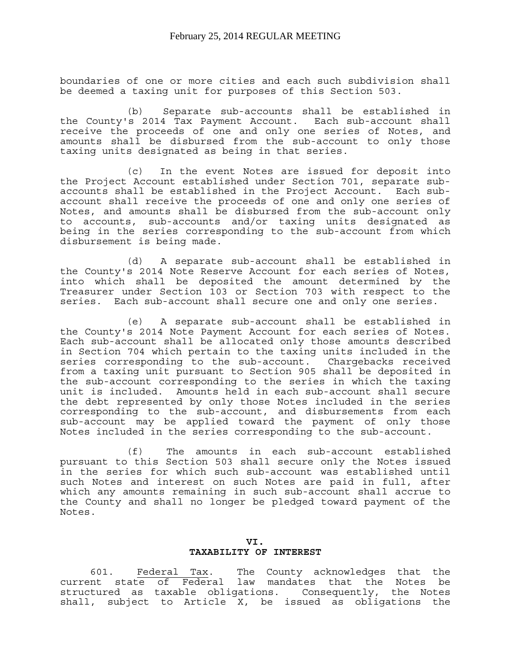boundaries of one or more cities and each such subdivision shall be deemed a taxing unit for purposes of this Section 503.

 (b) Separate sub-accounts shall be established in the County's 2014 Tax Payment Account. Each sub-account shall receive the proceeds of one and only one series of Notes, and amounts shall be disbursed from the sub-account to only those taxing units designated as being in that series.

 (c) In the event Notes are issued for deposit into the Project Account established under Section 701, separate subaccounts shall be established in the Project Account. Each subaccount shall receive the proceeds of one and only one series of Notes, and amounts shall be disbursed from the sub-account only to accounts, sub-accounts and/or taxing units designated as being in the series corresponding to the sub-account from which disbursement is being made.

 (d) A separate sub-account shall be established in the County's 2014 Note Reserve Account for each series of Notes, into which shall be deposited the amount determined by the Treasurer under Section 103 or Section 703 with respect to the series. Each sub-account shall secure one and only one series.

 (e) A separate sub-account shall be established in the County's 2014 Note Payment Account for each series of Notes. Each sub-account shall be allocated only those amounts described in Section 704 which pertain to the taxing units included in the series corresponding to the sub-account. Chargebacks received from a taxing unit pursuant to Section 905 shall be deposited in the sub-account corresponding to the series in which the taxing unit is included. Amounts held in each sub-account shall secure the debt represented by only those Notes included in the series corresponding to the sub-account, and disbursements from each sub-account may be applied toward the payment of only those Notes included in the series corresponding to the sub-account.

 (f) The amounts in each sub-account established pursuant to this Section 503 shall secure only the Notes issued in the series for which such sub-account was established until such Notes and interest on such Notes are paid in full, after which any amounts remaining in such sub-account shall accrue to the County and shall no longer be pledged toward payment of the Notes.

#### **VI. TAXABILITY OF INTEREST**

 601. Federal Tax. The County acknowledges that the current state of Federal law mandates that the Notes be structured as taxable obligations. Consequently, the Notes shall, subject to Article X, be issued as obligations the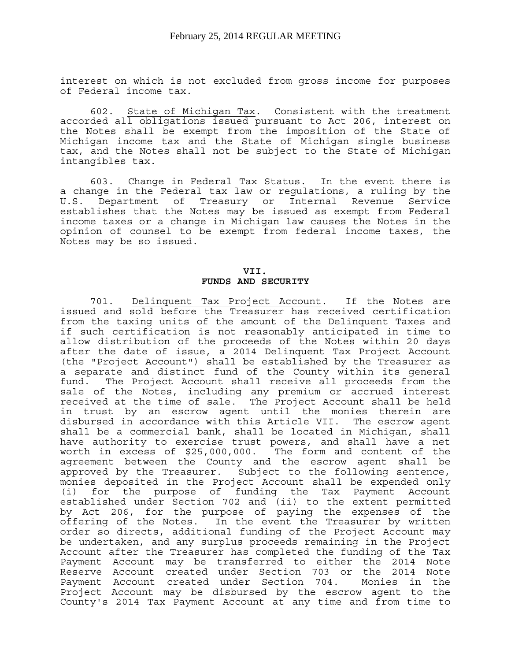interest on which is not excluded from gross income for purposes of Federal income tax.

 602. State of Michigan Tax. Consistent with the treatment accorded all obligations issued pursuant to Act 206, interest on the Notes shall be exempt from the imposition of the State of Michigan income tax and the State of Michigan single business tax, and the Notes shall not be subject to the State of Michigan intangibles tax.

 603. Change in Federal Tax Status. In the event there is a change in the Federal tax law or regulations, a ruling by the U.S. Department of Treasury or Internal Revenue Service establishes that the Notes may be issued as exempt from Federal income taxes or a change in Michigan law causes the Notes in the opinion of counsel to be exempt from federal income taxes, the Notes may be so issued.

#### **VII. FUNDS AND SECURITY**

 701. Delinquent Tax Project Account. If the Notes are issued and sold before the Treasurer has received certification from the taxing units of the amount of the Delinquent Taxes and if such certification is not reasonably anticipated in time to allow distribution of the proceeds of the Notes within 20 days after the date of issue, a 2014 Delinquent Tax Project Account (the "Project Account") shall be established by the Treasurer as a separate and distinct fund of the County within its general fund. The Project Account shall receive all proceeds from the sale of the Notes, including any premium or accrued interest received at the time of sale. The Project Account shall be held in trust by an escrow agent until the monies therein are disbursed in accordance with this Article VII. The escrow agent shall be a commercial bank, shall be located in Michigan, shall have authority to exercise trust powers, and shall have a net worth in excess of \$25,000,000. The form and content of the agreement between the County and the escrow agent shall be approved by the Treasurer. Subject to the following sentence, monies deposited in the Project Account shall be expended only (i) for the purpose of funding the Tax Payment Account established under Section 702 and (ii) to the extent permitted by Act 206, for the purpose of paying the expenses of the offering of the Notes. In the event the Treasurer by written order so directs, additional funding of the Project Account may be undertaken, and any surplus proceeds remaining in the Project Account after the Treasurer has completed the funding of the Tax Payment Account may be transferred to either the 2014 Note Reserve Account created under Section 703 or the 2014 Note Payment Account created under Section 704. Monies in the Project Account may be disbursed by the escrow agent to the County's 2014 Tax Payment Account at any time and from time to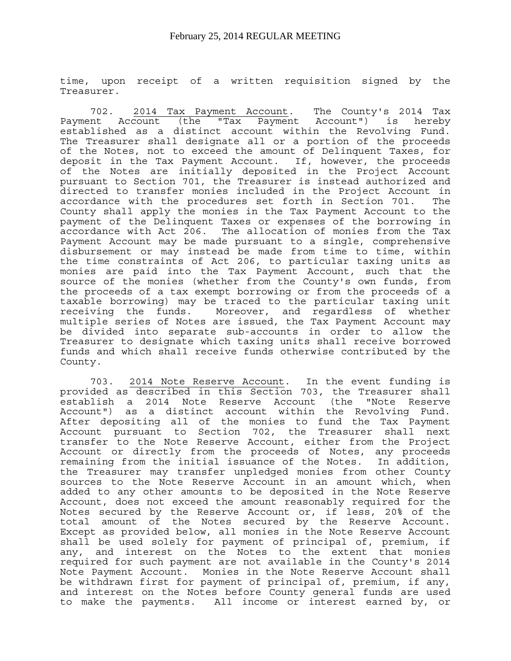time, upon receipt of a written requisition signed by the Treasurer.

 702. 2014 Tax Payment Account. The County's 2014 Tax Payment Account (the "Tax Payment Account") is hereby established as a distinct account within the Revolving Fund. The Treasurer shall designate all or a portion of the proceeds of the Notes, not to exceed the amount of Delinquent Taxes, for deposit in the Tax Payment Account. If, however, the proceeds of the Notes are initially deposited in the Project Account pursuant to Section 701, the Treasurer is instead authorized and directed to transfer monies included in the Project Account in accordance with the procedures set forth in Section 701. The County shall apply the monies in the Tax Payment Account to the payment of the Delinquent Taxes or expenses of the borrowing in accordance with Act 206. The allocation of monies from the Tax Payment Account may be made pursuant to a single, comprehensive disbursement or may instead be made from time to time, within the time constraints of Act 206, to particular taxing units as monies are paid into the Tax Payment Account, such that the source of the monies (whether from the County's own funds, from the proceeds of a tax exempt borrowing or from the proceeds of a taxable borrowing) may be traced to the particular taxing unit receiving the funds. Moreover, and regardless of whether multiple series of Notes are issued, the Tax Payment Account may be divided into separate sub-accounts in order to allow the Treasurer to designate which taxing units shall receive borrowed funds and which shall receive funds otherwise contributed by the County.

 703. 2014 Note Reserve Account. In the event funding is provided as described in this Section 703, the Treasurer shall establish a 2014 Note Reserve Account (the "Note Reserve Account") as a distinct account within the Revolving Fund. After depositing all of the monies to fund the Tax Payment Account pursuant to Section 702, the Treasurer shall next transfer to the Note Reserve Account, either from the Project Account or directly from the proceeds of Notes, any proceeds remaining from the initial issuance of the Notes. In addition, the Treasurer may transfer unpledged monies from other County sources to the Note Reserve Account in an amount which, when added to any other amounts to be deposited in the Note Reserve Account, does not exceed the amount reasonably required for the Notes secured by the Reserve Account or, if less, 20% of the total amount of the Notes secured by the Reserve Account. Except as provided below, all monies in the Note Reserve Account shall be used solely for payment of principal of, premium, if any, and interest on the Notes to the extent that monies required for such payment are not available in the County's 2014 Note Payment Account. Monies in the Note Reserve Account shall be withdrawn first for payment of principal of, premium, if any, and interest on the Notes before County general funds are used to make the payments. All income or interest earned by, or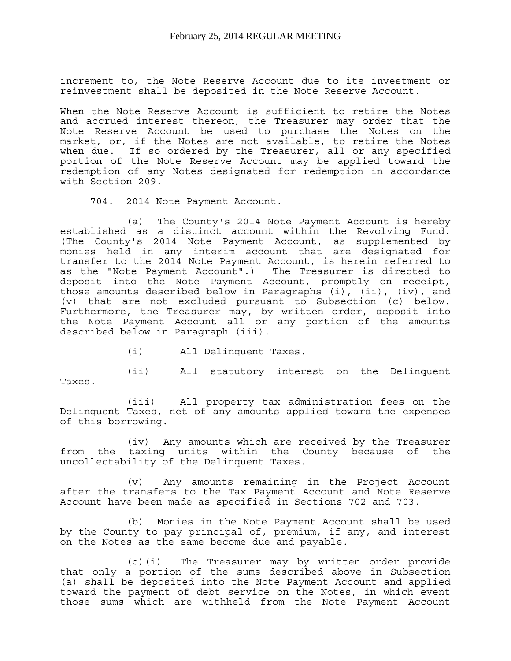increment to, the Note Reserve Account due to its investment or reinvestment shall be deposited in the Note Reserve Account.

When the Note Reserve Account is sufficient to retire the Notes and accrued interest thereon, the Treasurer may order that the Note Reserve Account be used to purchase the Notes on the market, or, if the Notes are not available, to retire the Notes when due. If so ordered by the Treasurer, all or any specified portion of the Note Reserve Account may be applied toward the redemption of any Notes designated for redemption in accordance with Section 209.

704. 2014 Note Payment Account.

 (a) The County's 2014 Note Payment Account is hereby established as a distinct account within the Revolving Fund. (The County's 2014 Note Payment Account, as supplemented by monies held in any interim account that are designated for transfer to the 2014 Note Payment Account, is herein referred to as the "Note Payment Account".) The Treasurer is directed to deposit into the Note Payment Account, promptly on receipt, those amounts described below in Paragraphs (i), (ii), (iv), and (v) that are not excluded pursuant to Subsection (c) below. Furthermore, the Treasurer may, by written order, deposit into the Note Payment Account all or any portion of the amounts described below in Paragraph (iii).

(i) All Delinquent Taxes.

 (ii) All statutory interest on the Delinquent Taxes.

 (iii) All property tax administration fees on the Delinquent Taxes, net of any amounts applied toward the expenses of this borrowing.

 (iv) Any amounts which are received by the Treasurer from the taxing units within the County because of the uncollectability of the Delinquent Taxes.

 (v) Any amounts remaining in the Project Account after the transfers to the Tax Payment Account and Note Reserve Account have been made as specified in Sections 702 and 703.

 (b) Monies in the Note Payment Account shall be used by the County to pay principal of, premium, if any, and interest on the Notes as the same become due and payable.

 (c)(i) The Treasurer may by written order provide that only a portion of the sums described above in Subsection (a) shall be deposited into the Note Payment Account and applied toward the payment of debt service on the Notes, in which event those sums which are withheld from the Note Payment Account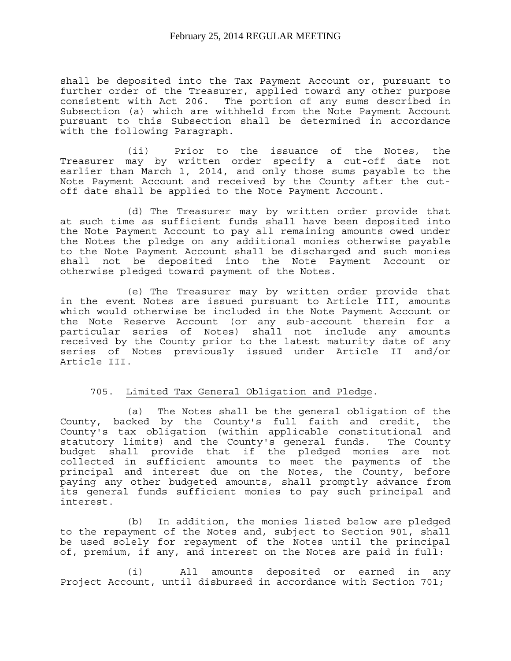shall be deposited into the Tax Payment Account or, pursuant to further order of the Treasurer, applied toward any other purpose consistent with Act 206. The portion of any sums described in Subsection (a) which are withheld from the Note Payment Account pursuant to this Subsection shall be determined in accordance with the following Paragraph.

 (ii) Prior to the issuance of the Notes, the Treasurer may by written order specify a cut-off date not earlier than March 1, 2014, and only those sums payable to the Note Payment Account and received by the County after the cutoff date shall be applied to the Note Payment Account.

 (d) The Treasurer may by written order provide that at such time as sufficient funds shall have been deposited into the Note Payment Account to pay all remaining amounts owed under the Notes the pledge on any additional monies otherwise payable to the Note Payment Account shall be discharged and such monies shall not be deposited into the Note Payment Account or otherwise pledged toward payment of the Notes.

 (e) The Treasurer may by written order provide that in the event Notes are issued pursuant to Article III, amounts which would otherwise be included in the Note Payment Account or the Note Reserve Account (or any sub-account therein for a particular series of Notes) shall not include any amounts received by the County prior to the latest maturity date of any series of Notes previously issued under Article II and/or Article III.

#### 705. Limited Tax General Obligation and Pledge.

 (a) The Notes shall be the general obligation of the County, backed by the County's full faith and credit, the County's tax obligation (within applicable constitutional and statutory limits) and the County's general funds. The County budget shall provide that if the pledged monies are not collected in sufficient amounts to meet the payments of the principal and interest due on the Notes, the County, before paying any other budgeted amounts, shall promptly advance from its general funds sufficient monies to pay such principal and interest.

 (b) In addition, the monies listed below are pledged to the repayment of the Notes and, subject to Section 901, shall be used solely for repayment of the Notes until the principal of, premium, if any, and interest on the Notes are paid in full:

 (i) All amounts deposited or earned in any Project Account, until disbursed in accordance with Section 701;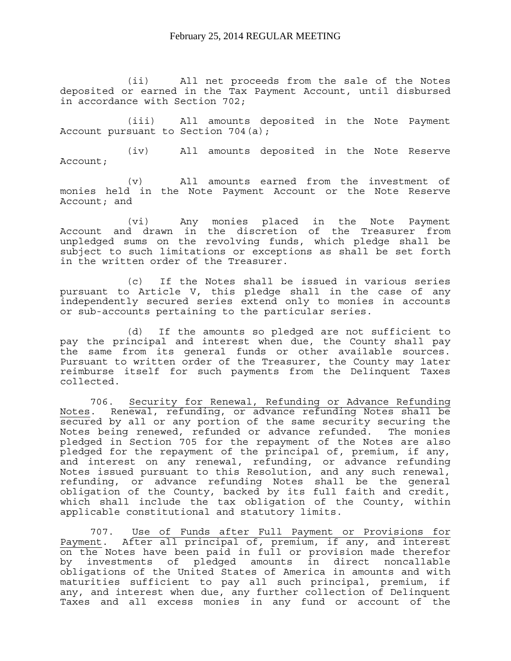(ii) All net proceeds from the sale of the Notes deposited or earned in the Tax Payment Account, until disbursed in accordance with Section 702;

 (iii) All amounts deposited in the Note Payment Account pursuant to Section 704(a);

 (iv) All amounts deposited in the Note Reserve Account;

 (v) All amounts earned from the investment of monies held in the Note Payment Account or the Note Reserve Account; and

 (vi) Any monies placed in the Note Payment Account and drawn in the discretion of the Treasurer from unpledged sums on the revolving funds, which pledge shall be subject to such limitations or exceptions as shall be set forth in the written order of the Treasurer.

 (c) If the Notes shall be issued in various series pursuant to Article V, this pledge shall in the case of any independently secured series extend only to monies in accounts or sub-accounts pertaining to the particular series.

 (d) If the amounts so pledged are not sufficient to pay the principal and interest when due, the County shall pay the same from its general funds or other available sources. Pursuant to written order of the Treasurer, the County may later reimburse itself for such payments from the Delinquent Taxes collected.

 706. Security for Renewal, Refunding or Advance Refunding Notes. Renewal, refunding, or advance refunding Notes shall be secured by all or any portion of the same security securing the Notes being renewed, refunded or advance refunded. The monies pledged in Section 705 for the repayment of the Notes are also pledged for the repayment of the principal of, premium, if any, and interest on any renewal, refunding, or advance refunding Notes issued pursuant to this Resolution, and any such renewal, refunding, or advance refunding Notes shall be the general obligation of the County, backed by its full faith and credit, which shall include the tax obligation of the County, within applicable constitutional and statutory limits.

 707. Use of Funds after Full Payment or Provisions for Payment. After all principal of, premium, if any, and interest on the Notes have been paid in full or provision made therefor by investments of pledged amounts in direct noncallable obligations of the United States of America in amounts and with maturities sufficient to pay all such principal, premium, if any, and interest when due, any further collection of Delinquent Taxes and all excess monies in any fund or account of the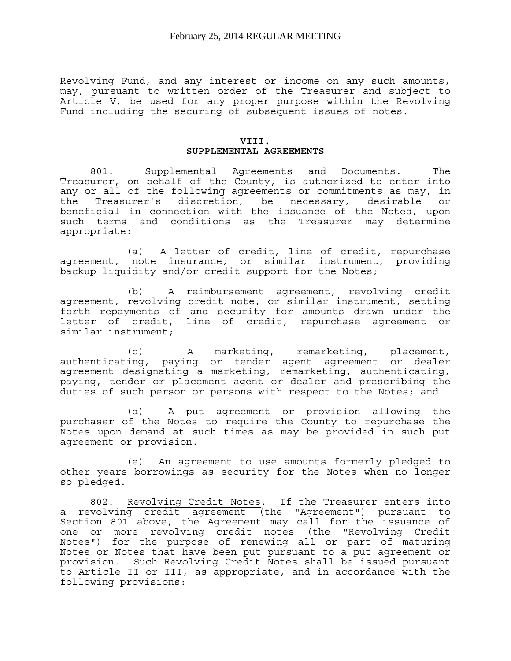Revolving Fund, and any interest or income on any such amounts, may, pursuant to written order of the Treasurer and subject to Article V, be used for any proper purpose within the Revolving Fund including the securing of subsequent issues of notes.

#### **VIII. SUPPLEMENTAL AGREEMENTS**

 801. Supplemental Agreements and Documents. The Treasurer, on behalf of the County, is authorized to enter into any or all of the following agreements or commitments as may, in the Treasurer's discretion, be necessary, desirable or beneficial in connection with the issuance of the Notes, upon such terms and conditions as the Treasurer may determine appropriate:

 (a) A letter of credit, line of credit, repurchase agreement, note insurance, or similar instrument, providing backup liquidity and/or credit support for the Notes;

 (b) A reimbursement agreement, revolving credit agreement, revolving credit note, or similar instrument, setting forth repayments of and security for amounts drawn under the letter of credit, line of credit, repurchase agreement or similar instrument;

 (c) A marketing, remarketing, placement, authenticating, paying or tender agent agreement or dealer agreement designating a marketing, remarketing, authenticating, paying, tender or placement agent or dealer and prescribing the duties of such person or persons with respect to the Notes; and

 (d) A put agreement or provision allowing the purchaser of the Notes to require the County to repurchase the Notes upon demand at such times as may be provided in such put agreement or provision.

 (e) An agreement to use amounts formerly pledged to other years borrowings as security for the Notes when no longer so pledged.

 802. Revolving Credit Notes. If the Treasurer enters into a revolving credit agreement (the "Agreement") pursuant to Section 801 above, the Agreement may call for the issuance of one or more revolving credit notes (the "Revolving Credit Notes") for the purpose of renewing all or part of maturing Notes or Notes that have been put pursuant to a put agreement or provision. Such Revolving Credit Notes shall be issued pursuant to Article II or III, as appropriate, and in accordance with the following provisions: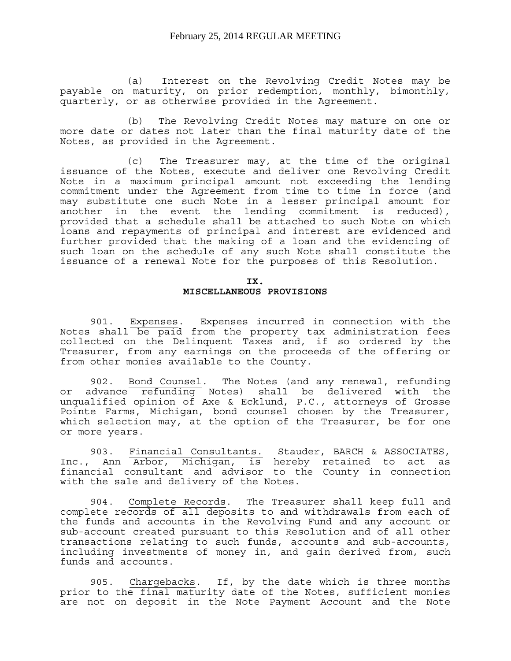(a) Interest on the Revolving Credit Notes may be payable on maturity, on prior redemption, monthly, bimonthly, quarterly, or as otherwise provided in the Agreement.

 (b) The Revolving Credit Notes may mature on one or more date or dates not later than the final maturity date of the Notes, as provided in the Agreement.

 (c) The Treasurer may, at the time of the original issuance of the Notes, execute and deliver one Revolving Credit Note in a maximum principal amount not exceeding the lending commitment under the Agreement from time to time in force (and may substitute one such Note in a lesser principal amount for another in the event the lending commitment is reduced), provided that a schedule shall be attached to such Note on which loans and repayments of principal and interest are evidenced and further provided that the making of a loan and the evidencing of such loan on the schedule of any such Note shall constitute the issuance of a renewal Note for the purposes of this Resolution.

**IX.** 

#### **MISCELLANEOUS PROVISIONS**

 901. Expenses. Expenses incurred in connection with the Notes shall be paid from the property tax administration fees collected on the Delinquent Taxes and, if so ordered by the Treasurer, from any earnings on the proceeds of the offering or from other monies available to the County.

 902. Bond Counsel. The Notes (and any renewal, refunding or advance refunding Notes) shall be delivered with the unqualified opinion of Axe & Ecklund, P.C., attorneys of Grosse Pointe Farms, Michigan, bond counsel chosen by the Treasurer, which selection may, at the option of the Treasurer, be for one or more years.

 903. Financial Consultants. Stauder, BARCH & ASSOCIATES, Inc., Ann Arbor, Michigan, is hereby retained to act as financial consultant and advisor to the County in connection with the sale and delivery of the Notes.

 904. Complete Records. The Treasurer shall keep full and complete records of all deposits to and withdrawals from each of the funds and accounts in the Revolving Fund and any account or sub-account created pursuant to this Resolution and of all other transactions relating to such funds, accounts and sub-accounts, including investments of money in, and gain derived from, such funds and accounts.

 905. Chargebacks. If, by the date which is three months prior to the final maturity date of the Notes, sufficient monies are not on deposit in the Note Payment Account and the Note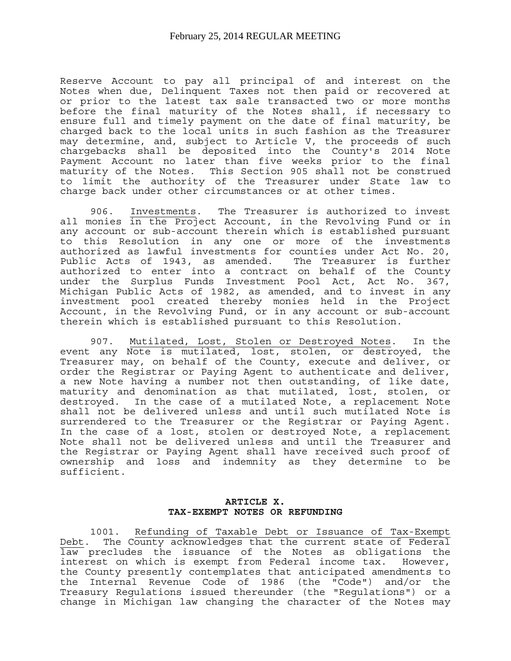Reserve Account to pay all principal of and interest on the Notes when due, Delinquent Taxes not then paid or recovered at or prior to the latest tax sale transacted two or more months before the final maturity of the Notes shall, if necessary to ensure full and timely payment on the date of final maturity, be charged back to the local units in such fashion as the Treasurer may determine, and, subject to Article V, the proceeds of such chargebacks shall be deposited into the County's 2014 Note Payment Account no later than five weeks prior to the final maturity of the Notes. This Section 905 shall not be construed to limit the authority of the Treasurer under State law to charge back under other circumstances or at other times.

 906. Investments. The Treasurer is authorized to invest all monies in the Project Account, in the Revolving Fund or in any account or sub-account therein which is established pursuant to this Resolution in any one or more of the investments authorized as lawful investments for counties under Act No. 20, Public Acts of 1943, as amended. The Treasurer is further authorized to enter into a contract on behalf of the County under the Surplus Funds Investment Pool Act, Act No. 367, Michigan Public Acts of 1982, as amended, and to invest in any investment pool created thereby monies held in the Project Account, in the Revolving Fund, or in any account or sub-account therein which is established pursuant to this Resolution.

 907. Mutilated, Lost, Stolen or Destroyed Notes. In the event any Note is mutilated, lost, stolen, or destroyed, the Treasurer may, on behalf of the County, execute and deliver, or order the Registrar or Paying Agent to authenticate and deliver, a new Note having a number not then outstanding, of like date, maturity and denomination as that mutilated, lost, stolen, or destroyed. In the case of a mutilated Note, a replacement Note shall not be delivered unless and until such mutilated Note is surrendered to the Treasurer or the Registrar or Paying Agent. In the case of a lost, stolen or destroyed Note, a replacement Note shall not be delivered unless and until the Treasurer and the Registrar or Paying Agent shall have received such proof of ownership and loss and indemnity as they determine to be sufficient.

#### **ARTICLE X. TAX-EXEMPT NOTES OR REFUNDING**

 1001. Refunding of Taxable Debt or Issuance of Tax-Exempt Debt. The County acknowledges that the current state of Federal law precludes the issuance of the Notes as obligations the interest on which is exempt from Federal income tax. However, the County presently contemplates that anticipated amendments to the Internal Revenue Code of 1986 (the "Code") and/or the Treasury Regulations issued thereunder (the "Regulations") or a change in Michigan law changing the character of the Notes may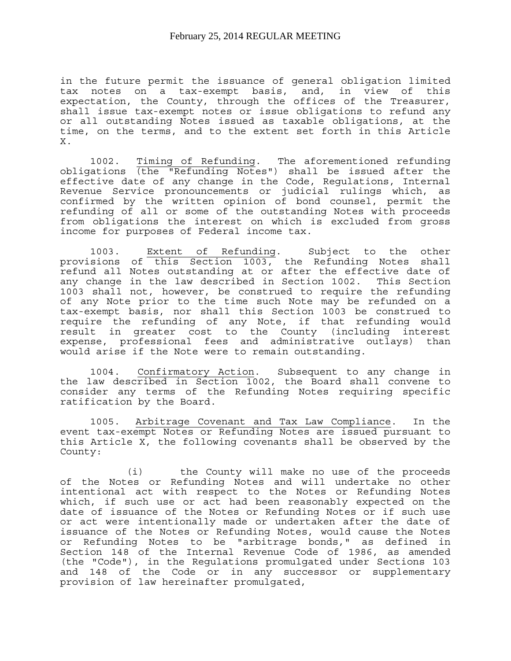in the future permit the issuance of general obligation limited tax notes on a tax-exempt basis, and, in view of this expectation, the County, through the offices of the Treasurer, shall issue tax-exempt notes or issue obligations to refund any or all outstanding Notes issued as taxable obligations, at the time, on the terms, and to the extent set forth in this Article X.

 1002. Timing of Refunding. The aforementioned refunding obligations (the "Refunding Notes") shall be issued after the effective date of any change in the Code, Regulations, Internal Revenue Service pronouncements or judicial rulings which, as confirmed by the written opinion of bond counsel, permit the refunding of all or some of the outstanding Notes with proceeds from obligations the interest on which is excluded from gross income for purposes of Federal income tax.

 1003. Extent of Refunding. Subject to the other provisions of this Section 1003, the Refunding Notes shall refund all Notes outstanding at or after the effective date of any change in the law described in Section 1002. This Section 1003 shall not, however, be construed to require the refunding of any Note prior to the time such Note may be refunded on a tax-exempt basis, nor shall this Section 1003 be construed to require the refunding of any Note, if that refunding would result in greater cost to the County (including interest expense, professional fees and administrative outlays) than would arise if the Note were to remain outstanding.

 1004. Confirmatory Action. Subsequent to any change in the law described in Section 1002, the Board shall convene to consider any terms of the Refunding Notes requiring specific ratification by the Board.

 1005. Arbitrage Covenant and Tax Law Compliance. In the event tax-exempt Notes or Refunding Notes are issued pursuant to this Article X, the following covenants shall be observed by the County:

 (i) the County will make no use of the proceeds of the Notes or Refunding Notes and will undertake no other intentional act with respect to the Notes or Refunding Notes which, if such use or act had been reasonably expected on the date of issuance of the Notes or Refunding Notes or if such use or act were intentionally made or undertaken after the date of issuance of the Notes or Refunding Notes, would cause the Notes or Refunding Notes to be "arbitrage bonds," as defined in Section 148 of the Internal Revenue Code of 1986, as amended (the "Code"), in the Regulations promulgated under Sections 103 and 148 of the Code or in any successor or supplementary provision of law hereinafter promulgated,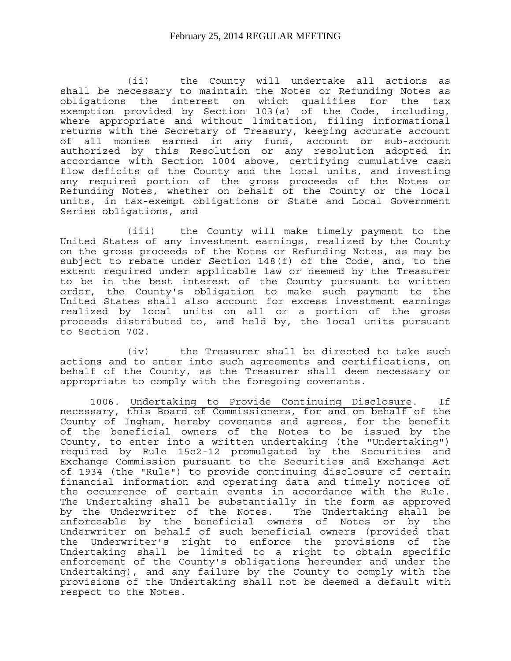(ii) the County will undertake all actions as shall be necessary to maintain the Notes or Refunding Notes as obligations the interest on which qualifies for the tax exemption provided by Section 103(a) of the Code, including, where appropriate and without limitation, filing informational returns with the Secretary of Treasury, keeping accurate account of all monies earned in any fund, account or sub-account authorized by this Resolution or any resolution adopted in accordance with Section 1004 above, certifying cumulative cash flow deficits of the County and the local units, and investing any required portion of the gross proceeds of the Notes or Refunding Notes, whether on behalf of the County or the local units, in tax-exempt obligations or State and Local Government Series obligations, and

 (iii) the County will make timely payment to the United States of any investment earnings, realized by the County on the gross proceeds of the Notes or Refunding Notes, as may be subject to rebate under Section 148(f) of the Code, and, to the extent required under applicable law or deemed by the Treasurer to be in the best interest of the County pursuant to written order, the County's obligation to make such payment to the United States shall also account for excess investment earnings realized by local units on all or a portion of the gross proceeds distributed to, and held by, the local units pursuant to Section 702.

 (iv) the Treasurer shall be directed to take such actions and to enter into such agreements and certifications, on behalf of the County, as the Treasurer shall deem necessary or appropriate to comply with the foregoing covenants.

1006. Undertaking to Provide Continuing Disclosure. If necessary, this Board of Commissioners, for and on behalf of the County of Ingham, hereby covenants and agrees, for the benefit of the beneficial owners of the Notes to be issued by the County, to enter into a written undertaking (the "Undertaking") required by Rule 15c2-12 promulgated by the Securities and Exchange Commission pursuant to the Securities and Exchange Act of 1934 (the "Rule") to provide continuing disclosure of certain financial information and operating data and timely notices of the occurrence of certain events in accordance with the Rule. The Undertaking shall be substantially in the form as approved by the Underwriter of the Notes. The Undertaking shall be enforceable by the beneficial owners of Notes or by the Underwriter on behalf of such beneficial owners (provided that the Underwriter's right to enforce the provisions of the Undertaking shall be limited to a right to obtain specific enforcement of the County's obligations hereunder and under the Undertaking), and any failure by the County to comply with the provisions of the Undertaking shall not be deemed a default with respect to the Notes.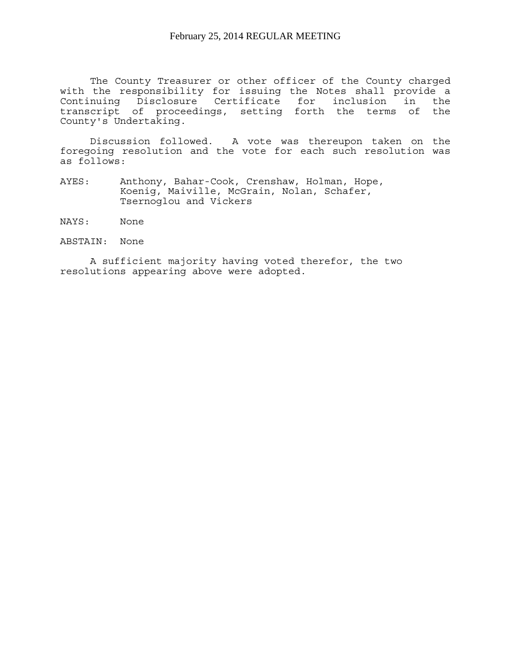The County Treasurer or other officer of the County charged with the responsibility for issuing the Notes shall provide a Continuing Disclosure Certificate for inclusion in the transcript of proceedings, setting forth the terms of the County's Undertaking.

 Discussion followed. A vote was thereupon taken on the foregoing resolution and the vote for each such resolution was as follows:

- AYES: Anthony, Bahar-Cook, Crenshaw, Holman, Hope, Koenig, Maiville, McGrain, Nolan, Schafer, Tsernoglou and Vickers
- NAYS: None

ABSTAIN: None

 A sufficient majority having voted therefor, the two resolutions appearing above were adopted.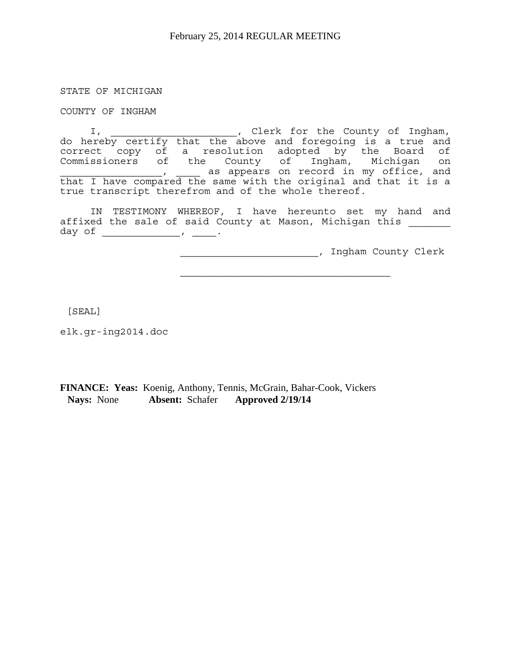STATE OF MICHIGAN

COUNTY OF INGHAM

I, which count is the County of Ingham, do hereby certify that the above and foregoing is a true and correct copy of a resolution adopted by the Board of Commissioners of the County of Ingham, Michigan on , as appears on record in my office, and that I have compared the same with the original and that it is a true transcript therefrom and of the whole thereof.

IN TESTIMONY WHEREOF, I have hereunto set my hand and affixed the sale of said County at Mason, Michigan this day of \_\_\_\_\_\_\_\_\_\_\_\_\_, \_\_\_\_.

 $\mathcal{L}_\text{max}$ 

\_\_\_\_\_\_\_\_\_\_\_\_\_\_\_\_\_\_\_\_\_\_\_, Ingham County Clerk

[SEAL]

elk.gr-ing2014.doc

**FINANCE: Yeas:** Koenig, Anthony, Tennis, McGrain, Bahar-Cook, Vickers  **Nays:** None **Absent:** Schafer **Approved 2/19/14**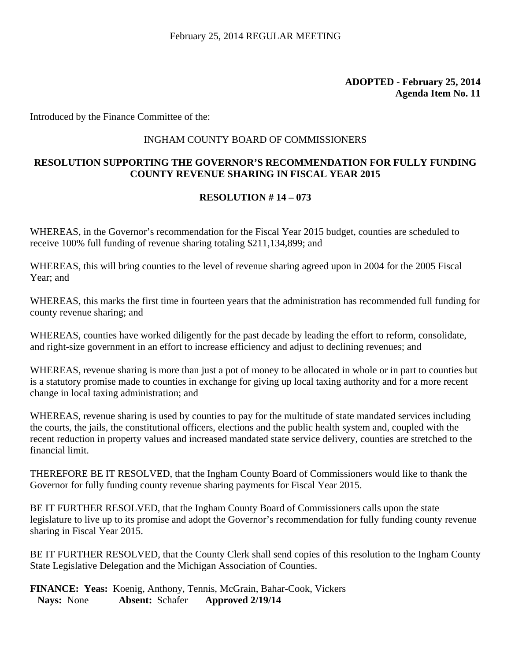Introduced by the Finance Committee of the:

### INGHAM COUNTY BOARD OF COMMISSIONERS

## **RESOLUTION SUPPORTING THE GOVERNOR'S RECOMMENDATION FOR FULLY FUNDING COUNTY REVENUE SHARING IN FISCAL YEAR 2015**

### **RESOLUTION # 14 – 073**

WHEREAS, in the Governor's recommendation for the Fiscal Year 2015 budget, counties are scheduled to receive 100% full funding of revenue sharing totaling \$211,134,899; and

WHEREAS, this will bring counties to the level of revenue sharing agreed upon in 2004 for the 2005 Fiscal Year; and

WHEREAS, this marks the first time in fourteen years that the administration has recommended full funding for county revenue sharing; and

WHEREAS, counties have worked diligently for the past decade by leading the effort to reform, consolidate, and right-size government in an effort to increase efficiency and adjust to declining revenues; and

WHEREAS, revenue sharing is more than just a pot of money to be allocated in whole or in part to counties but is a statutory promise made to counties in exchange for giving up local taxing authority and for a more recent change in local taxing administration; and

WHEREAS, revenue sharing is used by counties to pay for the multitude of state mandated services including the courts, the jails, the constitutional officers, elections and the public health system and, coupled with the recent reduction in property values and increased mandated state service delivery, counties are stretched to the financial limit.

THEREFORE BE IT RESOLVED, that the Ingham County Board of Commissioners would like to thank the Governor for fully funding county revenue sharing payments for Fiscal Year 2015.

BE IT FURTHER RESOLVED, that the Ingham County Board of Commissioners calls upon the state legislature to live up to its promise and adopt the Governor's recommendation for fully funding county revenue sharing in Fiscal Year 2015.

BE IT FURTHER RESOLVED, that the County Clerk shall send copies of this resolution to the Ingham County State Legislative Delegation and the Michigan Association of Counties.

**FINANCE: Yeas:** Koenig, Anthony, Tennis, McGrain, Bahar-Cook, Vickers  **Nays:** None **Absent:** Schafer **Approved 2/19/14**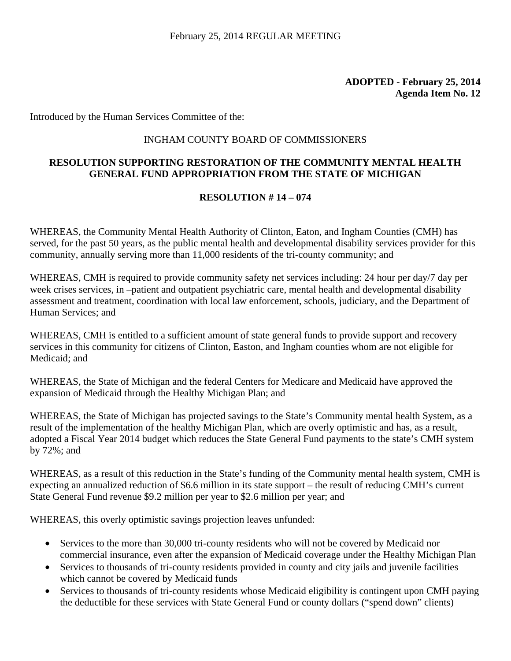Introduced by the Human Services Committee of the:

### INGHAM COUNTY BOARD OF COMMISSIONERS

## **RESOLUTION SUPPORTING RESTORATION OF THE COMMUNITY MENTAL HEALTH GENERAL FUND APPROPRIATION FROM THE STATE OF MICHIGAN**

### **RESOLUTION # 14 – 074**

WHEREAS, the Community Mental Health Authority of Clinton, Eaton, and Ingham Counties (CMH) has served, for the past 50 years, as the public mental health and developmental disability services provider for this community, annually serving more than 11,000 residents of the tri-county community; and

WHEREAS, CMH is required to provide community safety net services including: 24 hour per day/7 day per week crises services, in –patient and outpatient psychiatric care, mental health and developmental disability assessment and treatment, coordination with local law enforcement, schools, judiciary, and the Department of Human Services; and

WHEREAS, CMH is entitled to a sufficient amount of state general funds to provide support and recovery services in this community for citizens of Clinton, Easton, and Ingham counties whom are not eligible for Medicaid; and

WHEREAS, the State of Michigan and the federal Centers for Medicare and Medicaid have approved the expansion of Medicaid through the Healthy Michigan Plan; and

WHEREAS, the State of Michigan has projected savings to the State's Community mental health System, as a result of the implementation of the healthy Michigan Plan, which are overly optimistic and has, as a result, adopted a Fiscal Year 2014 budget which reduces the State General Fund payments to the state's CMH system by 72%; and

WHEREAS, as a result of this reduction in the State's funding of the Community mental health system, CMH is expecting an annualized reduction of \$6.6 million in its state support – the result of reducing CMH's current State General Fund revenue \$9.2 million per year to \$2.6 million per year; and

WHEREAS, this overly optimistic savings projection leaves unfunded:

- Services to the more than 30,000 tri-county residents who will not be covered by Medicaid nor commercial insurance, even after the expansion of Medicaid coverage under the Healthy Michigan Plan
- Services to thousands of tri-county residents provided in county and city jails and juvenile facilities which cannot be covered by Medicaid funds
- Services to thousands of tri-county residents whose Medicaid eligibility is contingent upon CMH paying the deductible for these services with State General Fund or county dollars ("spend down" clients)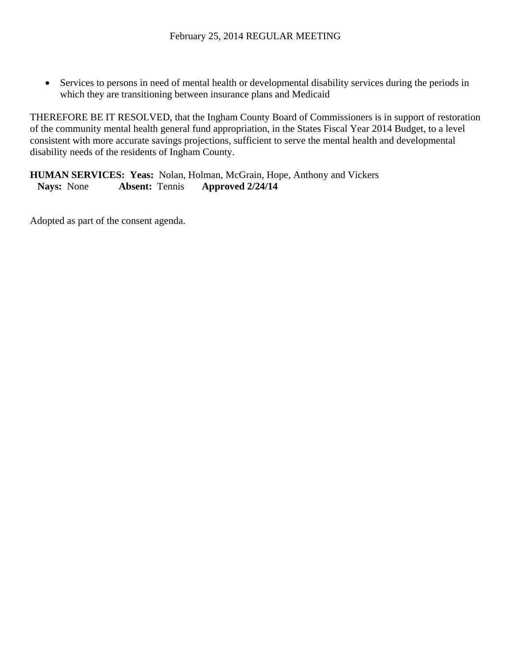• Services to persons in need of mental health or developmental disability services during the periods in which they are transitioning between insurance plans and Medicaid

THEREFORE BE IT RESOLVED, that the Ingham County Board of Commissioners is in support of restoration of the community mental health general fund appropriation, in the States Fiscal Year 2014 Budget, to a level consistent with more accurate savings projections, sufficient to serve the mental health and developmental disability needs of the residents of Ingham County.

**HUMAN SERVICES: Yeas:** Nolan, Holman, McGrain, Hope, Anthony and Vickers  **Nays:** None **Absent:** Tennis **Approved 2/24/14**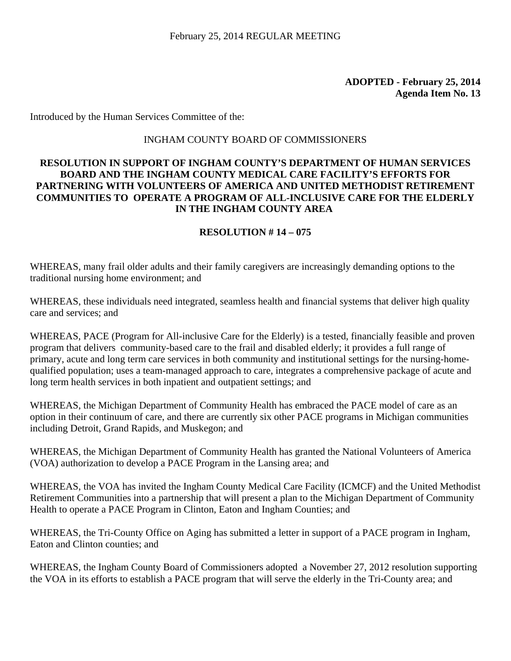Introduced by the Human Services Committee of the:

## INGHAM COUNTY BOARD OF COMMISSIONERS

### **RESOLUTION IN SUPPORT OF INGHAM COUNTY'S DEPARTMENT OF HUMAN SERVICES BOARD AND THE INGHAM COUNTY MEDICAL CARE FACILITY'S EFFORTS FOR PARTNERING WITH VOLUNTEERS OF AMERICA AND UNITED METHODIST RETIREMENT COMMUNITIES TO OPERATE A PROGRAM OF ALL-INCLUSIVE CARE FOR THE ELDERLY IN THE INGHAM COUNTY AREA**

### **RESOLUTION # 14 – 075**

WHEREAS, many frail older adults and their family caregivers are increasingly demanding options to the traditional nursing home environment; and

WHEREAS, these individuals need integrated, seamless health and financial systems that deliver high quality care and services; and

WHEREAS, PACE (Program for All-inclusive Care for the Elderly) is a tested, financially feasible and proven program that delivers community-based care to the frail and disabled elderly; it provides a full range of primary, acute and long term care services in both community and institutional settings for the nursing-homequalified population; uses a team-managed approach to care, integrates a comprehensive package of acute and long term health services in both inpatient and outpatient settings; and

WHEREAS, the Michigan Department of Community Health has embraced the PACE model of care as an option in their continuum of care, and there are currently six other PACE programs in Michigan communities including Detroit, Grand Rapids, and Muskegon; and

WHEREAS, the Michigan Department of Community Health has granted the National Volunteers of America (VOA) authorization to develop a PACE Program in the Lansing area; and

WHEREAS, the VOA has invited the Ingham County Medical Care Facility (ICMCF) and the United Methodist Retirement Communities into a partnership that will present a plan to the Michigan Department of Community Health to operate a PACE Program in Clinton, Eaton and Ingham Counties; and

WHEREAS, the Tri-County Office on Aging has submitted a letter in support of a PACE program in Ingham, Eaton and Clinton counties; and

WHEREAS, the Ingham County Board of Commissioners adopted a November 27, 2012 resolution supporting the VOA in its efforts to establish a PACE program that will serve the elderly in the Tri-County area; and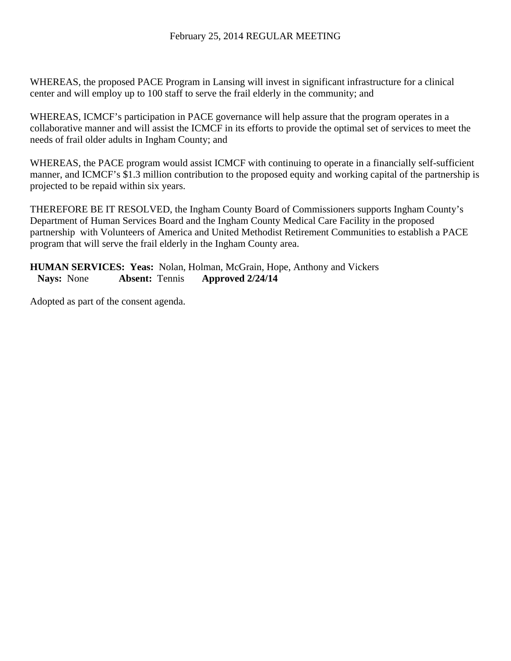WHEREAS, the proposed PACE Program in Lansing will invest in significant infrastructure for a clinical center and will employ up to 100 staff to serve the frail elderly in the community; and

WHEREAS, ICMCF's participation in PACE governance will help assure that the program operates in a collaborative manner and will assist the ICMCF in its efforts to provide the optimal set of services to meet the needs of frail older adults in Ingham County; and

WHEREAS, the PACE program would assist ICMCF with continuing to operate in a financially self-sufficient manner, and ICMCF's \$1.3 million contribution to the proposed equity and working capital of the partnership is projected to be repaid within six years.

THEREFORE BE IT RESOLVED, the Ingham County Board of Commissioners supports Ingham County's Department of Human Services Board and the Ingham County Medical Care Facility in the proposed partnership with Volunteers of America and United Methodist Retirement Communities to establish a PACE program that will serve the frail elderly in the Ingham County area.

**HUMAN SERVICES: Yeas:** Nolan, Holman, McGrain, Hope, Anthony and Vickers  **Nays:** None **Absent:** Tennis **Approved 2/24/14**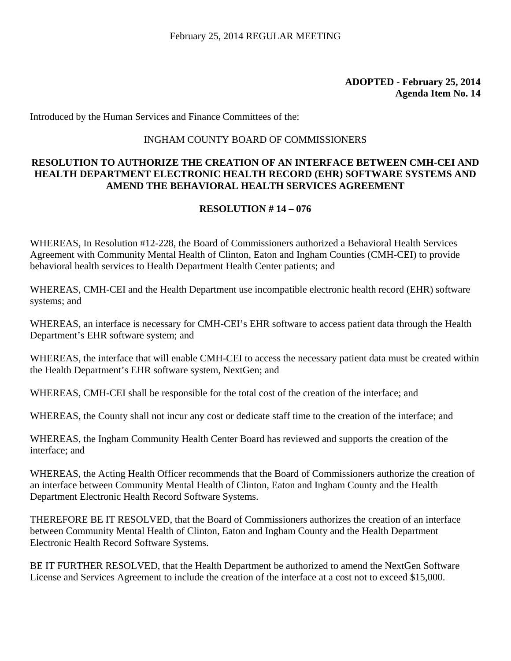Introduced by the Human Services and Finance Committees of the:

#### INGHAM COUNTY BOARD OF COMMISSIONERS

## **RESOLUTION TO AUTHORIZE THE CREATION OF AN INTERFACE BETWEEN CMH-CEI AND HEALTH DEPARTMENT ELECTRONIC HEALTH RECORD (EHR) SOFTWARE SYSTEMS AND AMEND THE BEHAVIORAL HEALTH SERVICES AGREEMENT**

## **RESOLUTION # 14 – 076**

WHEREAS, In Resolution #12-228, the Board of Commissioners authorized a Behavioral Health Services Agreement with Community Mental Health of Clinton, Eaton and Ingham Counties (CMH-CEI) to provide behavioral health services to Health Department Health Center patients; and

WHEREAS, CMH-CEI and the Health Department use incompatible electronic health record (EHR) software systems; and

WHEREAS, an interface is necessary for CMH-CEI's EHR software to access patient data through the Health Department's EHR software system; and

WHEREAS, the interface that will enable CMH-CEI to access the necessary patient data must be created within the Health Department's EHR software system, NextGen; and

WHEREAS, CMH-CEI shall be responsible for the total cost of the creation of the interface; and

WHEREAS, the County shall not incur any cost or dedicate staff time to the creation of the interface; and

WHEREAS, the Ingham Community Health Center Board has reviewed and supports the creation of the interface; and

WHEREAS, the Acting Health Officer recommends that the Board of Commissioners authorize the creation of an interface between Community Mental Health of Clinton, Eaton and Ingham County and the Health Department Electronic Health Record Software Systems.

THEREFORE BE IT RESOLVED, that the Board of Commissioners authorizes the creation of an interface between Community Mental Health of Clinton, Eaton and Ingham County and the Health Department Electronic Health Record Software Systems.

BE IT FURTHER RESOLVED, that the Health Department be authorized to amend the NextGen Software License and Services Agreement to include the creation of the interface at a cost not to exceed \$15,000.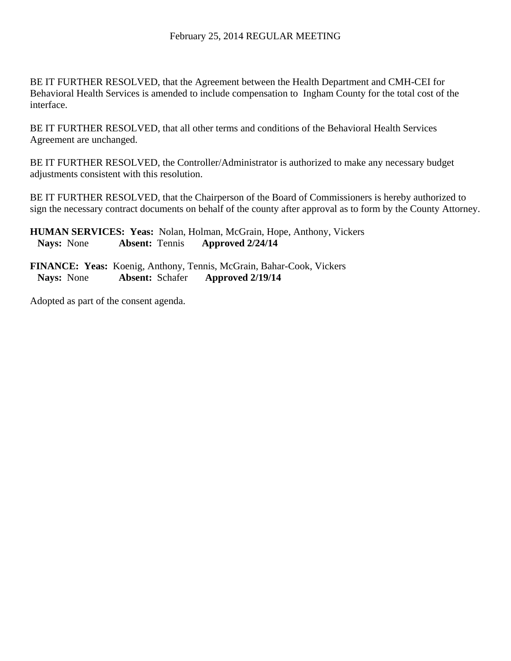BE IT FURTHER RESOLVED, that the Agreement between the Health Department and CMH-CEI for Behavioral Health Services is amended to include compensation to Ingham County for the total cost of the interface.

BE IT FURTHER RESOLVED, that all other terms and conditions of the Behavioral Health Services Agreement are unchanged.

BE IT FURTHER RESOLVED, the Controller/Administrator is authorized to make any necessary budget adjustments consistent with this resolution.

BE IT FURTHER RESOLVED, that the Chairperson of the Board of Commissioners is hereby authorized to sign the necessary contract documents on behalf of the county after approval as to form by the County Attorney.

**HUMAN SERVICES: Yeas:** Nolan, Holman, McGrain, Hope, Anthony, Vickers  **Nays:** None **Absent:** Tennis **Approved 2/24/14** 

**FINANCE: Yeas:** Koenig, Anthony, Tennis, McGrain, Bahar-Cook, Vickers  **Nays:** None **Absent:** Schafer **Approved 2/19/14**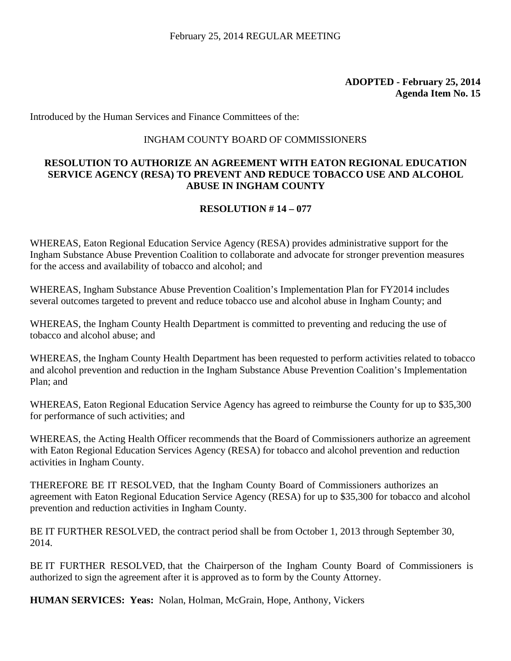Introduced by the Human Services and Finance Committees of the:

#### INGHAM COUNTY BOARD OF COMMISSIONERS

## **RESOLUTION TO AUTHORIZE AN AGREEMENT WITH EATON REGIONAL EDUCATION SERVICE AGENCY (RESA) TO PREVENT AND REDUCE TOBACCO USE AND ALCOHOL ABUSE IN INGHAM COUNTY**

## **RESOLUTION # 14 – 077**

WHEREAS, Eaton Regional Education Service Agency (RESA) provides administrative support for the Ingham Substance Abuse Prevention Coalition to collaborate and advocate for stronger prevention measures for the access and availability of tobacco and alcohol; and

WHEREAS, Ingham Substance Abuse Prevention Coalition's Implementation Plan for FY2014 includes several outcomes targeted to prevent and reduce tobacco use and alcohol abuse in Ingham County; and

WHEREAS, the Ingham County Health Department is committed to preventing and reducing the use of tobacco and alcohol abuse; and

WHEREAS, the Ingham County Health Department has been requested to perform activities related to tobacco and alcohol prevention and reduction in the Ingham Substance Abuse Prevention Coalition's Implementation Plan; and

WHEREAS, Eaton Regional Education Service Agency has agreed to reimburse the County for up to \$35,300 for performance of such activities; and

WHEREAS, the Acting Health Officer recommends that the Board of Commissioners authorize an agreement with Eaton Regional Education Services Agency (RESA) for tobacco and alcohol prevention and reduction activities in Ingham County.

THEREFORE BE IT RESOLVED, that the Ingham County Board of Commissioners authorizes an agreement with Eaton Regional Education Service Agency (RESA) for up to \$35,300 for tobacco and alcohol prevention and reduction activities in Ingham County.

BE IT FURTHER RESOLVED, the contract period shall be from October 1, 2013 through September 30, 2014.

BE IT FURTHER RESOLVED, that the Chairperson of the Ingham County Board of Commissioners is authorized to sign the agreement after it is approved as to form by the County Attorney.

**HUMAN SERVICES: Yeas:** Nolan, Holman, McGrain, Hope, Anthony, Vickers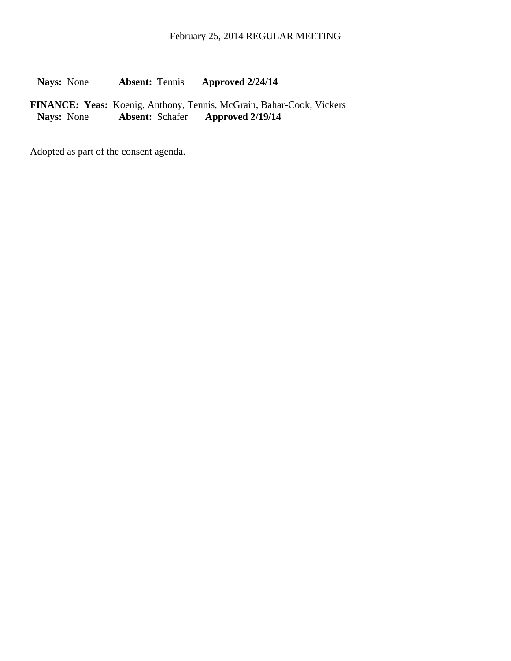**Nays:** None **Absent:** Tennis **Approved 2/24/14** 

FINANCE: Yeas: Koenig, Anthony, Tennis, McGrain, Bahar-Cook, Vickers<br>Nays: None **Absent: Schafer Approved 2/19/14 Nays:** None **Absent:** Schafer **Approved 2/19/14**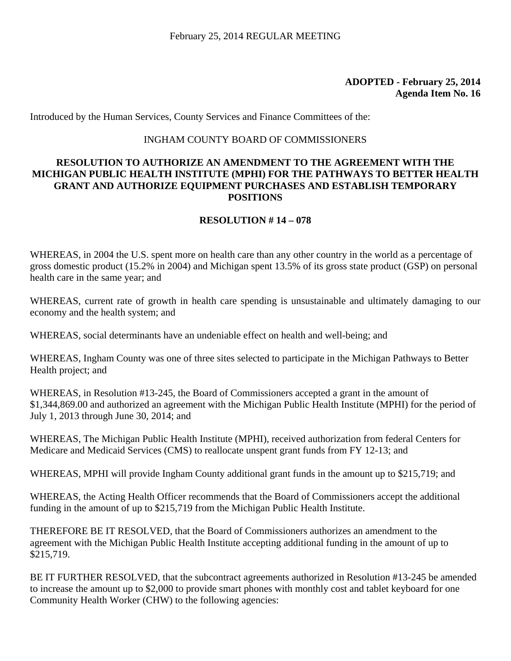Introduced by the Human Services, County Services and Finance Committees of the:

#### INGHAM COUNTY BOARD OF COMMISSIONERS

## **RESOLUTION TO AUTHORIZE AN AMENDMENT TO THE AGREEMENT WITH THE MICHIGAN PUBLIC HEALTH INSTITUTE (MPHI) FOR THE PATHWAYS TO BETTER HEALTH GRANT AND AUTHORIZE EQUIPMENT PURCHASES AND ESTABLISH TEMPORARY POSITIONS**

#### **RESOLUTION # 14 – 078**

WHEREAS, in 2004 the U.S. spent more on health care than any other country in the world as a percentage of gross domestic product (15.2% in 2004) and Michigan spent 13.5% of its gross state product (GSP) on personal health care in the same year; and

WHEREAS, current rate of growth in health care spending is unsustainable and ultimately damaging to our economy and the health system; and

WHEREAS, social determinants have an undeniable effect on health and well-being; and

WHEREAS, Ingham County was one of three sites selected to participate in the Michigan Pathways to Better Health project; and

WHEREAS, in Resolution #13-245, the Board of Commissioners accepted a grant in the amount of \$1,344,869.00 and authorized an agreement with the Michigan Public Health Institute (MPHI) for the period of July 1, 2013 through June 30, 2014; and

WHEREAS, The Michigan Public Health Institute (MPHI), received authorization from federal Centers for Medicare and Medicaid Services (CMS) to reallocate unspent grant funds from FY 12-13; and

WHEREAS, MPHI will provide Ingham County additional grant funds in the amount up to \$215,719; and

WHEREAS, the Acting Health Officer recommends that the Board of Commissioners accept the additional funding in the amount of up to \$215,719 from the Michigan Public Health Institute.

THEREFORE BE IT RESOLVED, that the Board of Commissioners authorizes an amendment to the agreement with the Michigan Public Health Institute accepting additional funding in the amount of up to \$215,719.

BE IT FURTHER RESOLVED, that the subcontract agreements authorized in Resolution #13-245 be amended to increase the amount up to \$2,000 to provide smart phones with monthly cost and tablet keyboard for one Community Health Worker (CHW) to the following agencies: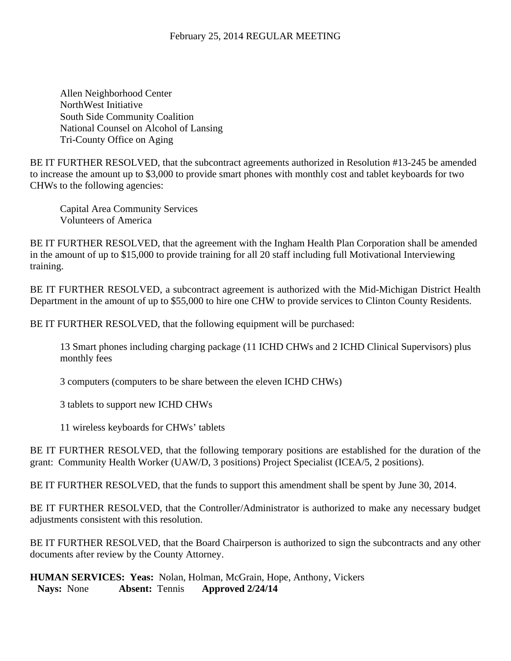Allen Neighborhood Center NorthWest Initiative South Side Community Coalition National Counsel on Alcohol of Lansing Tri-County Office on Aging

BE IT FURTHER RESOLVED, that the subcontract agreements authorized in Resolution #13-245 be amended to increase the amount up to \$3,000 to provide smart phones with monthly cost and tablet keyboards for two CHWs to the following agencies:

 Capital Area Community Services Volunteers of America

BE IT FURTHER RESOLVED, that the agreement with the Ingham Health Plan Corporation shall be amended in the amount of up to \$15,000 to provide training for all 20 staff including full Motivational Interviewing training.

BE IT FURTHER RESOLVED, a subcontract agreement is authorized with the Mid-Michigan District Health Department in the amount of up to \$55,000 to hire one CHW to provide services to Clinton County Residents.

BE IT FURTHER RESOLVED, that the following equipment will be purchased:

13 Smart phones including charging package (11 ICHD CHWs and 2 ICHD Clinical Supervisors) plus monthly fees

3 computers (computers to be share between the eleven ICHD CHWs)

3 tablets to support new ICHD CHWs

11 wireless keyboards for CHWs' tablets

BE IT FURTHER RESOLVED, that the following temporary positions are established for the duration of the grant: Community Health Worker (UAW/D, 3 positions) Project Specialist (ICEA/5, 2 positions).

BE IT FURTHER RESOLVED, that the funds to support this amendment shall be spent by June 30, 2014.

BE IT FURTHER RESOLVED, that the Controller/Administrator is authorized to make any necessary budget adjustments consistent with this resolution.

BE IT FURTHER RESOLVED, that the Board Chairperson is authorized to sign the subcontracts and any other documents after review by the County Attorney.

**HUMAN SERVICES: Yeas:** Nolan, Holman, McGrain, Hope, Anthony, Vickers  **Nays:** None **Absent:** Tennis **Approved 2/24/14**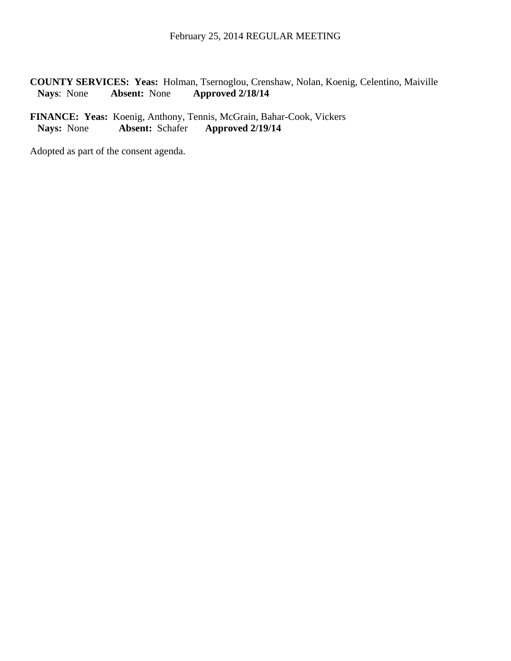**COUNTY SERVICES: Yeas:** Holman, Tsernoglou, Crenshaw, Nolan, Koenig, Celentino, Maiville **Nays**: None **Absent:** None **Approved 2/18/14**

**FINANCE: Yeas:** Koenig, Anthony, Tennis, McGrain, Bahar-Cook, Vickers<br>Nays: None **Absent:** Schafer **Approved 2/19/14 Nays:** None **Absent:** Schafer **Approved 2/19/14**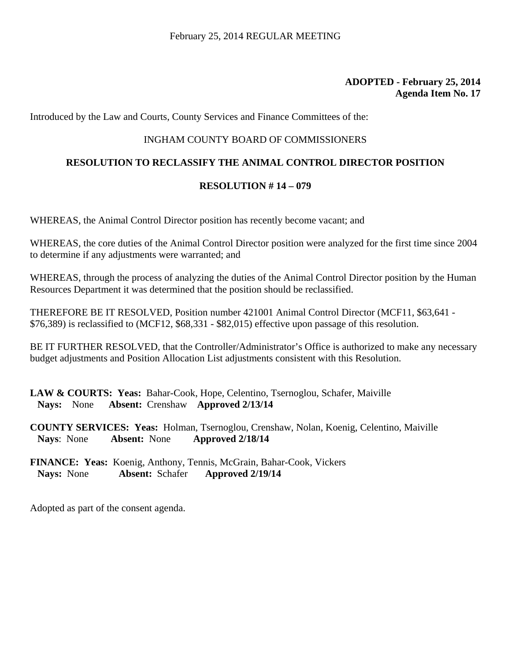Introduced by the Law and Courts, County Services and Finance Committees of the:

#### INGHAM COUNTY BOARD OF COMMISSIONERS

#### **RESOLUTION TO RECLASSIFY THE ANIMAL CONTROL DIRECTOR POSITION**

#### **RESOLUTION # 14 – 079**

WHEREAS, the Animal Control Director position has recently become vacant; and

WHEREAS, the core duties of the Animal Control Director position were analyzed for the first time since 2004 to determine if any adjustments were warranted; and

WHEREAS, through the process of analyzing the duties of the Animal Control Director position by the Human Resources Department it was determined that the position should be reclassified.

THEREFORE BE IT RESOLVED, Position number 421001 Animal Control Director (MCF11, \$63,641 - \$76,389) is reclassified to (MCF12, \$68,331 - \$82,015) effective upon passage of this resolution.

BE IT FURTHER RESOLVED, that the Controller/Administrator's Office is authorized to make any necessary budget adjustments and Position Allocation List adjustments consistent with this Resolution.

**LAW & COURTS: Yeas:** Bahar-Cook, Hope, Celentino, Tsernoglou, Schafer, Maiville **Nays:** None **Absent:** Crenshaw **Approved 2/13/14**

**COUNTY SERVICES: Yeas:** Holman, Tsernoglou, Crenshaw, Nolan, Koenig, Celentino, Maiville **Nays**: None **Absent:** None **Approved 2/18/14**

**FINANCE: Yeas:** Koenig, Anthony, Tennis, McGrain, Bahar-Cook, Vickers  **Nays:** None **Absent:** Schafer **Approved 2/19/14**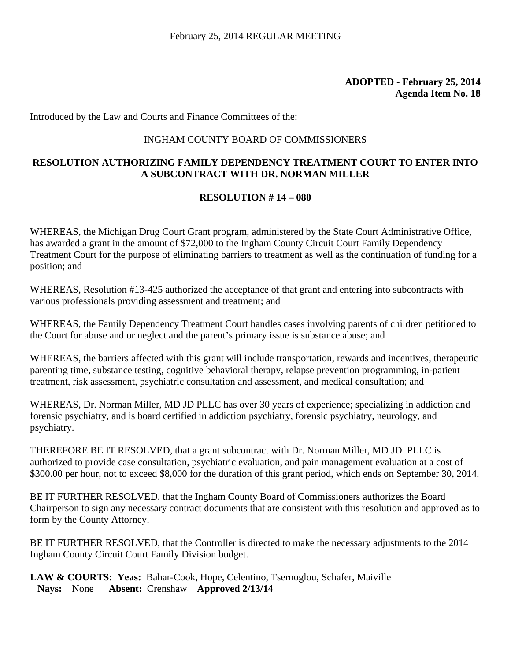Introduced by the Law and Courts and Finance Committees of the:

#### INGHAM COUNTY BOARD OF COMMISSIONERS

## **RESOLUTION AUTHORIZING FAMILY DEPENDENCY TREATMENT COURT TO ENTER INTO A SUBCONTRACT WITH DR. NORMAN MILLER**

#### **RESOLUTION # 14 – 080**

WHEREAS, the Michigan Drug Court Grant program, administered by the State Court Administrative Office, has awarded a grant in the amount of \$72,000 to the Ingham County Circuit Court Family Dependency Treatment Court for the purpose of eliminating barriers to treatment as well as the continuation of funding for a position; and

WHEREAS, Resolution #13-425 authorized the acceptance of that grant and entering into subcontracts with various professionals providing assessment and treatment; and

WHEREAS, the Family Dependency Treatment Court handles cases involving parents of children petitioned to the Court for abuse and or neglect and the parent's primary issue is substance abuse; and

WHEREAS, the barriers affected with this grant will include transportation, rewards and incentives, therapeutic parenting time, substance testing, cognitive behavioral therapy, relapse prevention programming, in-patient treatment, risk assessment, psychiatric consultation and assessment, and medical consultation; and

WHEREAS, Dr. Norman Miller, MD JD PLLC has over 30 years of experience; specializing in addiction and forensic psychiatry, and is board certified in addiction psychiatry, forensic psychiatry, neurology, and psychiatry.

THEREFORE BE IT RESOLVED, that a grant subcontract with Dr. Norman Miller, MD JD PLLC is authorized to provide case consultation, psychiatric evaluation, and pain management evaluation at a cost of \$300.00 per hour, not to exceed \$8,000 for the duration of this grant period, which ends on September 30, 2014.

BE IT FURTHER RESOLVED, that the Ingham County Board of Commissioners authorizes the Board Chairperson to sign any necessary contract documents that are consistent with this resolution and approved as to form by the County Attorney.

BE IT FURTHER RESOLVED, that the Controller is directed to make the necessary adjustments to the 2014 Ingham County Circuit Court Family Division budget.

LAW & COURTS: Yeas: Bahar-Cook, Hope, Celentino, Tsernoglou, Schafer, Maiville **Nays:** None **Absent:** Crenshaw **Approved 2/13/14**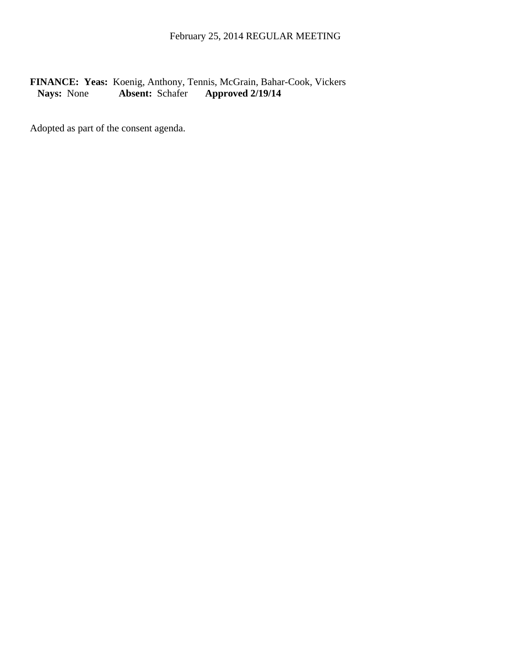## FINANCE: Yeas: Koenig, Anthony, Tennis, McGrain, Bahar-Cook, Vickers<br>Nays: None Absent: Schafer Approved 2/19/14  **Nays:** None **Absent:** Schafer **Approved 2/19/14**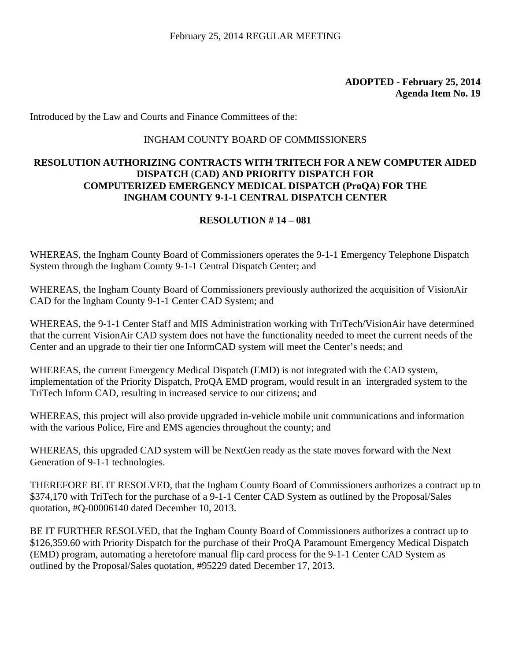### **ADOPTED - February 25, 2014 Agenda Item No. 19**

Introduced by the Law and Courts and Finance Committees of the:

#### INGHAM COUNTY BOARD OF COMMISSIONERS

## **RESOLUTION AUTHORIZING CONTRACTS WITH TRITECH FOR A NEW COMPUTER AIDED DISPATCH** (**CAD) AND PRIORITY DISPATCH FOR COMPUTERIZED EMERGENCY MEDICAL DISPATCH (ProQA) FOR THE INGHAM COUNTY 9-1-1 CENTRAL DISPATCH CENTER**

## **RESOLUTION # 14 – 081**

WHEREAS, the Ingham County Board of Commissioners operates the 9-1-1 Emergency Telephone Dispatch System through the Ingham County 9-1-1 Central Dispatch Center; and

WHEREAS, the Ingham County Board of Commissioners previously authorized the acquisition of VisionAir CAD for the Ingham County 9-1-1 Center CAD System; and

WHEREAS, the 9-1-1 Center Staff and MIS Administration working with TriTech/VisionAir have determined that the current VisionAir CAD system does not have the functionality needed to meet the current needs of the Center and an upgrade to their tier one InformCAD system will meet the Center's needs; and

WHEREAS, the current Emergency Medical Dispatch (EMD) is not integrated with the CAD system, implementation of the Priority Dispatch, ProQA EMD program, would result in an intergraded system to the TriTech Inform CAD, resulting in increased service to our citizens; and

WHEREAS, this project will also provide upgraded in-vehicle mobile unit communications and information with the various Police, Fire and EMS agencies throughout the county; and

WHEREAS, this upgraded CAD system will be NextGen ready as the state moves forward with the Next Generation of 9-1-1 technologies.

THEREFORE BE IT RESOLVED, that the Ingham County Board of Commissioners authorizes a contract up to \$374,170 with TriTech for the purchase of a 9-1-1 Center CAD System as outlined by the Proposal/Sales quotation, #Q-00006140 dated December 10, 2013.

BE IT FURTHER RESOLVED, that the Ingham County Board of Commissioners authorizes a contract up to \$126,359.60 with Priority Dispatch for the purchase of their ProQA Paramount Emergency Medical Dispatch (EMD) program, automating a heretofore manual flip card process for the 9-1-1 Center CAD System as outlined by the Proposal/Sales quotation, #95229 dated December 17, 2013.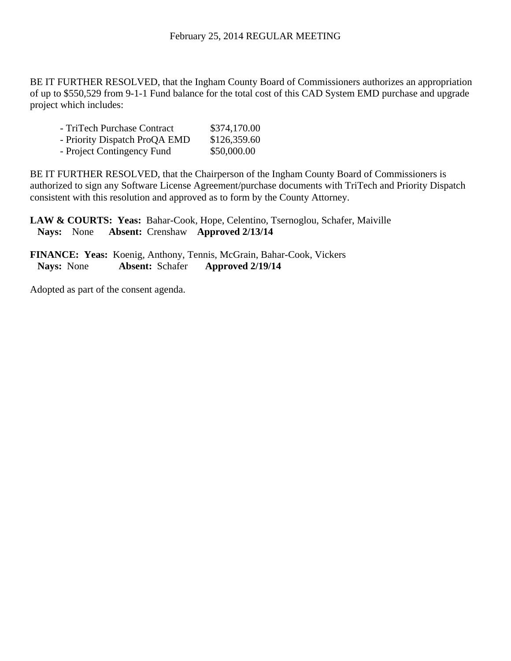BE IT FURTHER RESOLVED, that the Ingham County Board of Commissioners authorizes an appropriation of up to \$550,529 from 9-1-1 Fund balance for the total cost of this CAD System EMD purchase and upgrade project which includes:

| - TriTech Purchase Contract   | \$374,170.00 |
|-------------------------------|--------------|
| - Priority Dispatch ProQA EMD | \$126,359.60 |
| - Project Contingency Fund    | \$50,000.00  |

BE IT FURTHER RESOLVED, that the Chairperson of the Ingham County Board of Commissioners is authorized to sign any Software License Agreement/purchase documents with TriTech and Priority Dispatch consistent with this resolution and approved as to form by the County Attorney.

LAW & COURTS: Yeas: Bahar-Cook, Hope, Celentino, Tsernoglou, Schafer, Maiville **Nays:** None **Absent:** Crenshaw **Approved 2/13/14**

**FINANCE: Yeas:** Koenig, Anthony, Tennis, McGrain, Bahar-Cook, Vickers  **Nays:** None **Absent:** Schafer **Approved 2/19/14** 

Adopted as part of the consent agenda.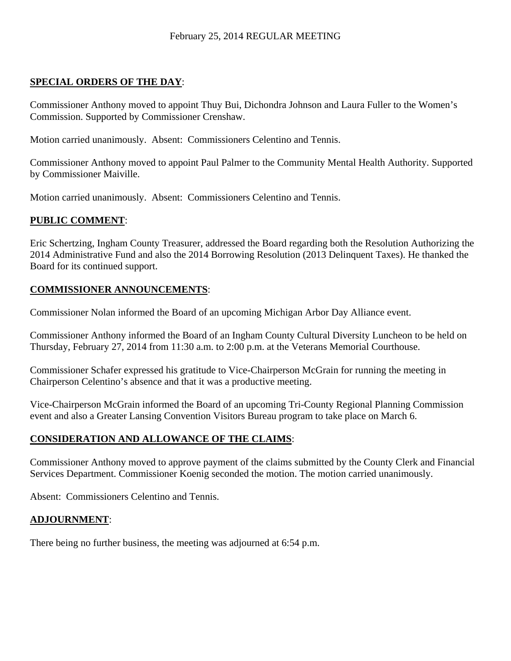## **SPECIAL ORDERS OF THE DAY**:

Commissioner Anthony moved to appoint Thuy Bui, Dichondra Johnson and Laura Fuller to the Women's Commission. Supported by Commissioner Crenshaw.

Motion carried unanimously. Absent: Commissioners Celentino and Tennis.

Commissioner Anthony moved to appoint Paul Palmer to the Community Mental Health Authority. Supported by Commissioner Maiville.

Motion carried unanimously. Absent: Commissioners Celentino and Tennis.

## **PUBLIC COMMENT**:

Eric Schertzing, Ingham County Treasurer, addressed the Board regarding both the Resolution Authorizing the 2014 Administrative Fund and also the 2014 Borrowing Resolution (2013 Delinquent Taxes). He thanked the Board for its continued support.

## **COMMISSIONER ANNOUNCEMENTS**:

Commissioner Nolan informed the Board of an upcoming Michigan Arbor Day Alliance event.

Commissioner Anthony informed the Board of an Ingham County Cultural Diversity Luncheon to be held on Thursday, February 27, 2014 from 11:30 a.m. to 2:00 p.m. at the Veterans Memorial Courthouse.

Commissioner Schafer expressed his gratitude to Vice-Chairperson McGrain for running the meeting in Chairperson Celentino's absence and that it was a productive meeting.

Vice-Chairperson McGrain informed the Board of an upcoming Tri-County Regional Planning Commission event and also a Greater Lansing Convention Visitors Bureau program to take place on March 6.

## **CONSIDERATION AND ALLOWANCE OF THE CLAIMS**:

Commissioner Anthony moved to approve payment of the claims submitted by the County Clerk and Financial Services Department. Commissioner Koenig seconded the motion. The motion carried unanimously.

Absent: Commissioners Celentino and Tennis.

#### **ADJOURNMENT**:

There being no further business, the meeting was adjourned at 6:54 p.m.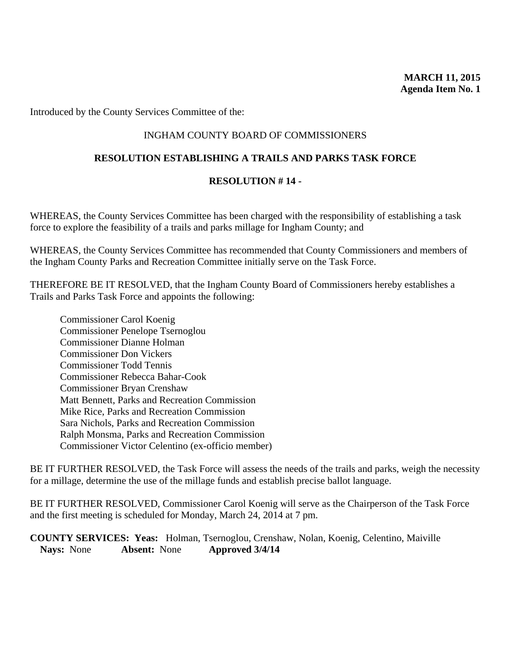Introduced by the County Services Committee of the:

### INGHAM COUNTY BOARD OF COMMISSIONERS

#### **RESOLUTION ESTABLISHING A TRAILS AND PARKS TASK FORCE**

#### **RESOLUTION # 14 -**

WHEREAS, the County Services Committee has been charged with the responsibility of establishing a task force to explore the feasibility of a trails and parks millage for Ingham County; and

WHEREAS, the County Services Committee has recommended that County Commissioners and members of the Ingham County Parks and Recreation Committee initially serve on the Task Force.

THEREFORE BE IT RESOLVED, that the Ingham County Board of Commissioners hereby establishes a Trails and Parks Task Force and appoints the following:

Commissioner Carol Koenig Commissioner Penelope Tsernoglou Commissioner Dianne Holman Commissioner Don Vickers Commissioner Todd Tennis Commissioner Rebecca Bahar-Cook Commissioner Bryan Crenshaw Matt Bennett, Parks and Recreation Commission Mike Rice, Parks and Recreation Commission Sara Nichols, Parks and Recreation Commission Ralph Monsma, Parks and Recreation Commission Commissioner Victor Celentino (ex-officio member)

BE IT FURTHER RESOLVED, the Task Force will assess the needs of the trails and parks, weigh the necessity for a millage, determine the use of the millage funds and establish precise ballot language.

BE IT FURTHER RESOLVED, Commissioner Carol Koenig will serve as the Chairperson of the Task Force and the first meeting is scheduled for Monday, March 24, 2014 at 7 pm.

**COUNTY SERVICES: Yeas:** Holman, Tsernoglou, Crenshaw, Nolan, Koenig, Celentino, Maiville **Nays:** None **Absent:** None **Approved 3/4/14**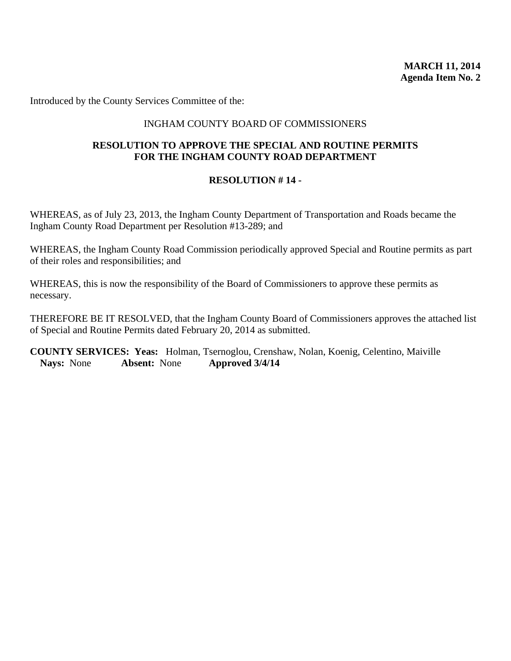Introduced by the County Services Committee of the:

### INGHAM COUNTY BOARD OF COMMISSIONERS

#### **RESOLUTION TO APPROVE THE SPECIAL AND ROUTINE PERMITS FOR THE INGHAM COUNTY ROAD DEPARTMENT**

#### **RESOLUTION # 14 -**

WHEREAS, as of July 23, 2013, the Ingham County Department of Transportation and Roads became the Ingham County Road Department per Resolution #13-289; and

WHEREAS, the Ingham County Road Commission periodically approved Special and Routine permits as part of their roles and responsibilities; and

WHEREAS, this is now the responsibility of the Board of Commissioners to approve these permits as necessary.

THEREFORE BE IT RESOLVED, that the Ingham County Board of Commissioners approves the attached list of Special and Routine Permits dated February 20, 2014 as submitted.

**COUNTY SERVICES: Yeas:** Holman, Tsernoglou, Crenshaw, Nolan, Koenig, Celentino, Maiville **Nays:** None **Absent:** None **Approved 3/4/14**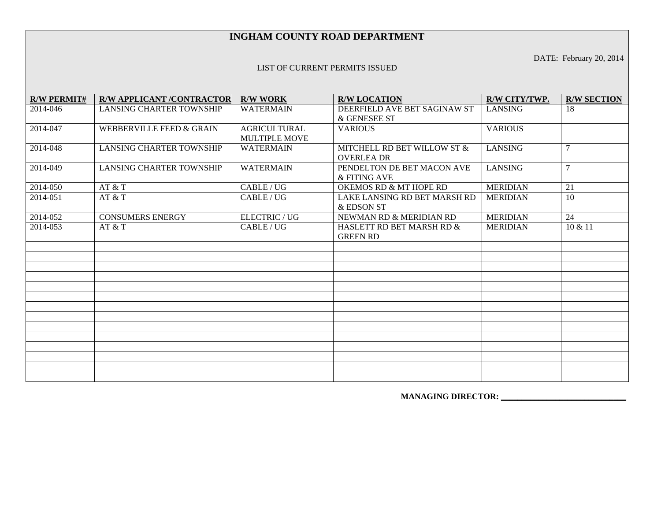#### **INGHAM COUNTY ROAD DEPARTMENT**

DATE: February 20, 2014

#### LIST OF CURRENT PERMITS ISSUED

| <b>R/W PERMIT#</b> | <b>R/W APPLICANT /CONTRACTOR</b> | <b>R/W WORK</b>                             | <b>R/W LOCATION</b>                              | R/W CITY/TWP.   | <b>R/W SECTION</b> |
|--------------------|----------------------------------|---------------------------------------------|--------------------------------------------------|-----------------|--------------------|
| 2014-046           | <b>LANSING CHARTER TOWNSHIP</b>  | <b>WATERMAIN</b>                            | DEERFIELD AVE BET SAGINAW ST<br>& GENESEE ST     | <b>LANSING</b>  | 18                 |
| 2014-047           | WEBBERVILLE FEED & GRAIN         | <b>AGRICULTURAL</b><br><b>MULTIPLE MOVE</b> | <b>VARIOUS</b>                                   | <b>VARIOUS</b>  |                    |
| 2014-048           | <b>LANSING CHARTER TOWNSHIP</b>  | <b>WATERMAIN</b>                            | MITCHELL RD BET WILLOW ST &<br><b>OVERLEA DR</b> | <b>LANSING</b>  | $7\phantom{.0}$    |
| 2014-049           | <b>LANSING CHARTER TOWNSHIP</b>  | <b>WATERMAIN</b>                            | PENDELTON DE BET MACON AVE<br>& FITING AVE       | <b>LANSING</b>  | $\tau$             |
| 2014-050           | AT & T                           | CABLE/UG                                    | OKEMOS RD & MT HOPE RD                           | <b>MERIDIAN</b> | 21                 |
| 2014-051           | AT & T                           | CABLE / UG                                  | LAKE LANSING RD BET MARSH RD<br>& EDSON ST       | <b>MERIDIAN</b> | 10                 |
| 2014-052           | <b>CONSUMERS ENERGY</b>          | ELECTRIC / UG                               | NEWMAN RD & MERIDIAN RD                          | <b>MERIDIAN</b> | 24                 |
| 2014-053           | AT & T                           | CABLE / UG                                  | HASLETT RD BET MARSH RD &<br><b>GREEN RD</b>     | <b>MERIDIAN</b> | 10 & 11            |
|                    |                                  |                                             |                                                  |                 |                    |
|                    |                                  |                                             |                                                  |                 |                    |
|                    |                                  |                                             |                                                  |                 |                    |
|                    |                                  |                                             |                                                  |                 |                    |
|                    |                                  |                                             |                                                  |                 |                    |
|                    |                                  |                                             |                                                  |                 |                    |
|                    |                                  |                                             |                                                  |                 |                    |
|                    |                                  |                                             |                                                  |                 |                    |
|                    |                                  |                                             |                                                  |                 |                    |
|                    |                                  |                                             |                                                  |                 |                    |
|                    |                                  |                                             |                                                  |                 |                    |
|                    |                                  |                                             |                                                  |                 |                    |
|                    |                                  |                                             |                                                  |                 |                    |

 **MANAGING DIRECTOR: \_\_\_\_\_\_\_\_\_\_\_\_\_\_\_\_\_\_\_\_\_\_\_\_\_\_\_\_\_\_**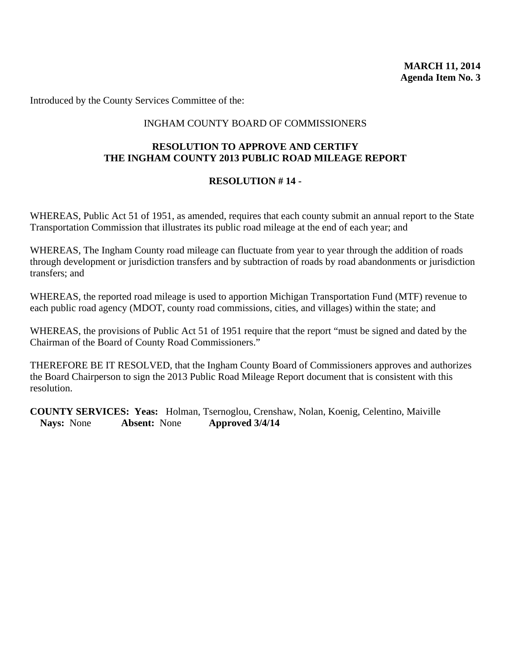Introduced by the County Services Committee of the:

## INGHAM COUNTY BOARD OF COMMISSIONERS

#### **RESOLUTION TO APPROVE AND CERTIFY THE INGHAM COUNTY 2013 PUBLIC ROAD MILEAGE REPORT**

#### **RESOLUTION # 14 -**

WHEREAS, Public Act 51 of 1951, as amended, requires that each county submit an annual report to the State Transportation Commission that illustrates its public road mileage at the end of each year; and

WHEREAS, The Ingham County road mileage can fluctuate from year to year through the addition of roads through development or jurisdiction transfers and by subtraction of roads by road abandonments or jurisdiction transfers; and

WHEREAS, the reported road mileage is used to apportion Michigan Transportation Fund (MTF) revenue to each public road agency (MDOT, county road commissions, cities, and villages) within the state; and

WHEREAS, the provisions of Public Act 51 of 1951 require that the report "must be signed and dated by the Chairman of the Board of County Road Commissioners."

THEREFORE BE IT RESOLVED, that the Ingham County Board of Commissioners approves and authorizes the Board Chairperson to sign the 2013 Public Road Mileage Report document that is consistent with this resolution.

**COUNTY SERVICES: Yeas:** Holman, Tsernoglou, Crenshaw, Nolan, Koenig, Celentino, Maiville **Nays:** None **Absent:** None **Approved 3/4/14**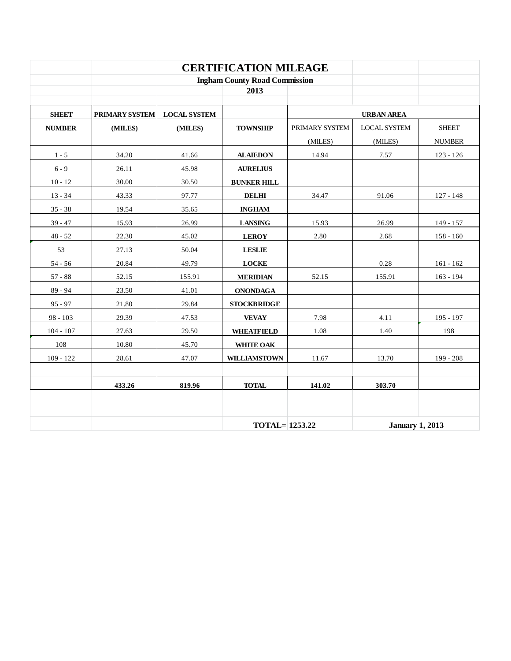|               |                       |                     | <b>CERTIFICATION MILEAGE</b>         |                |                        |               |
|---------------|-----------------------|---------------------|--------------------------------------|----------------|------------------------|---------------|
|               |                       |                     | <b>Ingham County Road Commission</b> |                |                        |               |
|               |                       |                     | 2013                                 |                |                        |               |
| <b>SHEET</b>  | <b>PRIMARY SYSTEM</b> | <b>LOCAL SYSTEM</b> |                                      |                | <b>URBAN AREA</b>      |               |
| <b>NUMBER</b> | (MILES)               | (MILES)             | <b>TOWNSHIP</b>                      | PRIMARY SYSTEM | <b>LOCAL SYSTEM</b>    | <b>SHEET</b>  |
|               |                       |                     |                                      | (MILES)        | (MILES)                | <b>NUMBER</b> |
| $1 - 5$       | 34.20                 | 41.66               | <b>ALAIEDON</b>                      | 14.94          | 7.57                   | $123 - 126$   |
| $6 - 9$       | 26.11                 | 45.98               | <b>AURELIUS</b>                      |                |                        |               |
| $10 - 12$     | 30.00                 | 30.50               | <b>BUNKER HILL</b>                   |                |                        |               |
| $13 - 34$     | 43.33                 | 97.77               | <b>DELHI</b>                         | 34.47          | 91.06                  | $127 - 148$   |
| $35 - 38$     | 19.54                 | 35.65               | <b>INGHAM</b>                        |                |                        |               |
| $39 - 47$     | 15.93                 | 26.99               | <b>LANSING</b>                       | 15.93          | 26.99                  | $149 - 157$   |
| $48 - 52$     | 22.30                 | 45.02               | <b>LEROY</b>                         | 2.80           | 2.68                   | $158 - 160$   |
| 53            | 27.13                 | 50.04               | <b>LESLIE</b>                        |                |                        |               |
| $54 - 56$     | 20.84                 | 49.79               | <b>LOCKE</b>                         |                | 0.28                   | $161 - 162$   |
| $57 - 88$     | 52.15                 | 155.91              | <b>MERIDIAN</b>                      | 52.15          | 155.91                 | $163 - 194$   |
| $89 - 94$     | 23.50                 | 41.01               | <b>ONONDAGA</b>                      |                |                        |               |
| $95 - 97$     | 21.80                 | 29.84               | <b>STOCKBRIDGE</b>                   |                |                        |               |
| $98 - 103$    | 29.39                 | 47.53               | <b>VEVAY</b>                         | 7.98           | 4.11                   | 195 - 197     |
| $104 - 107$   | 27.63                 | 29.50               | <b>WHEATFIELD</b>                    | 1.08           | 1.40                   | 198           |
| 108           | 10.80                 | 45.70               | WHITE OAK                            |                |                        |               |
| $109 - 122$   | 28.61                 | 47.07               | <b>WILLIAMSTOWN</b>                  | 11.67          | 13.70                  | 199 - 208     |
|               |                       |                     |                                      |                |                        |               |
|               | 433.26                | 819.96              | <b>TOTAL</b>                         | 141.02         | 303.70                 |               |
|               |                       |                     |                                      |                |                        |               |
|               |                       |                     |                                      |                |                        |               |
|               |                       |                     | <b>TOTAL=1253.22</b>                 |                | <b>January 1, 2013</b> |               |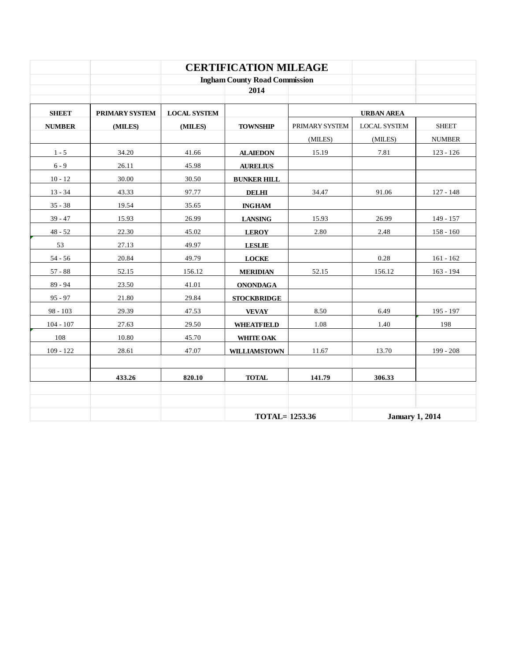|               |                |                                      | <b>CERTIFICATION MILEAGE</b> |                |                        |               |
|---------------|----------------|--------------------------------------|------------------------------|----------------|------------------------|---------------|
|               |                | <b>Ingham County Road Commission</b> |                              |                |                        |               |
|               |                |                                      | 2014                         |                |                        |               |
| <b>SHEET</b>  | PRIMARY SYSTEM | <b>LOCAL SYSTEM</b>                  |                              |                | <b>URBAN AREA</b>      |               |
| <b>NUMBER</b> | (MILES)        | (MILES)                              | <b>TOWNSHIP</b>              | PRIMARY SYSTEM | <b>LOCAL SYSTEM</b>    | <b>SHEET</b>  |
|               |                |                                      |                              | (MILES)        | (MILES)                | <b>NUMBER</b> |
| $1 - 5$       | 34.20          | 41.66                                | <b>ALAIEDON</b>              | 15.19          | 7.81                   | $123 - 126$   |
| $6 - 9$       | 26.11          | 45.98                                | <b>AURELIUS</b>              |                |                        |               |
| $10 - 12$     | 30.00          | 30.50                                | <b>BUNKER HILL</b>           |                |                        |               |
| $13 - 34$     | 43.33          | 97.77                                | <b>DELHI</b>                 | 34.47          | 91.06                  | $127 - 148$   |
| $35 - 38$     | 19.54          | 35.65                                | <b>INGHAM</b>                |                |                        |               |
| $39 - 47$     | 15.93          | 26.99                                | <b>LANSING</b>               | 15.93          | 26.99                  | 149 - 157     |
| $48 - 52$     | 22.30          | 45.02                                | <b>LEROY</b>                 | 2.80           | 2.48                   | $158 - 160$   |
| 53            | 27.13          | 49.97                                | <b>LESLIE</b>                |                |                        |               |
| $54 - 56$     | 20.84          | 49.79                                | <b>LOCKE</b>                 |                | 0.28                   | $161 - 162$   |
| $57 - 88$     | 52.15          | 156.12                               | <b>MERIDIAN</b>              | 52.15          | 156.12                 | $163 - 194$   |
| $89 - 94$     | 23.50          | 41.01                                | <b>ONONDAGA</b>              |                |                        |               |
| $95 - 97$     | 21.80          | 29.84                                | <b>STOCKBRIDGE</b>           |                |                        |               |
| $98 - 103$    | 29.39          | 47.53                                | <b>VEVAY</b>                 | 8.50           | 6.49                   | 195 - 197     |
| $104 - 107$   | 27.63          | 29.50                                | <b>WHEATFIELD</b>            | 1.08           | 1.40                   | 198           |
| 108           | 10.80          | 45.70                                | WHITE OAK                    |                |                        |               |
| $109 - 122$   | 28.61          | 47.07                                | <b>WILLIAMSTOWN</b>          | 11.67          | 13.70                  | 199 - 208     |
|               |                |                                      |                              |                |                        |               |
|               | 433.26         | 820.10                               | <b>TOTAL</b>                 | 141.79         | 306.33                 |               |
|               |                |                                      |                              |                |                        |               |
|               |                |                                      |                              |                |                        |               |
|               |                | <b>TOTAL=1253.36</b>                 |                              |                | <b>January 1, 2014</b> |               |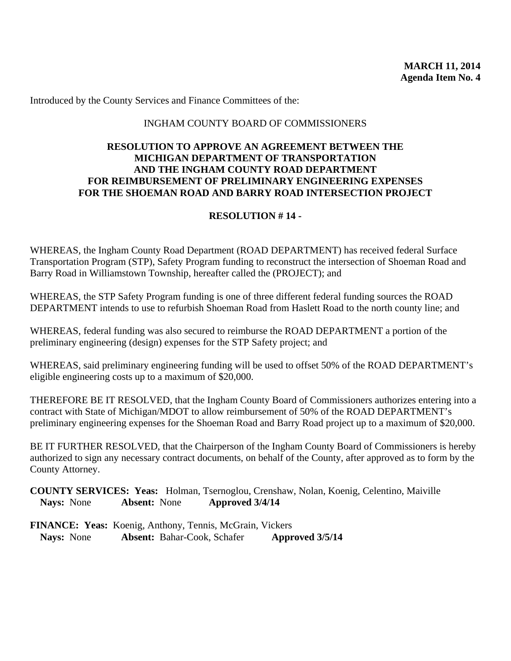#### INGHAM COUNTY BOARD OF COMMISSIONERS

## **RESOLUTION TO APPROVE AN AGREEMENT BETWEEN THE MICHIGAN DEPARTMENT OF TRANSPORTATION AND THE INGHAM COUNTY ROAD DEPARTMENT FOR REIMBURSEMENT OF PRELIMINARY ENGINEERING EXPENSES FOR THE SHOEMAN ROAD AND BARRY ROAD INTERSECTION PROJECT**

### **RESOLUTION # 14 -**

WHEREAS, the Ingham County Road Department (ROAD DEPARTMENT) has received federal Surface Transportation Program (STP), Safety Program funding to reconstruct the intersection of Shoeman Road and Barry Road in Williamstown Township, hereafter called the (PROJECT); and

WHEREAS, the STP Safety Program funding is one of three different federal funding sources the ROAD DEPARTMENT intends to use to refurbish Shoeman Road from Haslett Road to the north county line; and

WHEREAS, federal funding was also secured to reimburse the ROAD DEPARTMENT a portion of the preliminary engineering (design) expenses for the STP Safety project; and

WHEREAS, said preliminary engineering funding will be used to offset 50% of the ROAD DEPARTMENT's eligible engineering costs up to a maximum of \$20,000.

THEREFORE BE IT RESOLVED, that the Ingham County Board of Commissioners authorizes entering into a contract with State of Michigan/MDOT to allow reimbursement of 50% of the ROAD DEPARTMENT's preliminary engineering expenses for the Shoeman Road and Barry Road project up to a maximum of \$20,000.

BE IT FURTHER RESOLVED, that the Chairperson of the Ingham County Board of Commissioners is hereby authorized to sign any necessary contract documents, on behalf of the County, after approved as to form by the County Attorney.

**COUNTY SERVICES: Yeas:** Holman, Tsernoglou, Crenshaw, Nolan, Koenig, Celentino, Maiville **Nays:** None **Absent:** None **Approved 3/4/14**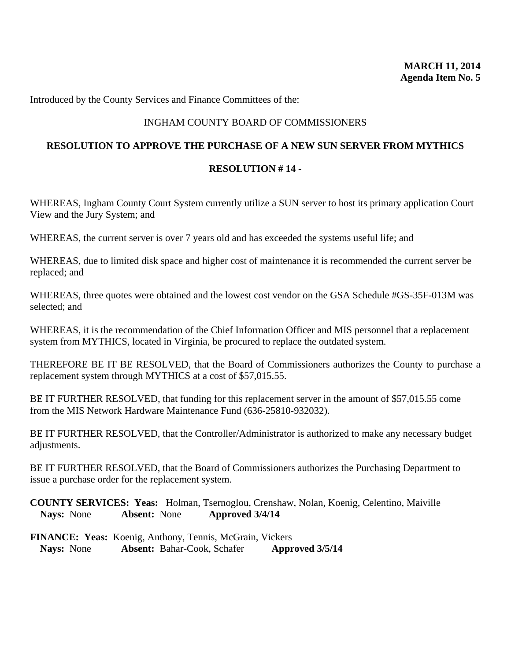## INGHAM COUNTY BOARD OF COMMISSIONERS

#### **RESOLUTION TO APPROVE THE PURCHASE OF A NEW SUN SERVER FROM MYTHICS**

#### **RESOLUTION # 14 -**

WHEREAS, Ingham County Court System currently utilize a SUN server to host its primary application Court View and the Jury System; and

WHEREAS, the current server is over 7 years old and has exceeded the systems useful life; and

WHEREAS, due to limited disk space and higher cost of maintenance it is recommended the current server be replaced; and

WHEREAS, three quotes were obtained and the lowest cost vendor on the GSA Schedule #GS-35F-013M was selected; and

WHEREAS, it is the recommendation of the Chief Information Officer and MIS personnel that a replacement system from MYTHICS, located in Virginia, be procured to replace the outdated system.

THEREFORE BE IT BE RESOLVED, that the Board of Commissioners authorizes the County to purchase a replacement system through MYTHICS at a cost of \$57,015.55.

BE IT FURTHER RESOLVED, that funding for this replacement server in the amount of \$57,015.55 come from the MIS Network Hardware Maintenance Fund (636-25810-932032).

BE IT FURTHER RESOLVED, that the Controller/Administrator is authorized to make any necessary budget adjustments.

BE IT FURTHER RESOLVED, that the Board of Commissioners authorizes the Purchasing Department to issue a purchase order for the replacement system.

**COUNTY SERVICES: Yeas:** Holman, Tsernoglou, Crenshaw, Nolan, Koenig, Celentino, Maiville **Nays:** None **Absent:** None **Approved 3/4/14**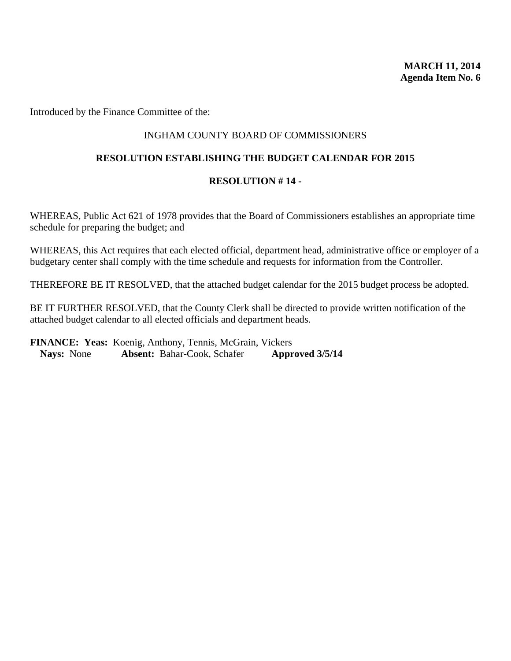Introduced by the Finance Committee of the:

### INGHAM COUNTY BOARD OF COMMISSIONERS

#### **RESOLUTION ESTABLISHING THE BUDGET CALENDAR FOR 2015**

### **RESOLUTION # 14 -**

WHEREAS, Public Act 621 of 1978 provides that the Board of Commissioners establishes an appropriate time schedule for preparing the budget; and

WHEREAS, this Act requires that each elected official, department head, administrative office or employer of a budgetary center shall comply with the time schedule and requests for information from the Controller.

THEREFORE BE IT RESOLVED, that the attached budget calendar for the 2015 budget process be adopted.

BE IT FURTHER RESOLVED, that the County Clerk shall be directed to provide written notification of the attached budget calendar to all elected officials and department heads.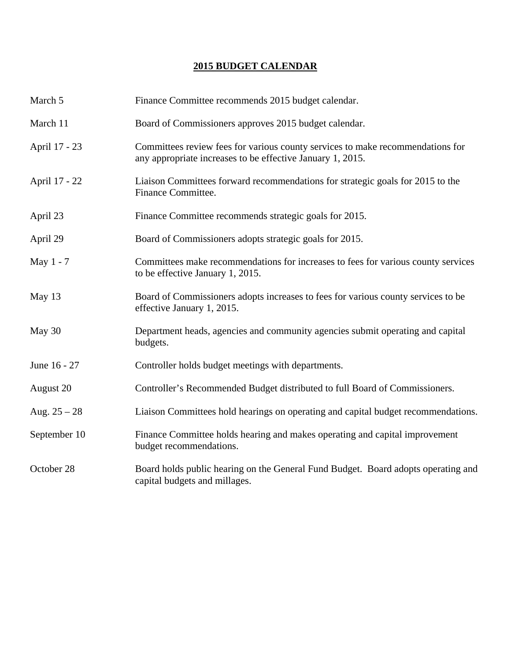# **2015 BUDGET CALENDAR**

| March 5        | Finance Committee recommends 2015 budget calendar.                                                                                           |
|----------------|----------------------------------------------------------------------------------------------------------------------------------------------|
| March 11       | Board of Commissioners approves 2015 budget calendar.                                                                                        |
| April 17 - 23  | Committees review fees for various county services to make recommendations for<br>any appropriate increases to be effective January 1, 2015. |
| April 17 - 22  | Liaison Committees forward recommendations for strategic goals for 2015 to the<br>Finance Committee.                                         |
| April 23       | Finance Committee recommends strategic goals for 2015.                                                                                       |
| April 29       | Board of Commissioners adopts strategic goals for 2015.                                                                                      |
| May 1 - 7      | Committees make recommendations for increases to fees for various county services<br>to be effective January 1, 2015.                        |
| May 13         | Board of Commissioners adopts increases to fees for various county services to be<br>effective January 1, 2015.                              |
| May 30         | Department heads, agencies and community agencies submit operating and capital<br>budgets.                                                   |
| June 16 - 27   | Controller holds budget meetings with departments.                                                                                           |
| August 20      | Controller's Recommended Budget distributed to full Board of Commissioners.                                                                  |
| Aug. $25 - 28$ | Liaison Committees hold hearings on operating and capital budget recommendations.                                                            |
| September 10   | Finance Committee holds hearing and makes operating and capital improvement<br>budget recommendations.                                       |
| October 28     | Board holds public hearing on the General Fund Budget. Board adopts operating and<br>capital budgets and millages.                           |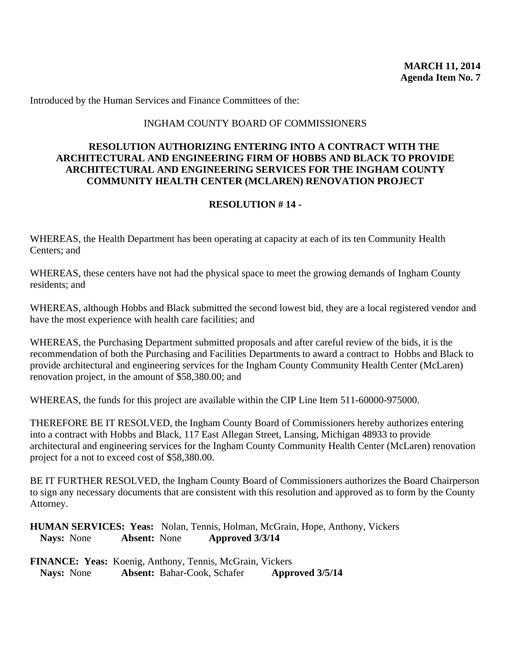### INGHAM COUNTY BOARD OF COMMISSIONERS

## **RESOLUTION AUTHORIZING ENTERING INTO A CONTRACT WITH THE ARCHITECTURAL AND ENGINEERING FIRM OF HOBBS AND BLACK TO PROVIDE ARCHITECTURAL AND ENGINEERING SERVICES FOR THE INGHAM COUNTY COMMUNITY HEALTH CENTER (MCLAREN) RENOVATION PROJECT**

## **RESOLUTION # 14 -**

WHEREAS, the Health Department has been operating at capacity at each of its ten Community Health Centers; and

WHEREAS, these centers have not had the physical space to meet the growing demands of Ingham County residents; and

WHEREAS, although Hobbs and Black submitted the second lowest bid, they are a local registered vendor and have the most experience with health care facilities; and

WHEREAS, the Purchasing Department submitted proposals and after careful review of the bids, it is the recommendation of both the Purchasing and Facilities Departments to award a contract to Hobbs and Black to provide architectural and engineering services for the Ingham County Community Health Center (McLaren) renovation project, in the amount of \$58,380.00; and

WHEREAS, the funds for this project are available within the CIP Line Item 511-60000-975000.

THEREFORE BE IT RESOLVED, the Ingham County Board of Commissioners hereby authorizes entering into a contract with Hobbs and Black, 117 East Allegan Street, Lansing, Michigan 48933 to provide architectural and engineering services for the Ingham County Community Health Center (McLaren) renovation project for a not to exceed cost of \$58,380.00.

BE IT FURTHER RESOLVED, the Ingham County Board of Commissioners authorizes the Board Chairperson to sign any necessary documents that are consistent with this resolution and approved as to form by the County Attorney.

**HUMAN SERVICES: Yeas:** Nolan, Tennis, Holman, McGrain, Hope, Anthony, Vickers **Nays:** None **Absent:** None **Approved 3/3/14** 

|                   | <b>FINANCE: Yeas:</b> Koenig, Anthony, Tennis, McGrain, Vickers |                 |
|-------------------|-----------------------------------------------------------------|-----------------|
| <b>Nays:</b> None | <b>Absent:</b> Bahar-Cook, Schafer                              | Approved 3/5/14 |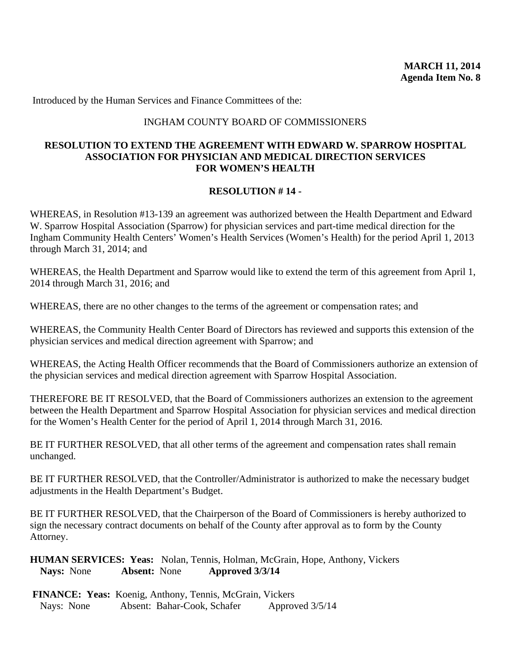#### INGHAM COUNTY BOARD OF COMMISSIONERS

## **RESOLUTION TO EXTEND THE AGREEMENT WITH EDWARD W. SPARROW HOSPITAL ASSOCIATION FOR PHYSICIAN AND MEDICAL DIRECTION SERVICES FOR WOMEN'S HEALTH**

### **RESOLUTION # 14 -**

WHEREAS, in Resolution #13-139 an agreement was authorized between the Health Department and Edward W. Sparrow Hospital Association (Sparrow) for physician services and part-time medical direction for the Ingham Community Health Centers' Women's Health Services (Women's Health) for the period April 1, 2013 through March 31, 2014; and

WHEREAS, the Health Department and Sparrow would like to extend the term of this agreement from April 1, 2014 through March 31, 2016; and

WHEREAS, there are no other changes to the terms of the agreement or compensation rates; and

WHEREAS, the Community Health Center Board of Directors has reviewed and supports this extension of the physician services and medical direction agreement with Sparrow; and

WHEREAS, the Acting Health Officer recommends that the Board of Commissioners authorize an extension of the physician services and medical direction agreement with Sparrow Hospital Association.

THEREFORE BE IT RESOLVED, that the Board of Commissioners authorizes an extension to the agreement between the Health Department and Sparrow Hospital Association for physician services and medical direction for the Women's Health Center for the period of April 1, 2014 through March 31, 2016.

BE IT FURTHER RESOLVED, that all other terms of the agreement and compensation rates shall remain unchanged.

BE IT FURTHER RESOLVED, that the Controller/Administrator is authorized to make the necessary budget adjustments in the Health Department's Budget.

BE IT FURTHER RESOLVED, that the Chairperson of the Board of Commissioners is hereby authorized to sign the necessary contract documents on behalf of the County after approval as to form by the County Attorney.

**HUMAN SERVICES: Yeas:** Nolan, Tennis, Holman, McGrain, Hope, Anthony, Vickers **Nays:** None **Absent:** None **Approved 3/3/14**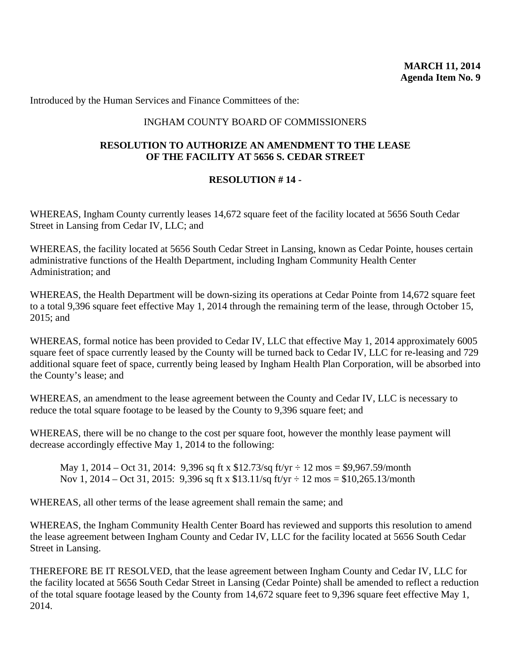#### INGHAM COUNTY BOARD OF COMMISSIONERS

## **RESOLUTION TO AUTHORIZE AN AMENDMENT TO THE LEASE OF THE FACILITY AT 5656 S. CEDAR STREET**

### **RESOLUTION # 14 -**

WHEREAS, Ingham County currently leases 14,672 square feet of the facility located at 5656 South Cedar Street in Lansing from Cedar IV, LLC; and

WHEREAS, the facility located at 5656 South Cedar Street in Lansing, known as Cedar Pointe, houses certain administrative functions of the Health Department, including Ingham Community Health Center Administration; and

WHEREAS, the Health Department will be down-sizing its operations at Cedar Pointe from 14,672 square feet to a total 9,396 square feet effective May 1, 2014 through the remaining term of the lease, through October 15, 2015; and

WHEREAS, formal notice has been provided to Cedar IV, LLC that effective May 1, 2014 approximately 6005 square feet of space currently leased by the County will be turned back to Cedar IV, LLC for re-leasing and 729 additional square feet of space, currently being leased by Ingham Health Plan Corporation, will be absorbed into the County's lease; and

WHEREAS, an amendment to the lease agreement between the County and Cedar IV, LLC is necessary to reduce the total square footage to be leased by the County to 9,396 square feet; and

WHEREAS, there will be no change to the cost per square foot, however the monthly lease payment will decrease accordingly effective May 1, 2014 to the following:

May 1, 2014 – Oct 31, 2014: 9,396 sq ft x  $$12.73/sq$  ft/yr  $\div 12 \text{ mos} = $9,967.59/\text{month}$ Nov 1, 2014 – Oct 31, 2015: 9,396 sq ft x  $$13.11/sq$  ft/yr  $\div 12 \text{ mos} = $10,265.13/\text{month}$ 

WHEREAS, all other terms of the lease agreement shall remain the same; and

WHEREAS, the Ingham Community Health Center Board has reviewed and supports this resolution to amend the lease agreement between Ingham County and Cedar IV, LLC for the facility located at 5656 South Cedar Street in Lansing.

THEREFORE BE IT RESOLVED, that the lease agreement between Ingham County and Cedar IV, LLC for the facility located at 5656 South Cedar Street in Lansing (Cedar Pointe) shall be amended to reflect a reduction of the total square footage leased by the County from 14,672 square feet to 9,396 square feet effective May 1, 2014.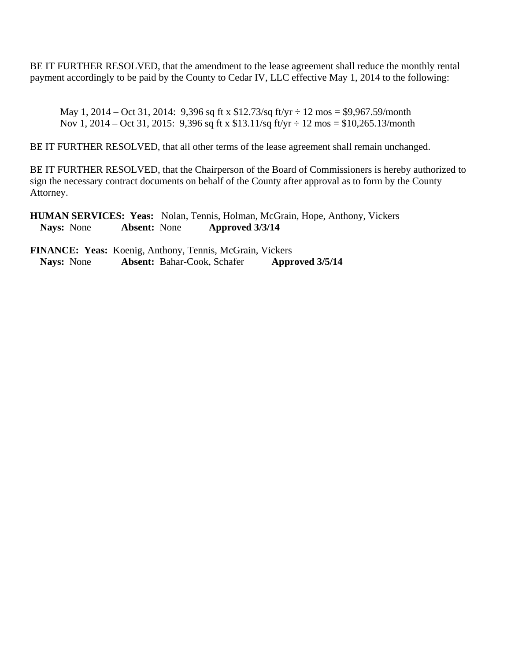BE IT FURTHER RESOLVED, that the amendment to the lease agreement shall reduce the monthly rental payment accordingly to be paid by the County to Cedar IV, LLC effective May 1, 2014 to the following:

May 1, 2014 – Oct 31, 2014: 9,396 sq ft x  $$12.73/sq$  ft/yr  $\div 12 \text{ mos} = $9,967.59/\text{month}$ Nov 1, 2014 – Oct 31, 2015: 9,396 sq ft x \$13.11/sq ft/yr ÷ 12 mos = \$10,265.13/month

BE IT FURTHER RESOLVED, that all other terms of the lease agreement shall remain unchanged.

BE IT FURTHER RESOLVED, that the Chairperson of the Board of Commissioners is hereby authorized to sign the necessary contract documents on behalf of the County after approval as to form by the County Attorney.

**HUMAN SERVICES: Yeas:** Nolan, Tennis, Holman, McGrain, Hope, Anthony, Vickers **Nays:** None **Absent:** None **Approved 3/3/14**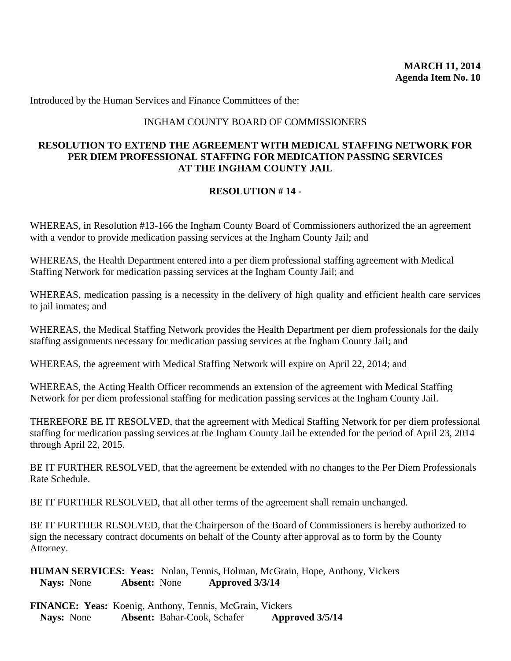#### INGHAM COUNTY BOARD OF COMMISSIONERS

## **RESOLUTION TO EXTEND THE AGREEMENT WITH MEDICAL STAFFING NETWORK FOR PER DIEM PROFESSIONAL STAFFING FOR MEDICATION PASSING SERVICES AT THE INGHAM COUNTY JAIL**

## **RESOLUTION # 14 -**

WHEREAS, in Resolution #13-166 the Ingham County Board of Commissioners authorized the an agreement with a vendor to provide medication passing services at the Ingham County Jail; and

WHEREAS, the Health Department entered into a per diem professional staffing agreement with Medical Staffing Network for medication passing services at the Ingham County Jail; and

WHEREAS, medication passing is a necessity in the delivery of high quality and efficient health care services to jail inmates; and

WHEREAS, the Medical Staffing Network provides the Health Department per diem professionals for the daily staffing assignments necessary for medication passing services at the Ingham County Jail; and

WHEREAS, the agreement with Medical Staffing Network will expire on April 22, 2014; and

WHEREAS, the Acting Health Officer recommends an extension of the agreement with Medical Staffing Network for per diem professional staffing for medication passing services at the Ingham County Jail.

THEREFORE BE IT RESOLVED, that the agreement with Medical Staffing Network for per diem professional staffing for medication passing services at the Ingham County Jail be extended for the period of April 23, 2014 through April 22, 2015.

BE IT FURTHER RESOLVED, that the agreement be extended with no changes to the Per Diem Professionals Rate Schedule.

BE IT FURTHER RESOLVED, that all other terms of the agreement shall remain unchanged.

BE IT FURTHER RESOLVED, that the Chairperson of the Board of Commissioners is hereby authorized to sign the necessary contract documents on behalf of the County after approval as to form by the County Attorney.

**HUMAN SERVICES: Yeas:** Nolan, Tennis, Holman, McGrain, Hope, Anthony, Vickers **Nays:** None **Absent:** None **Approved 3/3/14**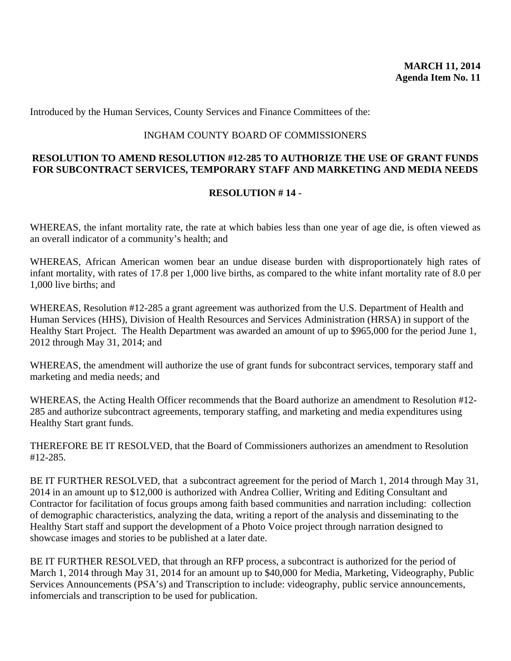Introduced by the Human Services, County Services and Finance Committees of the:

#### INGHAM COUNTY BOARD OF COMMISSIONERS

## **RESOLUTION TO AMEND RESOLUTION #12-285 TO AUTHORIZE THE USE OF GRANT FUNDS FOR SUBCONTRACT SERVICES, TEMPORARY STAFF AND MARKETING AND MEDIA NEEDS**

### **RESOLUTION # 14 -**

WHEREAS, the infant mortality rate, the rate at which babies less than one year of age die, is often viewed as an overall indicator of a community's health; and

WHEREAS, African American women bear an undue disease burden with disproportionately high rates of infant mortality, with rates of 17.8 per 1,000 live births, as compared to the white infant mortality rate of 8.0 per 1,000 live births; and

WHEREAS, Resolution #12-285 a grant agreement was authorized from the U.S. Department of Health and Human Services (HHS), Division of Health Resources and Services Administration (HRSA) in support of the Healthy Start Project. The Health Department was awarded an amount of up to \$965,000 for the period June 1, 2012 through May 31, 2014; and

WHEREAS, the amendment will authorize the use of grant funds for subcontract services, temporary staff and marketing and media needs; and

WHEREAS, the Acting Health Officer recommends that the Board authorize an amendment to Resolution #12- 285 and authorize subcontract agreements, temporary staffing, and marketing and media expenditures using Healthy Start grant funds.

THEREFORE BE IT RESOLVED, that the Board of Commissioners authorizes an amendment to Resolution #12-285.

BE IT FURTHER RESOLVED, that a subcontract agreement for the period of March 1, 2014 through May 31, 2014 in an amount up to \$12,000 is authorized with Andrea Collier, Writing and Editing Consultant and Contractor for facilitation of focus groups among faith based communities and narration including: collection of demographic characteristics, analyzing the data, writing a report of the analysis and disseminating to the Healthy Start staff and support the development of a Photo Voice project through narration designed to showcase images and stories to be published at a later date.

BE IT FURTHER RESOLVED, that through an RFP process, a subcontract is authorized for the period of March 1, 2014 through May 31, 2014 for an amount up to \$40,000 for Media, Marketing, Videography, Public Services Announcements (PSA's) and Transcription to include: videography, public service announcements, infomercials and transcription to be used for publication.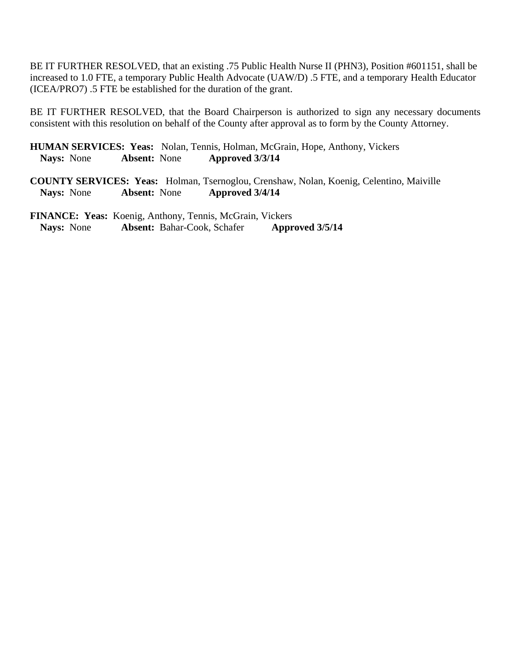BE IT FURTHER RESOLVED, that an existing .75 Public Health Nurse II (PHN3), Position #601151, shall be increased to 1.0 FTE, a temporary Public Health Advocate (UAW/D) .5 FTE, and a temporary Health Educator (ICEA/PRO7) .5 FTE be established for the duration of the grant.

BE IT FURTHER RESOLVED, that the Board Chairperson is authorized to sign any necessary documents consistent with this resolution on behalf of the County after approval as to form by the County Attorney.

**HUMAN SERVICES: Yeas:** Nolan, Tennis, Holman, McGrain, Hope, Anthony, Vickers **Nays:** None **Absent:** None **Approved 3/3/14** 

**COUNTY SERVICES: Yeas:** Holman, Tsernoglou, Crenshaw, Nolan, Koenig, Celentino, Maiville **Nays:** None **Absent:** None **Approved 3/4/14**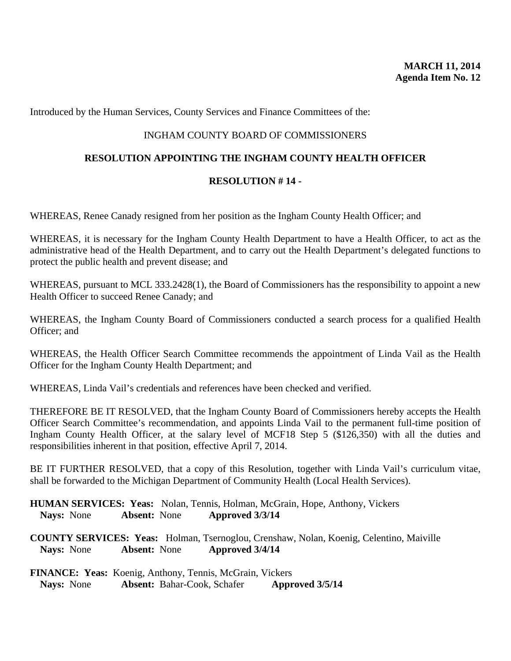Introduced by the Human Services, County Services and Finance Committees of the:

### INGHAM COUNTY BOARD OF COMMISSIONERS

#### **RESOLUTION APPOINTING THE INGHAM COUNTY HEALTH OFFICER**

### **RESOLUTION # 14 -**

WHEREAS, Renee Canady resigned from her position as the Ingham County Health Officer; and

WHEREAS, it is necessary for the Ingham County Health Department to have a Health Officer, to act as the administrative head of the Health Department, and to carry out the Health Department's delegated functions to protect the public health and prevent disease; and

WHEREAS, pursuant to MCL 333.2428(1), the Board of Commissioners has the responsibility to appoint a new Health Officer to succeed Renee Canady; and

WHEREAS, the Ingham County Board of Commissioners conducted a search process for a qualified Health Officer; and

WHEREAS, the Health Officer Search Committee recommends the appointment of Linda Vail as the Health Officer for the Ingham County Health Department; and

WHEREAS, Linda Vail's credentials and references have been checked and verified.

THEREFORE BE IT RESOLVED, that the Ingham County Board of Commissioners hereby accepts the Health Officer Search Committee's recommendation, and appoints Linda Vail to the permanent full-time position of Ingham County Health Officer, at the salary level of MCF18 Step 5 (\$126,350) with all the duties and responsibilities inherent in that position, effective April 7, 2014.

BE IT FURTHER RESOLVED, that a copy of this Resolution, together with Linda Vail's curriculum vitae, shall be forwarded to the Michigan Department of Community Health (Local Health Services).

**HUMAN SERVICES: Yeas:** Nolan, Tennis, Holman, McGrain, Hope, Anthony, Vickers **Nays:** None **Absent:** None **Approved 3/3/14** 

**COUNTY SERVICES: Yeas:** Holman, Tsernoglou, Crenshaw, Nolan, Koenig, Celentino, Maiville **Nays:** None **Absent:** None **Approved 3/4/14**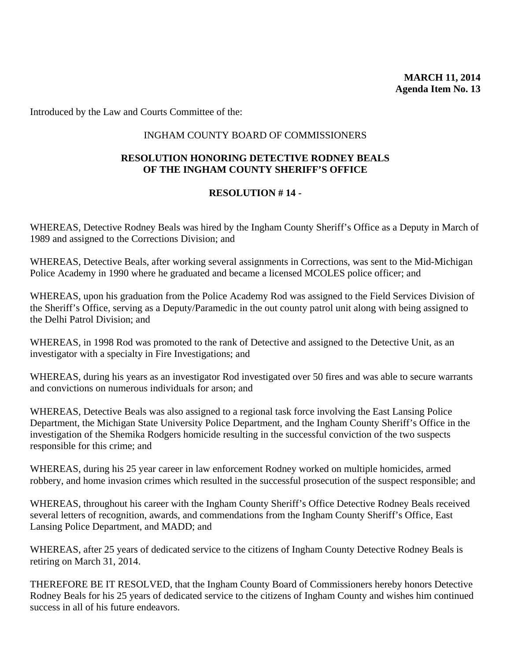Introduced by the Law and Courts Committee of the:

#### INGHAM COUNTY BOARD OF COMMISSIONERS

## **RESOLUTION HONORING DETECTIVE RODNEY BEALS OF THE INGHAM COUNTY SHERIFF'S OFFICE**

## **RESOLUTION # 14 -**

WHEREAS, Detective Rodney Beals was hired by the Ingham County Sheriff's Office as a Deputy in March of 1989 and assigned to the Corrections Division; and

WHEREAS, Detective Beals, after working several assignments in Corrections, was sent to the Mid-Michigan Police Academy in 1990 where he graduated and became a licensed MCOLES police officer; and

WHEREAS, upon his graduation from the Police Academy Rod was assigned to the Field Services Division of the Sheriff's Office, serving as a Deputy/Paramedic in the out county patrol unit along with being assigned to the Delhi Patrol Division; and

WHEREAS, in 1998 Rod was promoted to the rank of Detective and assigned to the Detective Unit, as an investigator with a specialty in Fire Investigations; and

WHEREAS, during his years as an investigator Rod investigated over 50 fires and was able to secure warrants and convictions on numerous individuals for arson; and

WHEREAS, Detective Beals was also assigned to a regional task force involving the East Lansing Police Department, the Michigan State University Police Department, and the Ingham County Sheriff's Office in the investigation of the Shemika Rodgers homicide resulting in the successful conviction of the two suspects responsible for this crime; and

WHEREAS, during his 25 year career in law enforcement Rodney worked on multiple homicides, armed robbery, and home invasion crimes which resulted in the successful prosecution of the suspect responsible; and

WHEREAS, throughout his career with the Ingham County Sheriff's Office Detective Rodney Beals received several letters of recognition, awards, and commendations from the Ingham County Sheriff's Office, East Lansing Police Department, and MADD; and

WHEREAS, after 25 years of dedicated service to the citizens of Ingham County Detective Rodney Beals is retiring on March 31, 2014.

THEREFORE BE IT RESOLVED, that the Ingham County Board of Commissioners hereby honors Detective Rodney Beals for his 25 years of dedicated service to the citizens of Ingham County and wishes him continued success in all of his future endeavors.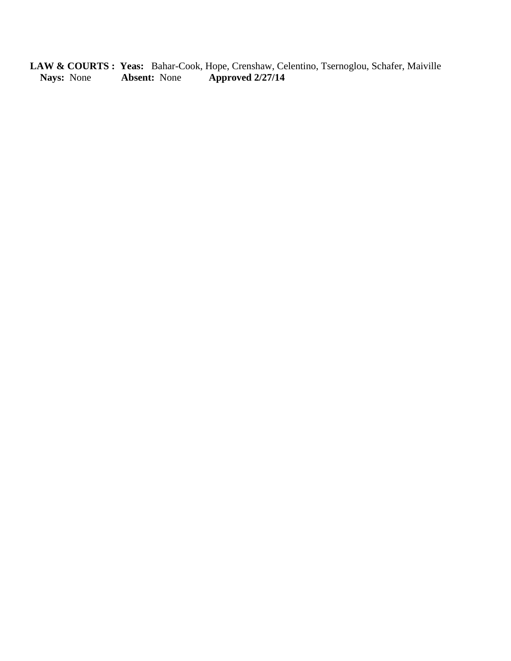**LAW & COURTS : Yeas:** Bahar-Cook, Hope, Crenshaw, Celentino, Tsernoglou, Schafer, Maiville **Nays:** None **Absent:** None **Approved 2/27/14**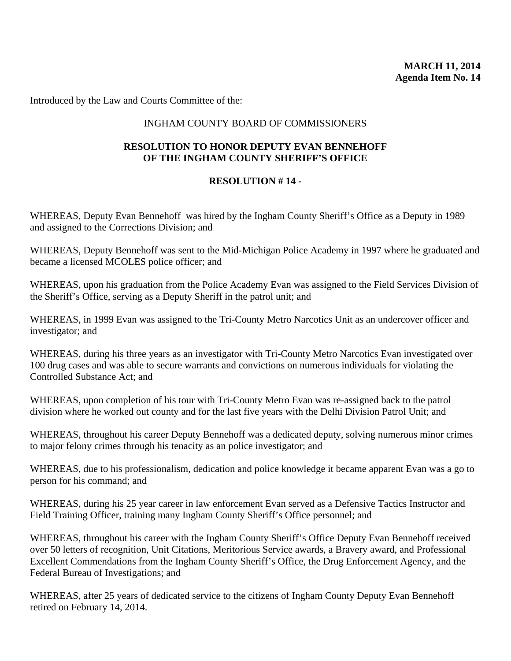Introduced by the Law and Courts Committee of the:

## INGHAM COUNTY BOARD OF COMMISSIONERS

## **RESOLUTION TO HONOR DEPUTY EVAN BENNEHOFF OF THE INGHAM COUNTY SHERIFF'S OFFICE**

## **RESOLUTION # 14 -**

WHEREAS, Deputy Evan Bennehoff was hired by the Ingham County Sheriff's Office as a Deputy in 1989 and assigned to the Corrections Division; and

WHEREAS, Deputy Bennehoff was sent to the Mid-Michigan Police Academy in 1997 where he graduated and became a licensed MCOLES police officer; and

WHEREAS, upon his graduation from the Police Academy Evan was assigned to the Field Services Division of the Sheriff's Office, serving as a Deputy Sheriff in the patrol unit; and

WHEREAS, in 1999 Evan was assigned to the Tri-County Metro Narcotics Unit as an undercover officer and investigator; and

WHEREAS, during his three years as an investigator with Tri-County Metro Narcotics Evan investigated over 100 drug cases and was able to secure warrants and convictions on numerous individuals for violating the Controlled Substance Act; and

WHEREAS, upon completion of his tour with Tri-County Metro Evan was re-assigned back to the patrol division where he worked out county and for the last five years with the Delhi Division Patrol Unit; and

WHEREAS, throughout his career Deputy Bennehoff was a dedicated deputy, solving numerous minor crimes to major felony crimes through his tenacity as an police investigator; and

WHEREAS, due to his professionalism, dedication and police knowledge it became apparent Evan was a go to person for his command; and

WHEREAS, during his 25 year career in law enforcement Evan served as a Defensive Tactics Instructor and Field Training Officer, training many Ingham County Sheriff's Office personnel; and

WHEREAS, throughout his career with the Ingham County Sheriff's Office Deputy Evan Bennehoff received over 50 letters of recognition, Unit Citations, Meritorious Service awards, a Bravery award, and Professional Excellent Commendations from the Ingham County Sheriff's Office, the Drug Enforcement Agency, and the Federal Bureau of Investigations; and

WHEREAS, after 25 years of dedicated service to the citizens of Ingham County Deputy Evan Bennehoff retired on February 14, 2014.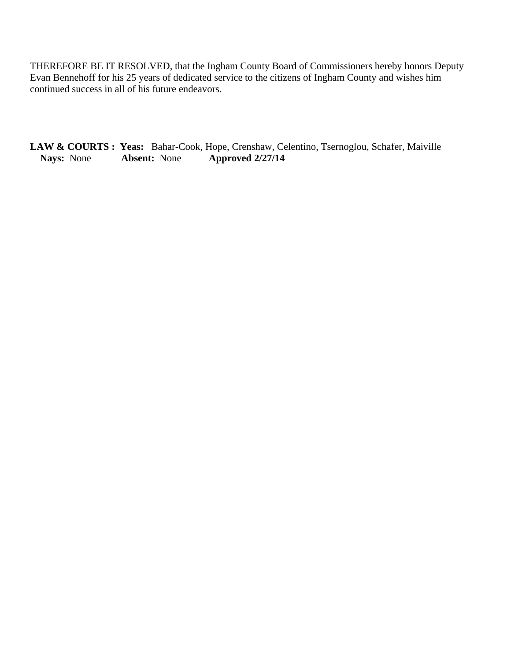THEREFORE BE IT RESOLVED, that the Ingham County Board of Commissioners hereby honors Deputy Evan Bennehoff for his 25 years of dedicated service to the citizens of Ingham County and wishes him continued success in all of his future endeavors.

LAW & COURTS : Yeas: Bahar-Cook, Hope, Crenshaw, Celentino, Tsernoglou, Schafer, Maiville Nays: None Approved 2/27/14 **Nays:** None **Absent:** None **Approved 2/27/14**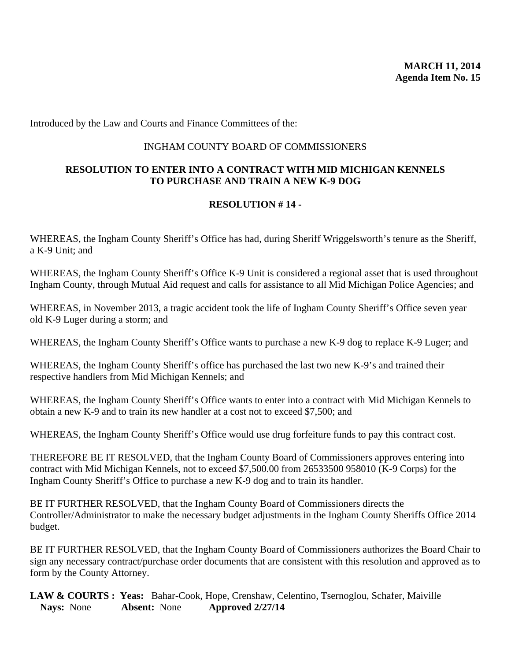Introduced by the Law and Courts and Finance Committees of the:

#### INGHAM COUNTY BOARD OF COMMISSIONERS

## **RESOLUTION TO ENTER INTO A CONTRACT WITH MID MICHIGAN KENNELS TO PURCHASE AND TRAIN A NEW K-9 DOG**

### **RESOLUTION # 14 -**

WHEREAS, the Ingham County Sheriff's Office has had, during Sheriff Wriggelsworth's tenure as the Sheriff, a K-9 Unit; and

WHEREAS, the Ingham County Sheriff's Office K-9 Unit is considered a regional asset that is used throughout Ingham County, through Mutual Aid request and calls for assistance to all Mid Michigan Police Agencies; and

WHEREAS, in November 2013, a tragic accident took the life of Ingham County Sheriff's Office seven year old K-9 Luger during a storm; and

WHEREAS, the Ingham County Sheriff's Office wants to purchase a new K-9 dog to replace K-9 Luger; and

WHEREAS, the Ingham County Sheriff's office has purchased the last two new K-9's and trained their respective handlers from Mid Michigan Kennels; and

WHEREAS, the Ingham County Sheriff's Office wants to enter into a contract with Mid Michigan Kennels to obtain a new K-9 and to train its new handler at a cost not to exceed \$7,500; and

WHEREAS, the Ingham County Sheriff's Office would use drug forfeiture funds to pay this contract cost.

THEREFORE BE IT RESOLVED, that the Ingham County Board of Commissioners approves entering into contract with Mid Michigan Kennels, not to exceed \$7,500.00 from 26533500 958010 (K-9 Corps) for the Ingham County Sheriff's Office to purchase a new K-9 dog and to train its handler.

BE IT FURTHER RESOLVED, that the Ingham County Board of Commissioners directs the Controller/Administrator to make the necessary budget adjustments in the Ingham County Sheriffs Office 2014 budget.

BE IT FURTHER RESOLVED, that the Ingham County Board of Commissioners authorizes the Board Chair to sign any necessary contract/purchase order documents that are consistent with this resolution and approved as to form by the County Attorney.

LAW & COURTS : Yeas: Bahar-Cook, Hope, Crenshaw, Celentino, Tsernoglou, Schafer, Maiville<br>Navs: None **Absent:** None **Approved 2/27/14 Nays:** None **Absent:** None **Approved 2/27/14**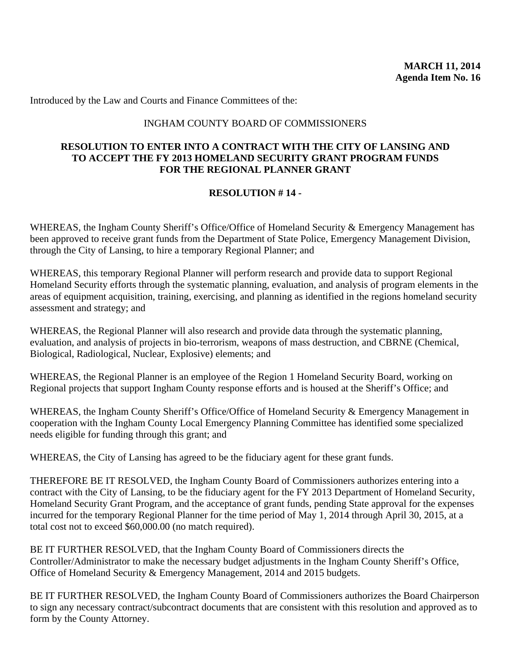Introduced by the Law and Courts and Finance Committees of the:

### INGHAM COUNTY BOARD OF COMMISSIONERS

### **RESOLUTION TO ENTER INTO A CONTRACT WITH THE CITY OF LANSING AND TO ACCEPT THE FY 2013 HOMELAND SECURITY GRANT PROGRAM FUNDS FOR THE REGIONAL PLANNER GRANT**

## **RESOLUTION # 14 -**

WHEREAS, the Ingham County Sheriff's Office/Office of Homeland Security & Emergency Management has been approved to receive grant funds from the Department of State Police, Emergency Management Division, through the City of Lansing, to hire a temporary Regional Planner; and

WHEREAS, this temporary Regional Planner will perform research and provide data to support Regional Homeland Security efforts through the systematic planning, evaluation, and analysis of program elements in the areas of equipment acquisition, training, exercising, and planning as identified in the regions homeland security assessment and strategy; and

WHEREAS, the Regional Planner will also research and provide data through the systematic planning, evaluation, and analysis of projects in bio-terrorism, weapons of mass destruction, and CBRNE (Chemical, Biological, Radiological, Nuclear, Explosive) elements; and

WHEREAS, the Regional Planner is an employee of the Region 1 Homeland Security Board, working on Regional projects that support Ingham County response efforts and is housed at the Sheriff's Office; and

WHEREAS, the Ingham County Sheriff's Office/Office of Homeland Security & Emergency Management in cooperation with the Ingham County Local Emergency Planning Committee has identified some specialized needs eligible for funding through this grant; and

WHEREAS, the City of Lansing has agreed to be the fiduciary agent for these grant funds.

THEREFORE BE IT RESOLVED, the Ingham County Board of Commissioners authorizes entering into a contract with the City of Lansing, to be the fiduciary agent for the FY 2013 Department of Homeland Security, Homeland Security Grant Program, and the acceptance of grant funds, pending State approval for the expenses incurred for the temporary Regional Planner for the time period of May 1, 2014 through April 30, 2015, at a total cost not to exceed \$60,000.00 (no match required).

BE IT FURTHER RESOLVED, that the Ingham County Board of Commissioners directs the Controller/Administrator to make the necessary budget adjustments in the Ingham County Sheriff's Office, Office of Homeland Security & Emergency Management, 2014 and 2015 budgets.

BE IT FURTHER RESOLVED, the Ingham County Board of Commissioners authorizes the Board Chairperson to sign any necessary contract/subcontract documents that are consistent with this resolution and approved as to form by the County Attorney.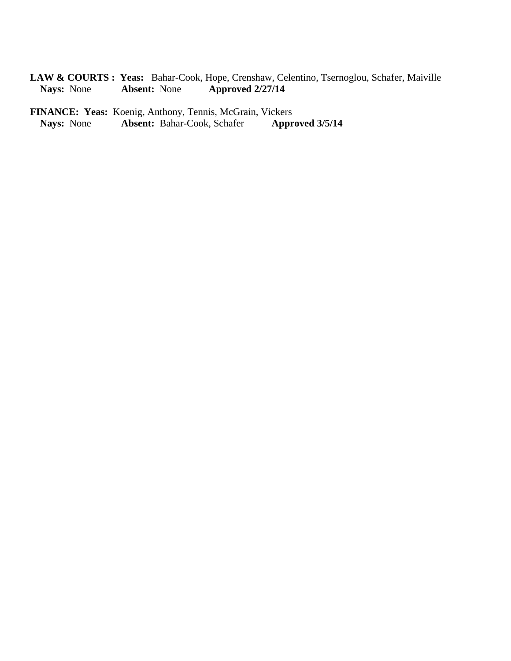LAW & COURTS : Yeas: Bahar-Cook, Hope, Crenshaw, Celentino, Tsernoglou, Schafer, Maiville Nays: None Approved 2/27/14 **Nays:** None **Absent:** None **Approved 2/27/14** 

FINANCE: Yeas: Koenig, Anthony, Tennis, McGrain, Vickers<br>Nays: None **Absent: Bahar-Cook, Schafer Approved 3/5/14** Absent: Bahar-Cook, Schafer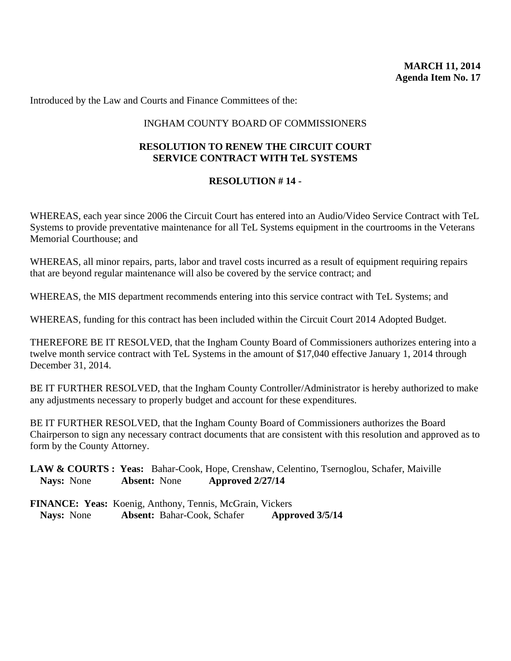Introduced by the Law and Courts and Finance Committees of the:

## INGHAM COUNTY BOARD OF COMMISSIONERS

## **RESOLUTION TO RENEW THE CIRCUIT COURT SERVICE CONTRACT WITH TeL SYSTEMS**

## **RESOLUTION # 14 -**

WHEREAS, each year since 2006 the Circuit Court has entered into an Audio/Video Service Contract with TeL Systems to provide preventative maintenance for all TeL Systems equipment in the courtrooms in the Veterans Memorial Courthouse; and

WHEREAS, all minor repairs, parts, labor and travel costs incurred as a result of equipment requiring repairs that are beyond regular maintenance will also be covered by the service contract; and

WHEREAS, the MIS department recommends entering into this service contract with TeL Systems; and

WHEREAS, funding for this contract has been included within the Circuit Court 2014 Adopted Budget.

THEREFORE BE IT RESOLVED, that the Ingham County Board of Commissioners authorizes entering into a twelve month service contract with TeL Systems in the amount of \$17,040 effective January 1, 2014 through December 31, 2014.

BE IT FURTHER RESOLVED, that the Ingham County Controller/Administrator is hereby authorized to make any adjustments necessary to properly budget and account for these expenditures.

BE IT FURTHER RESOLVED, that the Ingham County Board of Commissioners authorizes the Board Chairperson to sign any necessary contract documents that are consistent with this resolution and approved as to form by the County Attorney.

**LAW & COURTS : Yeas:** Bahar-Cook, Hope, Crenshaw, Celentino, Tsernoglou, Schafer, Maiville **Nays:** None **Absent:** None **Approved 2/27/14** 

|                   | <b>FINANCE: Yeas:</b> Koenig, Anthony, Tennis, McGrain, Vickers |                 |
|-------------------|-----------------------------------------------------------------|-----------------|
| <b>Nays:</b> None | <b>Absent: Bahar-Cook, Schafer</b>                              | Approved 3/5/14 |